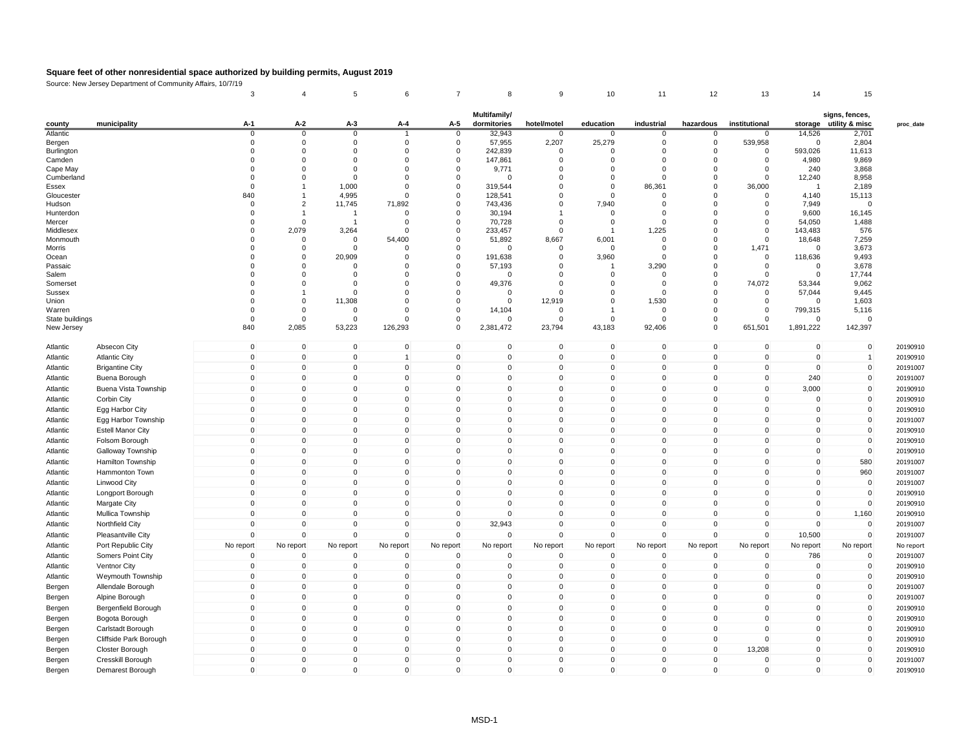|                    | Obdice. New Jersey Department or Community Amaris, 10/ | 3                   | $\overline{4}$    | $\,$ 5 $\,$       | 6                   | $\overline{7}$      | 8                           | 9                       | 10                   | 11                   | 12            | 13                   | 14             | 15                                       |           |
|--------------------|--------------------------------------------------------|---------------------|-------------------|-------------------|---------------------|---------------------|-----------------------------|-------------------------|----------------------|----------------------|---------------|----------------------|----------------|------------------------------------------|-----------|
| county             | municipality                                           | A-1                 | A-2               | A-3               | A-4                 | A-5                 | Multifamily/<br>dormitories | hotel/motel             | education            | industrial           | hazardous     | institutional        |                | signs, fences,<br>storage utility & misc | proc_date |
| Atlantic           |                                                        | 0                   | 0                 | $\mathbf 0$       |                     | $\mathbf 0$         | 32,943                      | $\mathbf 0$             | $\mathbf 0$          | $\mathbf 0$          | $\mathbf 0$   | 0                    | 14,526         | 2,701                                    |           |
| Bergen             |                                                        | $\mathbf 0$         | $\mathbf 0$       | $\Omega$          | $\mathbf 0$         | $\mathbf 0$         | 57,955                      | 2,207                   | 25,279               | $\mathbf 0$          | $\mathbf 0$   | 539,958              | $\mathbf 0$    | 2,804                                    |           |
| Burlington         |                                                        | 0                   | 0                 | 0                 | 0                   | 0                   | 242,839                     | $\mathbf 0$             | $\mathbf 0$          | 0                    | 0             | 0                    | 593,026        | 11,613                                   |           |
| Camden             |                                                        | $\Omega$            | $\Omega$          | $\Omega$          | $\Omega$            | $\Omega$            | 147,861                     | $\Omega$                | $\Omega$             | $\Omega$             | $\Omega$      | $\Omega$             | 4,980          | 9,869                                    |           |
| Cape May           |                                                        | $\Omega$            | $\Omega$          | $\Omega$          | $\Omega$            | $\mathbf 0$         | 9,771                       | $\Omega$                | $\mathbf 0$          | $\Omega$             | $\Omega$      | $\Omega$             | 240            | 3,868                                    |           |
| Cumberland         |                                                        | 0                   | $\Omega$          | $\Omega$          | $\Omega$            | $\mathbf 0$         | $\Omega$                    | $\overline{0}$          | $\mathbf 0$          | $\Omega$             | $\Omega$      | $\mathbf 0$          | 12,240         | 8,958                                    |           |
| Essex              |                                                        | $\mathbf 0$         |                   | 1,000             | $\Omega$            | $\mathsf 0$         | 319,544                     | $\mathbf 0$             | $\mathbf 0$          | 86,361               | $\Omega$      | 36,000               | $\overline{1}$ | 2,189                                    |           |
| Gloucester         |                                                        | 840                 |                   | 4,995             | $\mathbf 0$         | 0                   | 128,541                     | $\mathbf 0$             | $\mathbf 0$          | $\mathbf 0$          | $\Omega$      | $\mathbf 0$          | 4,140          | 15,113                                   |           |
| Hudson             |                                                        | $\Omega$            | $\overline{2}$    | 11,745            | 71,892              | $\mathbf 0$         | 743,436                     | $\mathbf 0$             | 7,940                | $\Omega$             | $\Omega$      | $\Omega$             | 7,949          | $\Omega$                                 |           |
| Hunterdon          |                                                        | $\Omega$            |                   | $\overline{1}$    | $\Omega$            | $\Omega$            | 30,194                      |                         | $\Omega$             | $\Omega$             | $\Omega$      | $\Omega$             | 9,600          | 16,145                                   |           |
| Mercer             |                                                        | $\Omega$            | $\mathbf 0$       | $\overline{1}$    | $\Omega$            | $\mathbf 0$         | 70,728                      | $\mathbf 0$             | $\mathbf 0$          | $\mathbf 0$          | $\Omega$      | $\mathbf 0$          | 54,050         | 1,488                                    |           |
| Middlesex          |                                                        | 0<br>$\Omega$       | 2,079<br>$\Omega$ | 3,264<br>$\Omega$ | $\Omega$<br>54,400  | 0<br>0              | 233,457                     | $\mathbf 0$             | -1                   | 1,225<br>$\mathbf 0$ | 0<br>$\Omega$ | $\Omega$<br>$\Omega$ | 143,483        | 576                                      |           |
| Monmouth<br>Morris |                                                        | $\Omega$            | $\mathbf 0$       | $\Omega$          | $\Omega$            | 0                   | 51,892<br>$\Omega$          | 8,667<br>$\overline{0}$ | 6,001<br>$\mathbf 0$ | $\Omega$             | $\Omega$      | 1,471                | 18,648<br>0    | 7,259<br>3,673                           |           |
| Ocean              |                                                        | $\Omega$            | 0                 | 20,909            | $\Omega$            | $\Omega$            | 191,638                     | 0                       | 3,960                | $\Omega$             | O             | $\Omega$             | 118,636        | 9,493                                    |           |
| Passaic            |                                                        | $\Omega$            | $\mathbf 0$       | 0                 | $\Omega$            | $\mathbf 0$         | 57,193                      | $\mathbf 0$             | -1                   | 3,290                | 0             | $\mathbf 0$          | $\mathbf 0$    | 3,678                                    |           |
| Salem              |                                                        | $\Omega$            | $\Omega$          | $\Omega$          | $\Omega$            | $\Omega$            | $\Omega$                    | $\Omega$                | $\Omega$             | $\Omega$             | $\Omega$      | $\Omega$             | $\Omega$       | 17,744                                   |           |
| Somerset           |                                                        | $\Omega$            | $\Omega$          | $\Omega$          | $\Omega$            | $\mathbf 0$         | 49,376                      | $\Omega$                | $\Omega$             | $\Omega$             | $\Omega$      | 74,072               | 53,344         | 9,062                                    |           |
| <b>Sussex</b>      |                                                        | $\Omega$            |                   | $\Omega$          | $\Omega$            | $\Omega$            | $\Omega$                    | $\Omega$                | $\Omega$             | $\Omega$             | $\Omega$      | $\Omega$             | 57,044         | 9,445                                    |           |
| Union              |                                                        | 0                   | 0                 | 11,308            | $\Omega$            | 0                   | 0                           | 12,919                  | 0                    | 1,530                | $^{\circ}$    | $\mathbf 0$          | 0              | 1,603                                    |           |
| Warren             |                                                        | $\Omega$            | $\Omega$          | $\mathbf 0$       | $\Omega$            | 0                   | 14,104                      | $\overline{0}$          | 1                    | $\mathbf 0$          | $\Omega$      | $\Omega$             | 799,315        | 5,116                                    |           |
| State buildings    |                                                        | $\Omega$            | $\mathbf 0$       | $\Omega$          | $\Omega$            | $\Omega$            | $\Omega$                    | $\Omega$                | $\Omega$             | $\Omega$             | $\Omega$      | $\Omega$             | $\Omega$       | $\sqrt{2}$                               |           |
| New Jersey         |                                                        | 840                 | 2,085             | 53,223            | 126,293             | 0                   | 2,381,472                   | 23,794                  | 43,183               | 92,406               | $\mathbf 0$   | 651,501              | 1,891,222      | 142,397                                  |           |
| Atlantic           | Absecon City                                           | $\mathbf 0$         | $\mathbf 0$       | $\mathbf 0$       | $\mathbf 0$         | $\mathsf{O}\xspace$ | $\mathbf 0$                 | $\mathbf 0$             | $\mathbf 0$          | $\mathbf 0$          | $\mathbf 0$   | $\mathsf{O}\xspace$  | $\mathbf 0$    | $\mathbf 0$                              | 20190910  |
| Atlantic           | <b>Atlantic City</b>                                   | $\mathbf 0$         | $\pmb{0}$         | 0                 | $\overline{1}$      | 0                   | 0                           | $\mathbf 0$             | $\mathbf 0$          | $\pmb{0}$            | 0             | $\mathbf 0$          | $\mathbf 0$    |                                          | 20190910  |
| Atlantic           | <b>Brigantine City</b>                                 | $\mathbf 0$         | $\mathbf 0$       | $\Omega$          | $\mathbf{0}$        | $\Omega$            | $\Omega$                    | $\mathbf 0$             | $\mathbf 0$          | $\mathbf 0$          | $\Omega$      | $\Omega$             | $\Omega$       | $\mathbf 0$                              | 20191007  |
| Atlantic           | Buena Borough                                          | $\mathbf 0$         | $\mathbf 0$       | $\Omega$          | $\mathbf 0$         | $\mathbf 0$         | $\Omega$                    | $\mathbf 0$             | $\mathbf 0$          | $\mathbf 0$          | $\Omega$      | $\Omega$             | 240            | $\mathbf 0$                              | 20191007  |
| Atlantic           | Buena Vista Township                                   | $\mathbf 0$         | $\pmb{0}$         | $\mathbf 0$       | $\mathbf 0$         | 0                   | 0                           | $\mathbf 0$             | $\mathbf 0$          | $\pmb{0}$            | $\pmb{0}$     | $\mathbf 0$          | 3,000          | 0                                        | 20190910  |
| Atlantic           | Corbin City                                            | $\mathsf 0$         | $\mathbf 0$       | $\mathbf 0$       | $\mathbf 0$         | $\mathbf 0$         | $\Omega$                    | $\mathbf 0$             | $\mathbf 0$          | $\mathbf 0$          | $\Omega$      | $\Omega$             | $\mathbf 0$    | 0                                        | 20190910  |
| Atlantic           | Egg Harbor City                                        | $\mathbf 0$         | $\mathbf 0$       | $\mathbf 0$       | $\mathbf 0$         | $\mathbf 0$         | $\Omega$                    | $\mathbf 0$             | $\mathbf 0$          | $\mathbf 0$          | $\mathbf 0$   | $\Omega$             | 0              | 0                                        | 20190910  |
| Atlantic           | Egg Harbor Township                                    | $\mathbf 0$         | $\mathbf 0$       | $\Omega$          | $\mathbf 0$         | 0                   | $\Omega$                    | $\mathbf 0$             | $\mathbf 0$          | $\pmb{0}$            | $\Omega$      | $\Omega$             | 0              | $\Omega$                                 | 20191007  |
| Atlantic           | <b>Estell Manor City</b>                               | $\mathsf 0$         | $\mathbf 0$       | $\mathbf 0$       | $\mathsf 0$         | $\mathbf 0$         | $\Omega$                    | $\mathbf 0$             | $\mathsf 0$          | $\mathbf 0$          | $\Omega$      | $\Omega$             | $\mathbf 0$    | $\mathbf 0$                              | 20190910  |
|                    |                                                        | $\mathsf 0$         | $\mathbf 0$       | $\mathbf 0$       | $\mathsf 0$         | $\mathbf 0$         | 0                           | $\mathbf 0$             | $\mathbf 0$          | $\mathbf 0$          | $\mathbf 0$   | $\Omega$             | $\mathbf{0}$   | $\mathbf 0$                              |           |
| Atlantic           | Folsom Borough                                         |                     |                   |                   |                     |                     |                             |                         |                      |                      |               |                      |                |                                          | 20190910  |
| Atlantic           | Galloway Township                                      | 0                   | 0                 | $\Omega$          | $\mathbf 0$         | $\Omega$            | $\Omega$                    | $\mathbf 0$             | $\mathbf 0$          | $\mathbf 0$          | $\Omega$      | $\Omega$             | 0              | $\mathbf 0$                              | 20190910  |
| Atlantic           | Hamilton Township                                      | $\mathsf 0$         | $\mathbf 0$       | $\mathbf{0}$      | $\mathbf 0$         | $\mathbf 0$         | $\Omega$                    | $\mathbf 0$             | $\mathbf 0$          | $\mathbf 0$          | $\Omega$      | $\Omega$             | $\mathbf 0$    | 580                                      | 20191007  |
| Atlantic           | Hammonton Town                                         | $\mathsf 0$         | $\mathbf 0$       | $\mathbf 0$       | $\mathbf 0$         | $\mathbf 0$         | $\mathbf 0$                 | $\mathbf 0$             | $\mathsf 0$          | $\mathbf 0$          | $\mathbf 0$   | $\mathbf 0$          | $\mathbf{0}$   | 960                                      | 20191007  |
| Atlantic           | Linwood City                                           | 0                   | 0                 | $\mathbf 0$       | $\mathbf 0$         | 0                   | 0                           | $\mathbf 0$             | 0                    | $\mathbf 0$          | $\mathbf 0$   | $\mathbf 0$          | 0              | $\mathbf 0$                              | 20191007  |
| Atlantic           | Longport Borough                                       | $\mathbf 0$         | $\mathbf 0$       | $\mathbf{0}$      | $\mathbf{0}$        | $\Omega$            | $\Omega$                    | $\Omega$                | $\mathbf{0}$         | $\mathbf 0$          | $\Omega$      | $\Omega$             | $\Omega$       | $\mathbf 0$                              | 20190910  |
| Atlantic           | Margate City                                           | $\mathbf 0$         | $\mathbf 0$       | $\mathbf 0$       | $\mathbf 0$         | $\mathbf 0$         | $\mathbf 0$                 | $\mathbf 0$             | $\mathbf 0$          | $\pmb{0}$            | $\mathbf 0$   | $\Omega$             | $\mathbf 0$    | $\pmb{0}$                                | 20190910  |
| Atlantic           | Mullica Township                                       | $\mathbf 0$         | $\mathbf 0$       | $\mathbf 0$       | $\mathbf 0$         | $\mathbf 0$         | 0                           | $\mathbf 0$             | $\mathbf 0$          | $\mathbf 0$          | $\mathbf 0$   | $\mathbf 0$          | $\mathbf 0$    | 1,160                                    | 20190910  |
| Atlantic           | Northfield City                                        | $\mathsf{O}\xspace$ | $\mathbf 0$       | $\mathbf 0$       | $\mathbf 0$         | $\mathbf 0$         | 32,943                      | $\mathbf 0$             | $\mathbf 0$          | $\mathbf 0$          | $\mathbf 0$   | $\Omega$             | $\mathbf 0$    | 0                                        | 20191007  |
| Atlantic           | Pleasantville City                                     | $\mathbf 0$         | $\Omega$          | $\mathbf 0$       | $\Omega$            | 0                   | $\mathbf 0$                 | $\overline{0}$          | $\mathbf 0$          | $\mathbf 0$          | $\Omega$      | $\Omega$             | 10,500         | $\mathbf 0$                              | 20191007  |
| Atlantic           | Port Republic City                                     | No report           | No report         | No report         | No report           | No report           | No report                   | No report               | No report            | No report            | No report     | No report            | No report      | No report                                | No report |
| Atlantic           | Somers Point City                                      | $\mathbf 0$         | $\mathbf 0$       | $\mathbf 0$       | $\mathbf 0$         | $\mathbf 0$         | $\Omega$                    | $\mathbf 0$             | $\mathbf 0$          | $\mathbf 0$          | $\mathbf 0$   | $\mathbf 0$          | 786            | 0                                        | 20191007  |
| Atlantic           |                                                        | $\mathbf 0$         | $\mathbf 0$       | $\mathbf 0$       | $\mathbf 0$         | 0                   | 0                           | $\mathbf 0$             | $\mathbf 0$          | $\mathbf 0$          | $\mathbf 0$   | $\mathbf 0$          | $\mathbf 0$    | $\mathbf 0$                              |           |
|                    | <b>Ventnor City</b>                                    |                     |                   |                   |                     | $\mathbf 0$         | $\Omega$                    | $\mathbf 0$             |                      |                      | $\Omega$      | $\Omega$             |                |                                          | 20190910  |
| Atlantic           | Weymouth Township                                      | $\mathbf 0$         | $\mathbf 0$       | $\mathbf 0$       | $\mathbf 0$         |                     |                             |                         | $\mathbf 0$          | $\mathbf 0$          |               |                      | $\mathbf 0$    | 0                                        | 20190910  |
| Bergen             | Allendale Borough                                      | $\mathsf{O}\xspace$ | $\mathbf 0$       | $\mathbf 0$       | $\mathbf 0$         | $\mathbf 0$         | $\mathbf 0$                 | $\mathbf 0$             | $\mathsf{O}\xspace$  | $\mathbf 0$          | $\mathbf 0$   | $\mathbf 0$          | $\mathbf{0}$   | $\mathbf 0$                              | 20191007  |
| Bergen             | Alpine Borough                                         | $\mathbf 0$         | 0                 | $\mathbf 0$       | $\mathbf 0$         | $\mathbf 0$         | 0                           | $\mathbf 0$             | $\mathbf 0$          | $\mathbf 0$          | $\mathbf 0$   | $\Omega$             | 0              | 0                                        | 20191007  |
| Bergen             | Bergenfield Borough                                    | $\mathbf 0$         | $\Omega$          | $\mathbf 0$       | $\mathbf 0$         | $\Omega$            | $\Omega$                    | $\Omega$                | $\mathbf 0$          | $\mathbf 0$          | $\Omega$      | $\Omega$             | $\Omega$       | $\Omega$                                 | 20190910  |
| Bergen             | Bogota Borough                                         | $\mathbf 0$         | $\mathbf 0$       | $\mathbf 0$       | $\mathbf 0$         | $\mathbf 0$         | $\Omega$                    | $\mathbf 0$             | $\mathbf 0$          | $\mathbf 0$          | $\mathbf 0$   | $\Omega$             | $\mathbf{0}$   | $\mathbf 0$                              | 20190910  |
| Bergen             | Carlstadt Borough                                      | $\mathsf{O}\xspace$ | $\mathbf 0$       | $\mathbf 0$       | $\mathsf{O}\xspace$ | $\mathbf 0$         | $\mathbf 0$                 | $\mathbf 0$             | $\mathbf 0$          | $\mathbf 0$          | $\mathbf 0$   | $\Omega$             | $\mathbf 0$    | $\mathbf 0$                              | 20190910  |
| Bergen             | Cliffside Park Borough                                 | $\mathbf 0$         | $\mathbf 0$       | $\mathbf 0$       | $\mathbf 0$         | $\Omega$            | $\Omega$                    | $\mathbf 0$             | $\mathbf 0$          | $\mathbf 0$          | $\Omega$      | $\Omega$             | $\Omega$       | $\mathbf 0$                              | 20190910  |
| Bergen             | Closter Borough                                        | $\mathbf 0$         | $\mathbf 0$       | $\mathbf 0$       | $\mathbf 0$         | $\mathbf 0$         | $\Omega$                    | $\mathbf 0$             | $\mathbf 0$          | $\mathbf 0$          | $\mathbf 0$   | 13,208               | $\mathbf 0$    | $\mathbf 0$                              | 20190910  |
| Bergen             | Cresskill Borough                                      | $\mathbf 0$         | $\mathbf 0$       | $\mathbf 0$       | $\mathbf 0$         | $\mathbf 0$         | $\Omega$                    | $\mathbf 0$             | $\mathbf 0$          | $\mathbf 0$          | $\Omega$      | $\Omega$             | $\mathbf 0$    | $\mathbf 0$                              | 20191007  |
| Bergen             | Demarest Borough                                       | $\mathsf{O}\xspace$ | $\mathbf 0$       | $\mathbf 0$       | $\mathbf 0$         | $\mathbf 0$         | $\mathbf 0$                 | $\mathbf 0$             | $\mathbf 0$          | $\mathbf 0$          | $\mathbf 0$   | $\mathbf 0$          | $\mathbf{0}$   | $\mathbf 0$                              | 20190910  |
|                    |                                                        |                     |                   |                   |                     |                     |                             |                         |                      |                      |               |                      |                |                                          |           |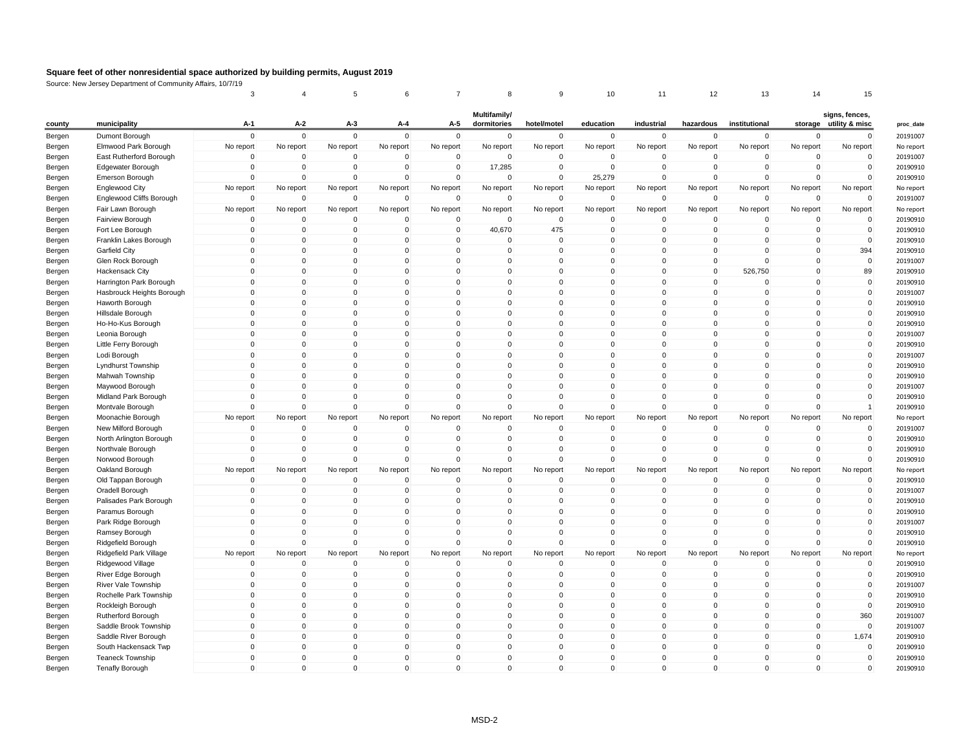|                  |                           | 3                             |             | 5                   | 6                           | $\overline{7}$             | 8                           | 9            | 10                      | 11                      | 12          | 13            | 14             | 15                                       |
|------------------|---------------------------|-------------------------------|-------------|---------------------|-----------------------------|----------------------------|-----------------------------|--------------|-------------------------|-------------------------|-------------|---------------|----------------|------------------------------------------|
| county           | municipality              | A-1                           | A-2         | $A-3$               | A-4                         | A-5                        | Multifamily/<br>dormitories | hotel/motel  | education               | industrial              | hazardous   | institutional |                | signs, fences,<br>storage utility & misc |
| Bergen           | Dumont Borough            | $\Omega$                      | $\mathbf 0$ | $\mathbf 0$         | $\mathbf{0}$                | $\mathbf 0$                | $\mathbf 0$                 | $\mathbf 0$  | $\mathbf 0$             | $\mathbf 0$             | $\mathbf 0$ | $\mathbf 0$   | $\mathbf 0$    | 0                                        |
| Bergen           | Elmwood Park Borough      | No report                     | No report   | No report           | No report                   | No report                  | No report                   | No report    | No report               | No report               | No report   | No report     | No report      | No report                                |
| Bergen           | East Rutherford Borough   | $\Omega$                      | $\Omega$    | 0                   | $\Omega$                    | $\mathbf 0$                | $\Omega$                    | $\Omega$     | $\Omega$                | $\Omega$                | $\Omega$    | $\Omega$      | $\Omega$       | $\Omega$                                 |
|                  | Edgewater Borough         | $\mathbf 0$                   | $\pmb{0}$   | $\mathbf 0$         | $\mathbf 0$                 | $\mathbf 0$                | 17,285                      | $\mathbf 0$  | $\mathbf 0$             | $\mathbf 0$             | $\mathbf 0$ | $\mathbf 0$   | $\overline{0}$ | $\pmb{0}$                                |
| Bergen<br>Bergen | Emerson Borough           | $\mathbf 0$                   | $\mathbf 0$ | $\mathbf 0$         | $\mathbf 0$                 | $\mathbf 0$                | $\mathbf 0$                 | $\mathbf 0$  | 25,279                  | $\Omega$                | $\mathbf 0$ | $\mathbf 0$   | $\mathbf 0$    | $\mathbf 0$                              |
| Bergen           | <b>Englewood City</b>     | No report                     | No report   | No report           | No report                   | No report                  | No report                   | No report    | No report               | No report               | No report   | No report     | No report      | No report                                |
|                  | Englewood Cliffs Borough  | $\mathbf 0$                   | $\mathbf 0$ | $\mathbf 0$         | $\mathbf 0$                 | $\mathbf 0$                | $\mathbf 0$                 | $\mathbf 0$  | $\mathbf 0$             | $\mathbf 0$             | $\mathbf 0$ | $\mathbf 0$   | $\mathbf 0$    | $\pmb{0}$                                |
| Bergen<br>Bergen | Fair Lawn Borough         | No report                     | No report   | No report           | No report                   | No report                  | No report                   | No report    | No report               | No report               | No report   | No report     | No report      | No report                                |
| Bergen           | Fairview Borough          | $\Omega$                      | $\Omega$    | 0                   | $\Omega$                    | $\mathbf 0$                | $\Omega$                    | $\Omega$     | $\Omega$                | $\Omega$                | 0           | $\Omega$      | $\Omega$       | $\Omega$                                 |
| Bergen           | Fort Lee Borough          | $\mathbf 0$                   | $\mathbf 0$ | $\mathbf 0$         | $\mathbf 0$                 | $\mathbf 0$                | 40,670                      | 475          | $\mathbf 0$             | $\mathbf 0$             | $\mathbf 0$ | $\mathbf 0$   | $\mathbf 0$    | $\pmb{0}$                                |
| Bergen           | Franklin Lakes Borough    | $\overline{0}$                | $\Omega$    | $\mathbf 0$         | $\mathbf 0$                 | $\overline{0}$             | $\Omega$                    | $\Omega$     | 0                       | $\Omega$                | $\Omega$    | $\Omega$      | $\overline{0}$ | $\mathbf 0$                              |
|                  | Garfield City             | $\Omega$                      | $\Omega$    | $\Omega$            | $\mathbf{0}$                | $\mathbf 0$                | $\mathbf{0}$                | $\Omega$     | $\Omega$                | $\Omega$                | $\Omega$    | $\Omega$      | $\Omega$       | 394                                      |
| Bergen           | Glen Rock Borough         | $\mathbf 0$                   | $\mathbf 0$ | $\mathbf 0$         | $\mathbf 0$                 | $\mathbf 0$                | $\mathbf 0$                 | $\mathbf 0$  | $\mathbf 0$             | $\Omega$                | $\mathbf 0$ | $\Omega$      | $\overline{0}$ | $\mathbf 0$                              |
| Bergen           |                           | $\overline{0}$                | $\mathbf 0$ | $\mathbf 0$         | $\mathbf 0$                 | $\mathbf 0$                | $\mathbf{0}$                | $\Omega$     | $\mathbf 0$             | $\Omega$                | $\Omega$    | 526,750       | $\overline{0}$ | 89                                       |
| Bergen           | <b>Hackensack City</b>    | $\Omega$                      | $\Omega$    | $\Omega$            |                             |                            | $\Omega$                    | $\Omega$     | $\Omega$                | $\Omega$                | $\Omega$    | $\Omega$      | $\Omega$       |                                          |
| Bergen           | Harrington Park Borough   |                               | $\mathbf 0$ | 0                   | $\mathbf{0}$<br>$\mathbf 0$ | $\mathbf 0$<br>$\mathbf 0$ | $\mathbf 0$                 | $\mathbf 0$  | $\mathbf 0$             | $\mathbf 0$             | $\mathbf 0$ | $\Omega$      | $\overline{0}$ | $\mathbf 0$<br>$\mathbf 0$               |
| Bergen           | Hasbrouck Heights Borough | $\mathbf 0$<br>$\overline{0}$ | $\mathbf 0$ | $\mathbf 0$         | $\Omega$                    | $\mathbf 0$                |                             | $\Omega$     |                         | $\Omega$                | $\Omega$    | $\Omega$      | $\overline{0}$ | $\mathsf 0$                              |
| Bergen           | Haworth Borough           | $\Omega$                      | $\Omega$    |                     |                             |                            | 0                           | $\Omega$     | $\mathbf 0$<br>$\Omega$ | $\Omega$                | $\Omega$    | $\Omega$      |                |                                          |
| Bergen           | Hillsdale Borough         |                               |             | $\mathbf 0$         | $\mathbf{0}$                | $\Omega$                   | $\mathbf{0}$                |              |                         |                         |             |               | $\Omega$       | $\mathbf 0$                              |
| Bergen           | Ho-Ho-Kus Borough         | $\mathbf 0$                   | $\mathbf 0$ | $\mathbf 0$         | $\mathbf 0$                 | $\mathbf 0$                | $\mathbf 0$                 | $\mathbf 0$  | $\mathbf 0$             | $\mathbf 0$<br>$\Omega$ | $\mathbf 0$ | $\mathbf 0$   | $\overline{0}$ | $\mathbf 0$                              |
| Bergen           | Leonia Borough            | $\overline{0}$                | $\mathbf 0$ | $\mathbf 0$         | $\mathbf 0$                 | $\mathbf 0$                | 0                           | $\Omega$     | $\mathbf 0$             |                         | $\Omega$    | $\Omega$      | $\overline{0}$ | $\mathsf 0$                              |
| Bergen           | Little Ferry Borough      | $\Omega$                      | $\Omega$    | $\mathbf 0$         | $\mathbf{0}$                | $\mathbf 0$                | $\mathbf{0}$                | $\Omega$     | $\mathbf{0}$            | $\mathbf{0}$            | $\Omega$    | $\Omega$      | $\Omega$       | $\mathbf 0$                              |
| Bergen           | Lodi Borough              | $\mathbf 0$                   | $\mathbf 0$ | $\mathsf{O}\xspace$ | $\mathsf{O}\xspace$         | $\mathbf 0$                | $\mathbf 0$                 | $\mathbf 0$  | $\mathbf 0$             | $\mathbf 0$             | $\mathbf 0$ | $\mathbf{0}$  | $\mathbf 0$    | $\mathbf 0$                              |
| Bergen           | Lyndhurst Township        | $\overline{0}$                | $\mathbf 0$ | $\mathbf 0$         | $\mathbf 0$                 | $\mathbf 0$                | 0                           | $\Omega$     | $\mathbf 0$             | $\mathbf 0$             | $\Omega$    | $\Omega$      | $\overline{0}$ | $\mathsf 0$                              |
| Bergen           | Mahwah Township           | $\Omega$                      | $\Omega$    | $\Omega$            | $\mathbf{0}$                | $\Omega$                   | $\mathbf{0}$                | $\Omega$     | $\Omega$                | $\Omega$                | $\Omega$    | $\Omega$      | $\Omega$       | $\mathbf 0$                              |
| Bergen           | Maywood Borough           | $\overline{0}$                | $\mathbf 0$ | $\mathsf{O}\xspace$ | $\mathsf{O}\xspace$         | $\mathbf 0$                | $\mathbf 0$                 | $\mathbf 0$  | $\mathbf 0$             | $\mathbf 0$             | $\mathbf 0$ | $\Omega$      | $\overline{0}$ | $\mathbf 0$                              |
| Bergen           | Midland Park Borough      | $\Omega$                      | $\Omega$    | $\mathsf 0$         | $\Omega$                    | $\mathbf 0$                | $\mathbf{0}$                | $\mathbf{0}$ | $\Omega$                | $\Omega$                | $\Omega$    | $\Omega$      | $\Omega$       | $\mathbf 0$                              |
| Bergen           | Montvale Borough          | $\Omega$                      | $\Omega$    | $\Omega$            | $\Omega$                    | $\mathbf 0$                | $\Omega$                    | $\Omega$     | $\Omega$                | $\Omega$                | $\Omega$    | $\Omega$      | $\Omega$       | $\overline{1}$                           |
| Bergen           | Moonachie Borough         | No report                     | No report   | No report           | No report                   | No report                  | No report                   | No report    | No report               | No report               | No report   | No report     | No report      | No report                                |
| Bergen           | New Milford Borough       | $\Omega$                      | $\Omega$    | $\mathbf 0$         | $\Omega$                    | $\mathbf 0$                | $\Omega$                    | $\Omega$     | $\Omega$                | $\Omega$                | $\Omega$    | $\Omega$      | $\Omega$       | $\mathbf 0$                              |
| Bergen           | North Arlington Borough   | $\mathbf 0$                   | $\Omega$    | $\mathbf 0$         | $\mathbf 0$                 | $\mathbf 0$                | $\mathbf 0$                 | $\Omega$     | $\Omega$                | $\Omega$                | $\Omega$    | $\Omega$      | $\Omega$       | $\pmb{0}$                                |
| Bergen           | Northvale Borough         | $\mathbf 0$                   | $\mathbf 0$ | $\mathsf 0$         | $\mathbf 0$                 | $\mathbf 0$                | $\mathbf 0$                 | $\mathbf 0$  | $\mathbf 0$             | $\Omega$                | $\mathbf 0$ | $\mathbf 0$   | $\overline{0}$ | $\mathbf 0$                              |
| Bergen           | Norwood Borough           | $\Omega$                      | $\mathbf 0$ | $\mathbf 0$         | $\Omega$                    | $\mathbf 0$                | $\mathbf 0$                 | $\Omega$     | $\mathbf 0$             | $\Omega$                | $\Omega$    | $\Omega$      | $\Omega$       | $\mathbf 0$                              |
| Bergen           | Oakland Borough           | No report                     | No report   | No report           | No report                   | No report                  | No report                   | No report    | No report               | No report               | No report   | No report     | No report      | No report                                |
| Bergen           | Old Tappan Borough        | $\mathbf 0$                   | $\mathbf 0$ | $\mathbf 0$         | $\mathbf 0$                 | $\mathbf 0$                | 0                           | $\mathbf 0$  | $\mathbf 0$             | $\mathbf 0$             | $\mathbf 0$ | $\mathbf 0$   | $\mathbf 0$    | $\mathbf 0$                              |
| Bergen           | Oradell Borough           | $\Omega$                      | $\Omega$    | $\mathbf 0$         | $\Omega$                    | $\mathbf 0$                | $\mathbf 0$                 | $\Omega$     | $\Omega$                | $\Omega$                | $\Omega$    | $\Omega$      | $\Omega$       | $\mathbf 0$                              |
| Bergen           | Palisades Park Borough    | $\Omega$                      | $\Omega$    | 0                   | $\mathbf 0$                 | $\mathbf 0$                | $\mathbf 0$                 | $\Omega$     | $\mathbf 0$             | $\Omega$                | $\Omega$    | $\Omega$      | $\Omega$       | $\pmb{0}$                                |
| Bergen           | Paramus Borough           | $\overline{0}$                | $\mathbf 0$ | $\mathbf 0$         | $\mathbf{0}$                | $\mathbf 0$                | $\mathbf 0$                 | $\Omega$     | $\mathbf 0$             | $\Omega$                | $\Omega$    | $\Omega$      | $\overline{0}$ | $\mathbf 0$                              |
| Bergen           | Park Ridge Borough        | $\mathbf 0$                   | $\mathbf 0$ | $\mathbf 0$         | $\Omega$                    | $\mathbf 0$                | $\mathbf 0$                 | $\Omega$     | $\Omega$                | $\Omega$                | $\Omega$    | $\Omega$      | $\overline{0}$ | $\mathsf 0$                              |
| Bergen           | Ramsey Borough            | $\Omega$                      | $\Omega$    | $\Omega$            | $\mathbf 0$                 | $\mathbf 0$                | $\mathbf 0$                 | $\Omega$     | $\mathbf 0$             | $\Omega$                | $\Omega$    | $\Omega$      | $\Omega$       | $\pmb{0}$                                |
| Bergen           | Ridgefield Borough        | $\Omega$                      | $\mathbf 0$ | $\mathbf 0$         | $\Omega$                    | $\mathbf 0$                | $\mathbf 0$                 | $\Omega$     | $\mathbf 0$             | $\Omega$                | $\Omega$    | $\mathbf{0}$  | $\mathbf 0$    | $\mathbf 0$                              |
| Bergen           | Ridgefield Park Village   | No report                     | No report   | No report           | No report                   | No report                  | No report                   | No report    | No report               | No report               | No report   | No report     | No report      | No report                                |
| Bergen           | Ridgewood Village         | $\Omega$                      | $\Omega$    | $\Omega$            | $\mathbf 0$                 | $\mathbf 0$                | 0                           | $\Omega$     | $\Omega$                | $\Omega$                | $\Omega$    | $\Omega$      | $\Omega$       | $\Omega$                                 |
| Bergen           | River Edge Borough        | $\overline{0}$                | $\mathbf 0$ | $\mathbf 0$         | $\mathbf 0$                 | $\mathbf 0$                | $\mathbf 0$                 | $\mathbf 0$  | $\mathbf 0$             | $\Omega$                | $\mathbf 0$ | $\mathbf 0$   | $\overline{0}$ | $\mathbf 0$                              |
| Bergen           | River Vale Township       | $\mathbf 0$                   | $\mathbf 0$ | 0                   | $\mathbf 0$                 | $\mathbf 0$                | $\mathbf 0$                 | $\mathbf 0$  | $\mathbf 0$             | $\mathbf 0$             | $\mathbf 0$ | $\Omega$      | $\overline{0}$ | $\mathbf 0$                              |
| Bergen           | Rochelle Park Township    | $\Omega$                      | $\Omega$    | 0                   | $\mathbf 0$                 | $\mathbf 0$                | $\mathbf 0$                 | $\Omega$     | $\mathbf 0$             | $\Omega$                | $\Omega$    | $\Omega$      | $\Omega$       | $\pmb{0}$                                |
| Bergen           | Rockleigh Borough         | $\overline{0}$                | $\mathbf 0$ | $\mathbf 0$         | $\mathbf{0}$                | $\mathbf 0$                | $\mathbf 0$                 | $\Omega$     | $\mathbf 0$             | $\Omega$                | $\Omega$    | $\Omega$      | $\mathbf 0$    | $\mathbf 0$                              |
| Bergen           | Rutherford Borough        | $\overline{0}$                | $\mathbf 0$ | $\pmb{0}$           | $\Omega$                    | $\mathbf 0$                | $\mathbf 0$                 | $\mathbf 0$  | $\mathbf 0$             | $\Omega$                | $\Omega$    | $\Omega$      | $\overline{0}$ | 360                                      |
| Bergen           | Saddle Brook Township     | $\mathbf 0$                   | $\mathbf 0$ | 0                   | $\mathbf 0$                 | $\mathbf 0$                | $\mathbf 0$                 | $\mathbf 0$  | $\mathbf 0$             | $\mathbf 0$             | 0           | $\mathbf 0$   | $\mathbf 0$    | $\pmb{0}$                                |
| Bergen           | Saddle River Borough      | $\overline{0}$                | $\mathbf 0$ | $\mathbf 0$         | $\Omega$                    | $\Omega$                   | $\mathbf 0$                 | $\Omega$     | $\mathbf 0$             | $\Omega$                | $\Omega$    | $\Omega$      | $\mathbf 0$    | 1,674                                    |
| Bergen           | South Hackensack Twp      | $\overline{0}$                | $\mathbf 0$ | $\pmb{0}$           | $\Omega$                    | $\mathbf 0$                | $\mathbf 0$                 | $\mathbf 0$  | $\mathbf 0$             | $\Omega$                | $\Omega$    | $\Omega$      | $\overline{0}$ | $\mathbf 0$                              |
| Bergen           | <b>Teaneck Township</b>   | $\overline{0}$                | $\mathbf 0$ | 0                   | 0                           | $\mathbf 0$                | 0                           | $\Omega$     | $\mathbf 0$             | $\Omega$                | $\Omega$    | $\mathbf 0$   | $\mathbf 0$    | $\mathbf 0$                              |
|                  |                           |                               |             |                     |                             |                            |                             |              |                         |                         |             |               |                |                                          |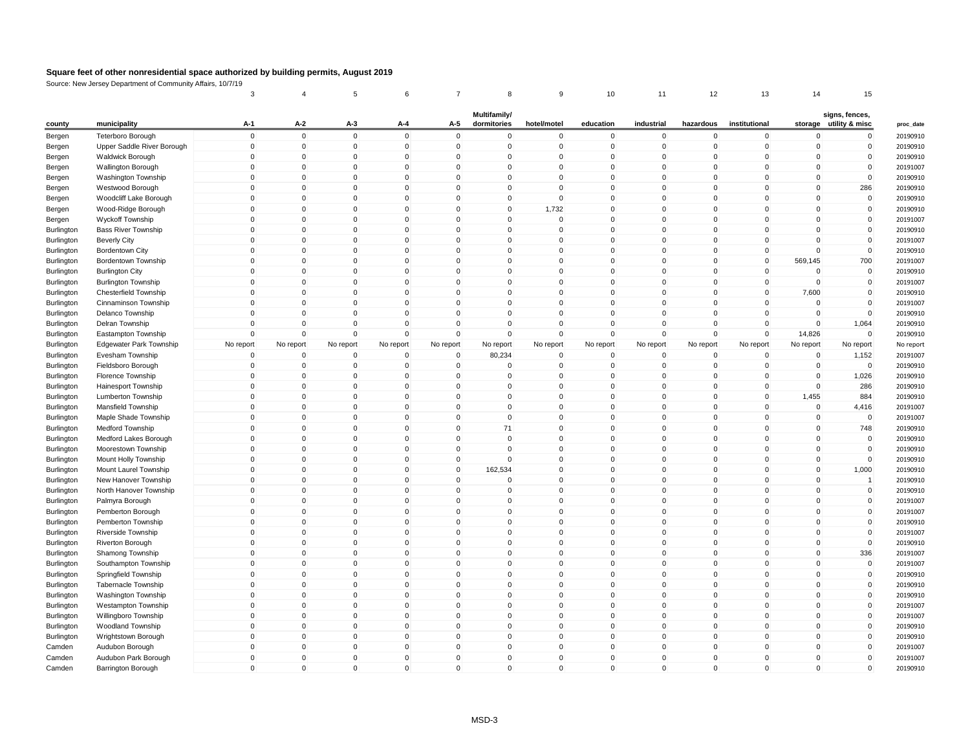|            |                                | 3                          |                            | 5                           | 6                       |                         | 8                           |                         | 10                         | 11                         | 12                          | 13                   | 14                      | 15                                       |
|------------|--------------------------------|----------------------------|----------------------------|-----------------------------|-------------------------|-------------------------|-----------------------------|-------------------------|----------------------------|----------------------------|-----------------------------|----------------------|-------------------------|------------------------------------------|
| county     | municipality                   | A-1                        | A-2                        | A-3                         | A-4                     | A-5                     | Multifamily/<br>dormitories | hotel/motel             | education                  | industrial                 | hazardous                   | institutional        |                         | signs, fences,<br>storage utility & misc |
| Bergen     | <b>Teterboro Borough</b>       | $\mathbf 0$                | $\mathbf{0}$               | $\mathbf{0}$                | $\mathbf{0}$            | $\mathbf{0}$            | $\mathbf{0}$                | $\Omega$                | $\mathbf 0$                | $\mathbf 0$                | $\mathbf 0$                 | $\mathbf{0}$         | $\Omega$                | 0                                        |
| Bergen     | Upper Saddle River Borough     | $\mathbf 0$                | $\mathbf 0$                | $\mathbf 0$                 | $\mathbf 0$             | $\mathbf 0$             | $\mathbf 0$                 | $\mathbf 0$             | $\mathbf 0$                | $\mathbf 0$                | $\mathbf 0$                 | 0                    | $\mathbf 0$             | 0                                        |
| Bergen     | <b>Waldwick Borough</b>        | $\mathbf 0$                | $\mathbf 0$                | $\mathbf 0$                 | $\mathbf 0$             | $\mathbf 0$             | $\mathbf 0$                 | $\mathbf 0$             | $\mathbf 0$                | $\mathsf 0$                | $\mathbf 0$                 | 0                    | $\Omega$                | $\mathbf 0$                              |
| Bergen     | Wallington Borough             | $\mathbf 0$                | 0                          | $\mathbf 0$                 | $\Omega$                | $\Omega$                | $\Omega$                    | $\Omega$                | $\mathbf 0$                | $\mathbf 0$                | $\mathbf 0$                 | $\Omega$             | $\mathbf 0$             | $\mathbf 0$                              |
| Bergen     | Washington Township            | $\mathbf 0$                | $\mathbf 0$                | $\mathbf 0$                 | $\Omega$                | $\Omega$                | $\mathbf 0$                 | $\Omega$                | $\mathbf 0$                | $\mathbf 0$                | $\Omega$                    | $\Omega$             | $\mathbf 0$             | $\mathbf 0$                              |
| Bergen     | Westwood Borough               | $\mathbf 0$                | $\mathbf 0$                | $\mathbf 0$                 | $\mathbf 0$             | $\mathbf 0$             | $\mathbf 0$                 | $\Omega$                | $\mathbf 0$                | $\mathsf{O}\xspace$        | $\mathbf 0$                 | 0                    | $\mathbf 0$             | 286                                      |
| Bergen     | Woodcliff Lake Borough         | $\mathbf 0$                | 0                          | $\mathbf 0$                 | $\mathbf 0$             | $\Omega$                | 0                           | $\Omega$                | $\mathbf 0$                | $\mathbf 0$                | $\mathbf 0$                 | $\Omega$             | $\mathbf 0$             | $\mathbf 0$                              |
| Bergen     | Wood-Ridge Borough             | $\mathbf 0$                | $\mathbf 0$                | $\mathbf 0$                 | $\mathbf 0$             | $\mathbf 0$             | $\mathbf{0}$                | 1,732                   | $\mathbf 0$                | $\mathbf 0$                | $\mathbf 0$                 | 0                    | $\mathbf 0$             | $\mathbf 0$                              |
| Bergen     | Wyckoff Township               | $\mathbf 0$                | $\mathbf 0$                | $\mathbf 0$                 | $\mathbf 0$             | $\mathbf 0$             | $\mathbf 0$                 | $\Omega$                | $\mathbf 0$                | $\mathsf{O}\xspace$        | $\mathbf 0$                 | 0                    | $\mathbf 0$             | $\mathbf 0$                              |
| Burlington | <b>Bass River Township</b>     | $\mathbf 0$                | $\mathbf 0$                | $\mathbf{0}$                | $\Omega$                | $\Omega$                | $\mathbf 0$                 | $\Omega$                | $\mathbf 0$                | $\mathsf{O}\xspace$        | $\mathbf{0}$                | $\Omega$             | $\Omega$                | $\mathbf 0$                              |
| Burlington | <b>Beverly City</b>            | $\mathbf 0$                | $\mathbf 0$                | $\mathbf 0$                 | $\Omega$                | $\Omega$                | $\Omega$                    | $\Omega$                | $\mathbf 0$                | $\mathbf 0$                | $\Omega$                    | $\Omega$             | $\Omega$                | $\mathbf 0$                              |
| Burlington | <b>Bordentown City</b>         | $\mathbf 0$                | $\mathbf 0$                | $\mathbf 0$                 | $\mathbf 0$             | $\mathbf 0$             | $\mathbf 0$                 | 0                       | $\mathbf 0$                | $\mathbf 0$                | $\mathbf 0$                 | 0                    | $\Omega$                | $\mathbf 0$                              |
| Burlington | Bordentown Township            | $\mathbf 0$                | $\mathbf 0$                | $\mathbf 0$                 | $\mathbf 0$             | $\Omega$                | $\mathbf 0$                 | $\Omega$                | $\mathbf 0$                | $\mathsf{O}\xspace$        | $\mathbf 0$                 | $\Omega$             | 569,145                 | 700                                      |
| Burlington | <b>Burlington City</b>         | $\mathbf 0$                | $\mathbf{0}$               | $\mathbf 0$                 | $\Omega$                | $\Omega$                | $\Omega$                    | $\Omega$                | $\mathbf 0$                | $\mathbf 0$                | $\Omega$                    | $\Omega$             | $\Omega$                | $\mathbf 0$                              |
| Burlington | <b>Burlington Township</b>     | $\mathbf 0$                | $\mathbf 0$                | $\mathbf 0$                 | $\Omega$                | $\mathbf 0$             | $\mathbf 0$                 | $\Omega$                | $\mathbf 0$                | $\mathbf 0$                | $\mathbf 0$                 | $\Omega$             | $\Omega$                | $\mathbf 0$                              |
| Burlington | Chesterfield Township          | $\mathbf 0$                | $\mathbf 0$                | $\mathbf 0$                 | $\mathbf 0$             | $\mathbf 0$             | $\mathbf 0$                 | $\mathbf 0$             | $\mathbf 0$                | $\mathbf 0$                | $\mathbf 0$                 | $\Omega$             | 7,600                   | $\mathbf 0$                              |
| Burlington | Cinnaminson Township           | $\mathbf 0$                | $\mathbf{0}$               | $\mathbf 0$                 | $\Omega$                | $\Omega$                | $\Omega$                    | $\Omega$                | $\mathbf 0$                | $\mathbf 0$                | $\Omega$                    | $\Omega$             | $\Omega$                | $\mathbf 0$                              |
| Burlington | Delanco Township               | $\mathbf 0$                | $\mathbf 0$                | $\mathbf 0$                 | $\mathbf 0$             | $\mathbf 0$             | $\mathbf 0$                 | $\Omega$                | $\mathbf 0$                | $\mathbf 0$                | $\mathbf 0$                 | $\Omega$             | $\Omega$                | $\mathbf 0$                              |
| Burlington | Delran Township                | $\mathbf 0$                | $\mathbf 0$                | $\mathbf 0$                 | $\mathbf 0$             | $\mathbf 0$             | $\mathbf{0}$                | $\mathbf 0$             | $\mathbf 0$                | $\mathsf{O}\xspace$        | $\mathbf 0$                 | $\mathbf 0$          | $\mathbf 0$             | 1,064                                    |
| Burlington | Eastampton Township            | $\mathbf 0$                | $\mathbf 0$                | $\mathbf 0$                 | $\Omega$                | $\mathbf 0$             | $\mathbf 0$                 | $\Omega$                | $\mathbf 0$                | $\mathsf{O}\xspace$        | $\mathbf 0$                 | $\mathbf 0$          | 14,826                  | $\mathbf 0$                              |
| Burlington | <b>Edgewater Park Township</b> | No report                  | No report                  | No report                   | No report               | No report               | No report                   | No report               | No report                  | No report                  | No report                   | No report            | No report               | No report                                |
| Burlington | Evesham Township               | $\mathbf 0$                | $\mathbf 0$                | $\mathbf 0$                 | $\mathbf 0$             | $\mathbf 0$             | 80,234                      | $\mathbf 0$             | $\mathbf 0$                | $\mathbf 0$                | $\mathbf 0$                 | $\mathbf 0$          | $\mathbf 0$             | 1,152                                    |
| Burlington | Fieldsboro Borough             | $\mathbf 0$                | $\mathbf{0}$               | $\mathbf 0$                 | $\mathbf 0$             | $\mathbf 0$             | $\mathbf 0$                 | $\mathbf 0$             | $\mathbf 0$                | $\mathbf 0$                | 0                           | 0                    | $\mathbf 0$             | $\mathbf 0$                              |
| Burlington | Florence Township              | $\mathbf 0$                | $\Omega$                   | $\mathbf 0$                 | $\Omega$                | $\Omega$                | $\Omega$                    | $\Omega$                | $\Omega$                   | $\mathbf 0$                | $\mathbf 0$                 | $\Omega$             | $\Omega$                | 1,026                                    |
|            |                                | $\mathbf 0$                | $\mathbf 0$                | $\mathbf 0$                 | $\mathbf 0$             | $\mathbf 0$             | $\mathbf 0$                 | $\mathbf 0$             | $\mathbf 0$                | $\mathsf{O}\xspace$        | $\mathbf 0$                 | 0                    | $\mathbf 0$             | 286                                      |
| Burlington | Hainesport Township            | $\mathbf 0$                | $\mathbf 0$                | $\mathbf 0$                 | $\mathbf 0$             | $\Omega$                | 0                           | $\Omega$                | $\mathbf 0$                |                            | $\mathbf 0$                 | $\Omega$             |                         |                                          |
| Burlington | Lumberton Township             | $\mathbf 0$                | $\mathbf{0}$               | $\mathbf 0$                 | $\Omega$                | $\Omega$                | $\Omega$                    | $\Omega$                | $\Omega$                   | $\mathbf 0$<br>$\mathbf 0$ | $\mathbf 0$                 | $\Omega$             | 1,455<br>$\Omega$       | 884                                      |
| Burlington | Mansfield Township             | $\mathbf 0$                |                            |                             | $\mathbf 0$             | $\mathbf 0$             |                             | $\mathbf 0$             | $\mathbf 0$                | $\mathsf 0$                |                             |                      | $\mathbf 0$             | 4,416                                    |
| Burlington | Maple Shade Township           | $\mathbf 0$                | $\mathbf 0$                | $\mathbf 0$                 | $\Omega$                | $\Omega$                | $\mathbf 0$<br>71           | $\Omega$                | $\mathbf 0$                |                            | $\mathbf 0$<br>$\mathbf 0$  | 0<br>$\Omega$        | $\mathbf 0$             | $\mathbf 0$                              |
| Burlington | Medford Township               |                            | $\mathbf 0$                | $\mathbf 0$                 |                         | $\Omega$                |                             |                         |                            | $\mathbf 0$                |                             |                      | $\Omega$                | 748                                      |
| Burlington | Medford Lakes Borough          | $\mathbf 0$<br>$\mathbf 0$ | $\mathbf 0$<br>$\mathbf 0$ | $\mathbf{0}$<br>$\mathbf 0$ | $\Omega$<br>$\mathbf 0$ | $\mathbf 0$             | $\Omega$<br>$\mathbf 0$     | $\Omega$<br>$\mathbf 0$ | $\mathbf 0$<br>$\mathbf 0$ | $\mathbf 0$<br>$\mathbf 0$ | $\mathbf{0}$<br>$\mathbf 0$ | $\Omega$<br>0        | $\mathbf 0$             | $\mathbf 0$<br>$\mathbf 0$               |
| Burlington | Moorestown Township            |                            |                            |                             | $\mathbf 0$             |                         | $\mathbf 0$                 | $\Omega$                |                            |                            |                             | $\Omega$             | $\mathbf 0$             |                                          |
| Burlington | Mount Holly Township           | $\mathbf 0$                | $\mathbf 0$                | $\mathbf 0$<br>$\mathbf{0}$ | $\Omega$                | $\mathbf 0$             |                             | $\Omega$                | $\mathbf 0$<br>$\mathbf 0$ | $\mathbf 0$                | $\mathbf 0$                 | $\Omega$             | $\Omega$                | $\mathbf 0$                              |
| Burlington | Mount Laurel Township          | $\mathbf 0$                | $\mathbf 0$                |                             | $\Omega$                | $\mathsf 0$<br>$\Omega$ | 162,534                     |                         |                            | $\mathsf 0$                | $\mathbf{0}$                |                      | $\Omega$                | 1,000                                    |
| Burlington | New Hanover Township           | $\pmb{0}$                  | $\mathbf{0}$               | $\mathbf{0}$                |                         |                         | $\mathbf 0$                 | $\Omega$                | $\mathbf 0$                | $\mathbf 0$                | $\mathbf{0}$                | $\Omega$             |                         | $\mathbf{1}$                             |
| Burlington | North Hanover Township         | $\mathbf 0$                | $\mathbf 0$                | $\mathbf 0$<br>$\mathbf{0}$ | $\mathbf 0$<br>$\Omega$ | $\mathbf 0$<br>$\Omega$ | 0<br>$\Omega$               | $\mathbf 0$<br>$\Omega$ | $\mathbf 0$<br>$\mathbf 0$ | $\mathbf 0$                | $\mathbf 0$                 | $\Omega$<br>$\Omega$ | $\mathbf 0$<br>$\Omega$ | $\mathbf 0$                              |
| Burlington | Palmyra Borough                | $\mathbf 0$                | $\mathbf 0$                |                             |                         |                         |                             |                         |                            | $\mathsf 0$                | $\mathbf{0}$                |                      |                         | $\mathsf 0$                              |
| Burlington | Pemberton Borough              | $\mathbf 0$                | $\mathbf{0}$               | $\mathbf{0}$                | $\Omega$                | $\Omega$                | $\Omega$                    | $\Omega$                | $\Omega$                   | $\mathbf{0}$               | $\Omega$                    | $\Omega$             | $\Omega$                | $\mathbf{0}$                             |
| Burlington | Pemberton Township             | $\mathbf 0$                | $\mathbf 0$                | $\mathbf 0$                 | $\mathbf 0$             | $\mathbf 0$             | 0                           | 0                       | $\mathbf 0$                | $\mathbf 0$                | $\mathbf 0$                 | $\Omega$             | $\mathbf 0$             | $\mathbf 0$                              |
| Burlington | Riverside Township             | $\mathbf 0$                | $\mathbf 0$                | $\mathbf 0$                 | $\mathbf 0$             | $\Omega$                | $\mathbf 0$                 | $\mathbf 0$             | $\mathbf 0$                | $\mathsf 0$                | $\mathbf 0$                 | $\Omega$             | $\Omega$                | $\mathsf{O}\xspace$                      |
| Burlington | Riverton Borough               | $\mathbf 0$                | $\mathbf{0}$               | $\mathbf{0}$                | $\Omega$                | $\Omega$                | $\Omega$                    | $\Omega$                | $\Omega$                   | $\mathbf{0}$               | $\Omega$                    | $\Omega$             | $\Omega$                | $\mathbf 0$                              |
| Burlington | Shamong Township               | $\mathbf 0$                | $\mathbf 0$                | $\mathbf 0$                 | $\mathbf 0$             | $\mathbf 0$             | 0                           | 0                       | $\mathbf 0$                | $\mathbf 0$                | $\mathbf 0$                 | 0                    | $\mathbf 0$             | 336                                      |
| Burlington | Southampton Township           | $\mathbf 0$                | $\mathbf 0$                | $\mathbf 0$                 | $\mathbf 0$             | $\mathbf 0$             | $\mathbf 0$                 | $\mathbf 0$             | $\mathbf 0$                | $\mathsf 0$                | $\mathbf 0$                 | 0                    | $\mathbf 0$             | $\mathbf 0$                              |
| Burlington | Springfield Township           | $\mathbf 0$                | $\mathbf{0}$               | $\mathbf{0}$                | $\Omega$                | $\Omega$                | $\Omega$                    | $\Omega$                | $\Omega$                   | $\mathbf{0}$               | $\Omega$                    | $\Omega$             | $\Omega$                | $\Omega$                                 |
| Burlington | <b>Tabernacle Township</b>     | $\mathbf 0$                | $\mathbf 0$                | $\pmb{0}$                   | $\mathbf 0$             | $\Omega$                | 0                           | $\Omega$                | $\mathbf 0$                | $\mathbf 0$                | $\pmb{0}$                   | $\Omega$             | $\mathbf 0$             | $\mathbf 0$                              |
| Burlington | Washington Township            | $\mathbf 0$                | $\mathbf 0$                | $\mathbf 0$                 | $\mathbf 0$             | $\mathbf 0$             | $\mathbf 0$                 | 0                       | $\mathbf 0$                | $\mathsf 0$                | $\mathbf 0$                 | 0                    | $\mathbf 0$             | $\mathbf 0$                              |
| Burlington | Westampton Township            | $\mathbf 0$                | $\mathbf{0}$               | $\mathbf{0}$                | $\Omega$                | $\Omega$                | $\Omega$                    | $\Omega$                | $\Omega$                   | $\mathbf{0}$               | $\Omega$                    | $\Omega$             | $\Omega$                | $\mathbf 0$                              |
| Burlington | Willingboro Township           | $\mathbf 0$                | $\mathbf 0$                | $\mathbf 0$                 | $\mathbf 0$             | $\mathbf 0$             | $\mathbf{0}$                | $\Omega$                | $\mathbf 0$                | $\mathbf 0$                | $\mathbf 0$                 | $\Omega$             | $\mathbf 0$             | $\mathbf 0$                              |
| Burlington | <b>Woodland Township</b>       | $\mathbf 0$                | 0                          | $\mathbf 0$                 | $\mathbf 0$             | $\mathbf 0$             | 0                           | 0                       | $\mathbf 0$                | $\mathbf 0$                | 0                           | 0                    | $\mathbf 0$             | $\mathbf 0$                              |
| Burlington | Wrightstown Borough            | $\mathbf 0$                | $\mathbf{0}$               | $\mathbf{0}$                | $\Omega$                | $\Omega$                | $\Omega$                    | $\Omega$                | $\Omega$                   | $\mathbf{0}$               | $\Omega$                    | $\Omega$             | $\Omega$                | $\mathbf 0$                              |
| Camden     | Audubon Borough                | $\mathbf 0$                | $\mathbf 0$                | $\mathbf 0$                 | $\mathbf 0$             | $\Omega$                | 0                           | $\Omega$                | $\mathbf 0$                | $\mathbf 0$                | $\mathbf 0$                 | $\Omega$             | $\Omega$                | $\mathbf 0$                              |
| Camden     | Audubon Park Borough           | $\mathbf 0$                | $\mathbf{0}$               | $\mathbf 0$                 | $\mathbf 0$             | $\mathbf 0$             | 0                           | 0                       | $\mathbf 0$                | $\mathbf 0$                | 0                           | 0                    | $\mathbf 0$             | $\mathbf 0$                              |
| Camden     | Barrington Borough             | $\mathbf 0$                | $\Omega$                   | $\Omega$                    | $\Omega$                | $\Omega$                | $\Omega$                    | $\Omega$                | $\Omega$                   | $\Omega$                   | $\Omega$                    | $\Omega$             | $\Omega$                | $\mathbf{0}$                             |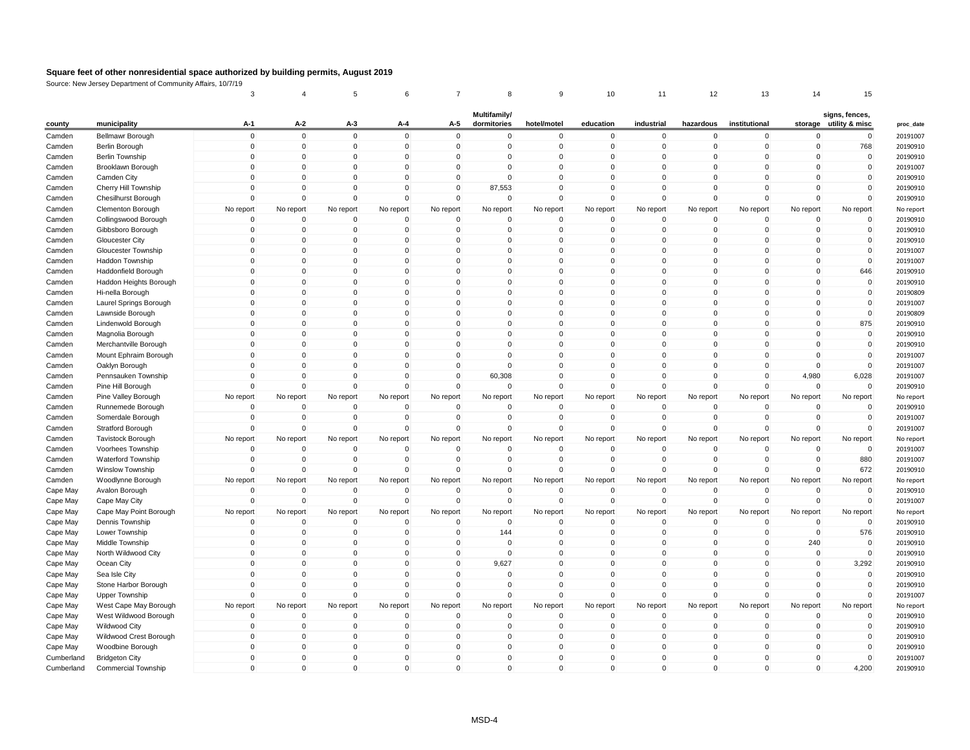|                      |                            | 3              |              | 5                   | 6                   | $\overline{7}$ | 8                           | 9            | 10           | 11          | 12          | 13            | 14             | 15                                       |
|----------------------|----------------------------|----------------|--------------|---------------------|---------------------|----------------|-----------------------------|--------------|--------------|-------------|-------------|---------------|----------------|------------------------------------------|
| county               | municipality               | A-1            | A-2          | $A-3$               | $A-4$               | A-5            | Multifamily/<br>dormitories | hotel/motel  | education    | industrial  | hazardous   | institutional |                | signs, fences,<br>storage utility & misc |
| Camden               | Bellmawr Borough           | $\mathbf 0$    | $\mathbf 0$  | $\mathbf 0$         | $\mathbf{0}$        | $\mathbf 0$    | 0                           | $\mathbf 0$  | $\mathbf 0$  | $\Omega$    | $\mathbf 0$ | $\mathbf{0}$  | $\mathbf 0$    | 0                                        |
| Camden               | Berlin Borough             | $\overline{0}$ | $\mathbf 0$  | $\mathsf{O}\xspace$ | $\mathbf 0$         | $\mathbf 0$    | $\mathbf 0$                 | $\mathbf{0}$ | $\mathbf 0$  | $\Omega$    | $\Omega$    | $\Omega$      | $\overline{0}$ | 768                                      |
| Camden               | <b>Berlin Township</b>     | $\Omega$       | $\Omega$     | $\Omega$            | $\mathbf{0}$        | $\mathbf 0$    | $\mathbf{0}$                | $\Omega$     | $\Omega$     | $\Omega$    | $\Omega$    | $\Omega$      | $\Omega$       | $\mathbf 0$                              |
| Camden               | Brooklawn Borough          | $\mathbf 0$    | $\mathbf 0$  | $\mathbf 0$         | $\mathbf 0$         | $\mathbf 0$    | $\mathbf 0$                 | $\mathbf 0$  | $\mathbf 0$  | $\mathbf 0$ | $\mathbf 0$ | $\Omega$      | $\mathbf 0$    | $\pmb{0}$                                |
| Camden               | Camden City                | $\Omega$       | $\Omega$     | $\mathsf{O}\xspace$ | $\mathbf{0}$        | $\mathbf 0$    | $\mathbf 0$                 | $\Omega$     | $\mathbf{0}$ | $\Omega$    | $\Omega$    | $\Omega$      | $\overline{0}$ | $\mathbf 0$                              |
| Camden               | Cherry Hill Township       | $\Omega$       | $\Omega$     | $\Omega$            | $\Omega$            | $\mathbf 0$    | 87,553                      | $\Omega$     | $\Omega$     | $\Omega$    | $\Omega$    | $\Omega$      | $\Omega$       | $\mathbf 0$                              |
| Camden               | <b>Chesilhurst Borough</b> | $\mathbf 0$    | $\mathbf 0$  | 0                   | $\Omega$            | $\mathbf 0$    | $\mathbf 0$                 | $\Omega$     | $\mathbf 0$  | $\Omega$    | $\mathbf 0$ | $\mathbf 0$   | $\overline{0}$ | $\mathbf 0$                              |
| Camden               | Clementon Borough          | No report      | No report    | No report           |                     | No report      | No report                   | No report    | No report    | No report   | No report   | No report     | No report      | No report                                |
| Camden               | Collingswood Borough       | $\mathbf 0$    | $\mathbf 0$  | 0                   | No report<br>0      | $\mathbf 0$    | 0                           | 0            | 0            | $\mathbf 0$ | 0           | $\mathbf 0$   | $\overline{0}$ | 0                                        |
| Camden               | Gibbsboro Borough          | $\mathbf 0$    | $\mathbf 0$  | $\mathbf 0$         | $\mathbf 0$         | $\mathbf 0$    | $\mathbf 0$                 | $\mathbf 0$  | $\mathbf 0$  | $\mathbf 0$ | $\mathbf 0$ | $\mathbf{0}$  | $\overline{0}$ | $\pmb{0}$                                |
| Camden               | <b>Gloucester City</b>     | $\Omega$       | $\Omega$     | 0                   | $\Omega$            | $\Omega$       | 0                           | $\Omega$     | $\Omega$     | $\Omega$    | $\Omega$    | $\Omega$      | $\Omega$       | $\mathbf 0$                              |
| Camden               | Gloucester Township        | $\mathbf 0$    | $\mathbf 0$  | $\mathbf 0$         | $\mathbf 0$         | $\mathbf 0$    | 0                           | 0            | 0            | $\mathbf 0$ | 0           | $\Omega$      | 0              | $\mathbf 0$                              |
|                      |                            | $\overline{0}$ | $\mathbf 0$  | $\mathbf 0$         | $\Omega$            | $\mathbf 0$    | $\mathbf 0$                 | $\Omega$     | $\Omega$     | $\Omega$    | $\mathbf 0$ | $\Omega$      | $\overline{0}$ | $\mathbf 0$                              |
| Camden               | Haddon Township            |                | $\Omega$     |                     |                     |                |                             |              |              | $\Omega$    |             |               |                |                                          |
| Camden               | Haddonfield Borough        | $\mathbf 0$    |              | $\mathbf 0$         | $\Omega$            | $\mathbf 0$    | $\mathbf{0}$                | $\Omega$     | $\Omega$     |             | $\Omega$    | $\Omega$      | $\Omega$       | 646                                      |
| Camden               | Haddon Heights Borough     | $\Omega$       | $\Omega$     | $\mathbf 0$         | $\mathbf{0}$        | $\mathbf 0$    | $\mathbf 0$                 | $\Omega$     | $\Omega$     | $\Omega$    | $\Omega$    | $\Omega$      | $\overline{0}$ | $\mathbf 0$                              |
| Camden               | Hi-nella Borough           | $\mathbf 0$    | $\mathbf 0$  | $\mathbf 0$         | $\mathbf{0}$        | $\mathbf 0$    | $\mathbf 0$                 | $\mathbf 0$  | $\Omega$     | $\Omega$    | $\Omega$    | $\Omega$      | $\overline{0}$ | $\mathbf 0$                              |
| Camden               | Laurel Springs Borough     | $\Omega$       | $\Omega$     | $\mathbf 0$         | $\Omega$            | $\mathbf 0$    | $\mathbf{0}$                | $\Omega$     | $\mathbf{0}$ | $\Omega$    | $\Omega$    | $\Omega$      | $\Omega$       | $\mathbf 0$                              |
| Camden               | Lawnside Borough           | $\mathbf 0$    | $\Omega$     | $\mathbf 0$         | $\mathbf{0}$        | $\mathbf 0$    | $\mathbf 0$                 | $\Omega$     | $\Omega$     | $\Omega$    | $\Omega$    | $\Omega$      | $\overline{0}$ | $\mathbf 0$                              |
| Camden               | Lindenwold Borough         | $\mathbf 0$    | $\mathbf 0$  | $\mathbf 0$         | $\mathsf{O}\xspace$ | $\mathbf 0$    | $\mathbf 0$                 | $\mathbf{0}$ | $\mathbf 0$  | $\Omega$    | $\mathbf 0$ | $\Omega$      | $\mathbf 0$    | 875                                      |
| Camden               | Magnolia Borough           | $\Omega$       | $\Omega$     | $\mathbf 0$         | $\Omega$            | $\mathbf 0$    | $\mathbf{0}$                | $\Omega$     | $\Omega$     | $\Omega$    | $\Omega$    | $\Omega$      | $\overline{0}$ | $\mathbf 0$                              |
| Camden               | Merchantville Borough      | $\mathbf 0$    | $\Omega$     | 0                   | $\mathbf{0}$        | $\mathbf 0$    | $\mathbf{0}$                | $\Omega$     | $\Omega$     | $\Omega$    | $\Omega$    | $\Omega$      | $\overline{0}$ | $\mathbf 0$                              |
| Camden               | Mount Ephraim Borough      | $\mathbf 0$    | $\mathbf 0$  | $\mathbf 0$         | $\mathbf{0}$        | $\mathbf 0$    | $\mathbf 0$                 | $\mathbf{0}$ | $\mathbf 0$  | $\Omega$    | $\mathbf 0$ | $\mathbf{0}$  | $\mathbf 0$    | $\mathbf 0$                              |
| Camden               | Oaklyn Borough             | $\Omega$       | $\Omega$     | 0                   | $\Omega$            | $\mathbf 0$    | 0                           | $\Omega$     | $\Omega$     | $\Omega$    | $\Omega$    | $\Omega$      | $\mathbf 0$    | $\mathbf 0$                              |
| Camden               | Pennsauken Township        | $\Omega$       | $\Omega$     | $\Omega$            | $\Omega$            | $\mathbf 0$    | 60,308                      | $\Omega$     | $\Omega$     | $\Omega$    | $\Omega$    | $\Omega$      | 4,980          | 6,028                                    |
| Camden               | Pine Hill Borough          | $\Omega$       | $\mathbf 0$  | $\mathbf 0$         | $\Omega$            | $\mathbf 0$    | 0                           | $\Omega$     | $\mathbf 0$  | $\Omega$    | $\Omega$    | $\Omega$      | $\mathbf 0$    | $\mathbf 0$                              |
| Camden               | Pine Valley Borough        | No report      | No report    | No report           | No report           | No report      | No report                   | No report    | No report    | No report   | No report   | No report     | No report      | No report                                |
| Camden               | Runnemede Borough          | $\Omega$       | $\Omega$     | 0                   | $\Omega$            | $\mathbf 0$    | $\Omega$                    | $\Omega$     | $\Omega$     | $\Omega$    | $\Omega$    | $\Omega$      | $\Omega$       | 0                                        |
| Camden               | Somerdale Borough          | $\mathbf 0$    | $\mathbf 0$  | $\mathsf{O}\xspace$ | $\mathbf 0$         | $\mathbf 0$    | $\mathbf 0$                 | $\mathbf 0$  | $\mathbf 0$  | $\Omega$    | $\mathbf 0$ | $\mathbf{0}$  | $\mathbf 0$    | $\mathbf 0$                              |
| Camden               | Stratford Borough          | $\mathbf 0$    | $\mathbf 0$  | 0                   | 0                   | $\mathbf 0$    | 0                           | $\mathbf 0$  | 0            | $\mathbf 0$ | 0           | $\mathbf 0$   | $\overline{0}$ | $\mathbf 0$                              |
| Camden               | <b>Tavistock Borough</b>   | No report      | No report    | No report           | No report           | No report      | No report                   | No report    | No report    | No report   | No report   | No report     | No report      | No report                                |
| Camden               | Voorhees Township          | $\mathbf 0$    | $\mathbf 0$  | $\mathbf 0$         | $\mathbf 0$         | $\mathbf 0$    | 0                           | $\mathbf 0$  | $\mathbf 0$  | $\Omega$    | 0           | $\Omega$      | $\mathbf 0$    | $\mathbf 0$                              |
| Camden               | <b>Waterford Township</b>  | $\mathbf 0$    | $\mathbf 0$  | $\mathbf 0$         | 0                   | $\overline{0}$ | 0                           | $\Omega$     | 0            | $\mathbf 0$ | $\Omega$    | $\mathbf 0$   | $\mathbf 0$    | 880                                      |
| Camden               | Winslow Township           | $\Omega$       | $\Omega$     | $\mathbf 0$         | $\Omega$            | $\mathbf 0$    | $\Omega$                    | $\Omega$     | $\Omega$     | $\Omega$    | $\Omega$    | $\Omega$      | $\Omega$       | 672                                      |
| Camden               | Woodlynne Borough          | No report      | No report    | No report           | No report           | No report      | No report                   | No report    | No report    | No report   | No report   | No report     | No report      | No report                                |
| Cape May             | Avalon Borough             | $\circ$        | $\mathbf 0$  | $\mathbf 0$         | $\mathbf 0$         | $\overline{0}$ | 0                           | $\Omega$     | 0            | $\Omega$    | $\Omega$    | $\Omega$      | $\mathbf 0$    | $\mathbf 0$                              |
| Cape May             | Cape May City              | $\Omega$       | $\Omega$     | $\mathbf 0$         | $\Omega$            | $\mathbf 0$    | $\mathbf 0$                 | $\Omega$     | $\mathbf 0$  | $\Omega$    | $\mathbf 0$ | $\Omega$      | $\mathbf 0$    | $\mathbf 0$                              |
| Cape May             | Cape May Point Borough     | No report      | No report    | No report           | No report           | No report      | No report                   | No report    | No report    | No report   | No report   | No report     | No report      | No report                                |
| Cape May             | Dennis Township            | $\circ$        | $\mathbf 0$  | $\mathbf 0$         | 0                   | $\mathbf 0$    | 0                           | $\Omega$     | $\mathbf 0$  | $\mathbf 0$ | 0           | $\Omega$      | $\mathbf 0$    | 0                                        |
| Cape May             | Lower Township             | $\mathbf 0$    | $\mathbf{0}$ | $\mathbf 0$         | $\mathbf{0}$        | $\mathbf 0$    | 144                         | $\Omega$     | $\Omega$     | $\Omega$    | $\Omega$    | $\Omega$      | $\overline{0}$ | 576                                      |
| Cape May             | Middle Township            | $\overline{0}$ | $\mathbf 0$  | 0                   | $\mathbf 0$         | $\mathbf 0$    | 0                           | $\mathbf 0$  | $\mathbf 0$  | $\mathbf 0$ | $\mathbf 0$ | $\mathbf 0$   | 240            | $\mathbf 0$                              |
|                      | North Wildwood City        | $\mathbf 0$    | $\mathbf 0$  | 0                   | 0                   | $\mathbf 0$    | $\mathbf 0$                 | $\mathbf 0$  | $\mathbf 0$  | $\mathbf 0$ | $\Omega$    | $\Omega$      | $\overline{0}$ | $\mathbf 0$                              |
| Cape May<br>Cape May | Ocean City                 | $\Omega$       | $\Omega$     | $\mathbf 0$         | $\mathbf{0}$        | $\mathbf 0$    | 9,627                       | $\Omega$     | $\Omega$     | $\Omega$    | $\Omega$    | $\Omega$      | $\overline{0}$ | 3,292                                    |
|                      |                            | $\overline{0}$ | $\mathbf 0$  |                     |                     |                |                             |              |              | $\mathbf 0$ | $\mathbf 0$ |               |                |                                          |
| Cape May             | Sea Isle City              |                |              | $\mathbf 0$         | $\mathbf 0$         | $\mathbf 0$    | $\mathbf 0$                 | $\mathbf 0$  | $\mathbf 0$  |             |             | $\mathbf 0$   | $\mathbf 0$    | $\mathbf 0$                              |
| Cape May             | Stone Harbor Borough       | $\mathbf 0$    | $\Omega$     | $\mathbf 0$         | $\Omega$            | $\mathbf 0$    | $\mathbf 0$                 | $\Omega$     | $\Omega$     | $\Omega$    | $\Omega$    | $\Omega$      | $\Omega$       | $\mathbf 0$                              |
| Cape May             | <b>Upper Township</b>      | $\Omega$       | $\Omega$     | 0                   | $\Omega$            | $\mathbf 0$    | $\Omega$                    | $\Omega$     | $\Omega$     | $\Omega$    | $\Omega$    | $\Omega$      | $\Omega$       | $\mathbf 0$                              |
| Cape May             | West Cape May Borough      | No report      | No report    | No report           | No report           | No report      | No report                   | No report    | No report    | No report   | No report   | No report     | No report      | No report                                |
| Cape May             | West Wildwood Borough      | $\mathbf 0$    | $\Omega$     | $\mathbf 0$         | $\Omega$            | $\mathbf 0$    | 0                           | $\Omega$     | $\Omega$     | $\Omega$    | $\Omega$    | $\Omega$      | $\overline{0}$ | $\mathbf 0$                              |
| Cape May             | Wildwood City              | $\mathbf 0$    | $\Omega$     | $\mathbf 0$         | $\mathbf{0}$        | $\mathbf 0$    | 0                           | $\Omega$     | $\mathbf{0}$ | $\Omega$    | $\Omega$    | $\Omega$      | $\Omega$       | $\mathbf 0$                              |
| Cape May             | Wildwood Crest Borough     | $\mathbf 0$    | $\mathbf 0$  | $\mathbf 0$         | $\mathbf 0$         | $\mathbf 0$    | 0                           | $\mathbf 0$  | $\mathbf 0$  | $\mathbf 0$ | $\mathbf 0$ | $\mathbf 0$   | $\overline{0}$ | $\mathbf 0$                              |
| Cape May             | Woodbine Borough           | $\mathbf 0$    | $\Omega$     | $\mathbf 0$         | $\Omega$            | $\mathbf 0$    | 0                           | $\Omega$     | $\Omega$     | $\Omega$    | $\Omega$    | $\Omega$      | $\Omega$       | $\mathbf 0$                              |
| Cumberland           | <b>Bridgeton City</b>      | $\Omega$       | $\Omega$     | $\Omega$            | $\Omega$            | $\Omega$       | $\mathbf{0}$                | $\Omega$     | $\mathbf{0}$ | $\Omega$    | $\Omega$    | $\Omega$      | $\Omega$       | $\mathbf 0$                              |
| Cumberland           | <b>Commercial Township</b> | $\Omega$       | $\mathbf 0$  | 0                   | $\Omega$            | $\mathbf 0$    | $\mathbf{0}$                | $\Omega$     | $\mathbf 0$  | $\Omega$    | $\Omega$    | $\Omega$      | $\Omega$       | 4,200                                    |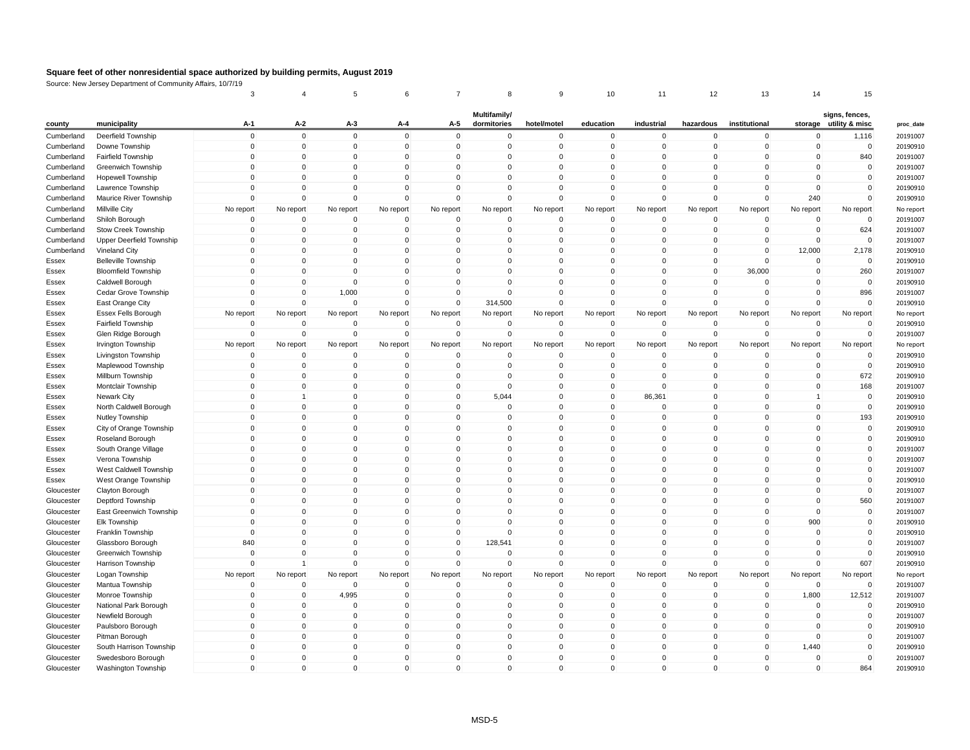|            |                            | 3            |              | 5           | 6            | $\overline{7}$ | 8            | 9           | 10                          | 11                          | 12           | 13            | 14          | 15                                  |
|------------|----------------------------|--------------|--------------|-------------|--------------|----------------|--------------|-------------|-----------------------------|-----------------------------|--------------|---------------|-------------|-------------------------------------|
|            |                            |              |              |             |              |                | Multifamily/ |             |                             |                             |              |               |             | signs, fences,                      |
| county     | municipality               | A-1          | A-2          | $A-3$       | A-4          | A-5            | dormitories  | hotel/motel | education                   | industrial                  | hazardous    | institutional |             | storage utility & misc<br>proc_date |
| Cumberland | Deerfield Township         | $\mathbf 0$  | $\mathbf 0$  | $\mathbf 0$ | $\mathbf 0$  | $\mathbf 0$    | 0            | $\mathbf 0$ | $\mathbf 0$                 | $\mathbf 0$                 | $\mathbf 0$  | $\mathbf 0$   | $\mathbf 0$ | 20191007<br>1,116                   |
| Cumberland | Downe Township             | $\mathbf 0$  | $\mathbf 0$  | $\mathbf 0$ | $\mathbf 0$  | $\mathbf 0$    | $\mathbf 0$  | $\mathbf 0$ | $\mathbf 0$                 | $\overline{0}$              | 0            | 0             | $\mathbf 0$ | $\mathbf 0$<br>20190910             |
| Cumberland | Fairfield Township         | $\mathbf{0}$ | $\Omega$     | $\mathbf 0$ | $\Omega$     | $\Omega$       | $\Omega$     | $\Omega$    | $\mathbf{0}$                | $\mathbf 0$                 | $\Omega$     | $\Omega$      | $\Omega$    | 840<br>20191007                     |
| Cumberland | Greenwich Township         | $\mathbf 0$  | $\mathbf 0$  | $\mathbf 0$ | $\mathbf 0$  | $\mathbf 0$    | $\mathbf 0$  | $\mathbf 0$ | $\mathbf 0$                 | $\mathbf 0$                 | $\mathbf 0$  | $\mathbf 0$   | $\mathbf 0$ | $\mathbf 0$<br>20191007             |
| Cumberland | <b>Hopewell Township</b>   | $\mathbf 0$  | $\mathbf 0$  | $\mathbf 0$ | $\Omega$     | $\mathbf 0$    | 0            | $\mathbf 0$ | $\mathbf 0$                 | $\mathbf 0$                 | 0            | $\Omega$      | $\mathbf 0$ | $\mathbf 0$<br>20191007             |
| Cumberland | Lawrence Township          | $\mathbf{0}$ | $\Omega$     | $\Omega$    | $\Omega$     | $\Omega$       | $\mathbf{0}$ | $\Omega$    | $\mathbf{0}$                | $\mathbf 0$                 | $\Omega$     | $\Omega$      | $\Omega$    | $\mathbf{0}$<br>20190910            |
| Cumberland | Maurice River Township     | $\mathbf 0$  | $\mathbf 0$  | $\mathbf 0$ | $\Omega$     | $\mathbf 0$    | $\mathbf 0$  | $\mathbf 0$ | $\mathbf 0$                 | $\mathbf 0$                 | $\mathbf 0$  | $\mathbf 0$   | 240         | $\mathbf 0$<br>20190910             |
| Cumberland | Millville City             | No report    | No report    | No report   | No report    | No report      | No report    | No report   | No report                   | No report                   | No report    | No report     | No report   | No report<br>No report              |
| Cumberland | Shiloh Borough             | $\Omega$     | $\Omega$     | $\mathbf 0$ | $\Omega$     | $\Omega$       | $\Omega$     | $\Omega$    | $\mathbf{0}$                | $\mathbf 0$                 | $\Omega$     | $\mathbf 0$   | $\Omega$    | $\Omega$<br>20191007                |
| Cumberland | Stow Creek Township        | $\mathbf 0$  | $\mathbf 0$  | $\mathbf 0$ | $\mathbf 0$  | $\mathbf 0$    | $\mathbf 0$  | $\mathbf 0$ | $\mathbf 0$                 | $\mathbf 0$                 | $\mathbf 0$  | $\mathbf 0$   | $\mathbf 0$ | 624<br>20191007                     |
| Cumberland | Upper Deerfield Township   | $\mathbf 0$  | $\Omega$     | $\mathbf 0$ | $\Omega$     | $\Omega$       | $\mathbf 0$  | $\mathbf 0$ | $\mathbf 0$                 | $\mathbf 0$                 | $\Omega$     | $\mathbf 0$   | $\Omega$    | $\mathbf 0$<br>20191007             |
| Cumberland | Vineland City              | $\Omega$     | $\mathbf 0$  | $\mathbf 0$ | $\mathbf{0}$ | $\Omega$       | $\mathbf{0}$ | $\Omega$    | $\mathbf{0}$                | $\mathbf 0$                 | $\Omega$     | $\Omega$      | 12,000      | 2,178<br>20190910                   |
| Essex      | <b>Belleville Township</b> | $\mathbf 0$  | $\mathbf 0$  | $\mathbf 0$ | $\mathbf 0$  | $\mathbf 0$    | $\mathbf 0$  | $\mathbf 0$ | $\mathbf 0$                 | $\mathbf 0$                 | $\mathbf 0$  | $\mathbf{0}$  | $\mathbf 0$ | $\mathbf 0$<br>20190910             |
| Essex      | <b>Bloomfield Township</b> | $\mathbf 0$  | $\mathbf 0$  | $\mathbf 0$ | $\Omega$     | $\mathbf 0$    | $\mathbf 0$  | $\mathbf 0$ | $\mathbf 0$                 | $\mathbf 0$                 | $\mathbf 0$  | 36,000        | $\Omega$    | 260<br>20191007                     |
| Essex      | Caldwell Borough           | $\mathbf 0$  | $\Omega$     | $\Omega$    | $\mathbf 0$  | $\Omega$       | $\mathbf 0$  | $\Omega$    | $\mathbf 0$                 | $\mathbf 0$                 | 0            | $\Omega$      | $\Omega$    | $\mathbf 0$<br>20190910             |
| Essex      | Cedar Grove Township       | $\mathbf 0$  | $\mathbf 0$  | 1,000       | $\mathbf 0$  | $\mathbf 0$    | $\mathbf 0$  | $\mathbf 0$ | $\mathbf 0$                 | $\mathbf 0$                 | $\mathbf 0$  | $\mathbf 0$   | $\mathbf 0$ | 896<br>20191007                     |
| Essex      | East Orange City           | $\mathbf 0$  | $\Omega$     | $\mathbf 0$ | $\Omega$     | $\mathbf 0$    | 314,500      | $\mathbf 0$ | $\mathbf 0$                 | $\mathbf 0$                 | $\mathbf{0}$ | $\mathbf{0}$  | $\Omega$    | $\mathbf 0$<br>20190910             |
| Essex      | Essex Fells Borough        | No report    | No report    | No report   | No report    | No report      | No report    | No report   | No report                   | No report                   | No report    | No report     | No report   | No report<br>No report              |
| Essex      | Fairfield Township         | $\mathbf 0$  | $\mathbf 0$  | $\mathbf 0$ | $\mathbf 0$  | $\mathbf 0$    | $\mathbf 0$  | $\mathbf 0$ | $\mathbf 0$                 | $\mathbf 0$                 | $\mathbf 0$  | $\mathbf 0$   | $\mathbf 0$ | $\mathbf 0$<br>20190910             |
| Essex      | Glen Ridge Borough         | $\mathbf 0$  | $\mathbf 0$  | $\mathbf 0$ | $\Omega$     | $\mathbf 0$    | $\mathbf 0$  | $\mathbf 0$ | $\mathbf 0$                 | $\mathbf 0$                 | $\mathbf 0$  | $\mathbf{0}$  | $\Omega$    | $\mathbf 0$<br>20191007             |
| Essex      | Irvington Township         | No report    | No report    | No report   | No report    | No report      | No report    | No report   | No report                   | No report                   | No report    | No report     | No report   | No report<br>No report              |
| Essex      | Livingston Township        | $\mathbf 0$  | $\mathbf 0$  | $\mathbf 0$ | $\mathbf 0$  | $\mathbf 0$    | 0            | $\mathbf 0$ | $\mathbf 0$                 | $\mathbf 0$                 | 0            | $\mathbf 0$   | $\mathbf 0$ | $\mathbf 0$<br>20190910             |
| Essex      | Maplewood Township         | $\mathbf 0$  | $\Omega$     | $\mathbf 0$ | $\Omega$     | $\mathbf 0$    | $\mathbf 0$  | $\mathbf 0$ | $\mathbf 0$                 | $\mathbf 0$                 | 0            | $\mathbf 0$   | $\Omega$    | $\mathbf 0$<br>20190910             |
| Essex      | Millburn Township          | $\Omega$     | $\Omega$     | $\Omega$    | $\Omega$     | $\Omega$       | $\Omega$     | $\Omega$    | $\mathbf 0$                 | $\mathbf 0$                 | 0            | $\Omega$      | $\Omega$    | 672<br>20190910                     |
| Essex      | Montclair Township         | $\mathbf 0$  | $\mathbf 0$  | $\mathbf 0$ | $\mathbf 0$  | $\mathbf 0$    | $\mathbf 0$  | $\mathbf 0$ | $\mathbf 0$                 | $\overline{0}$              | $\mathbf 0$  | $\Omega$      | $\mathbf 0$ | 168<br>20191007                     |
| Essex      | Newark City                | $\mathbf 0$  | $\mathbf{1}$ | $\mathbf 0$ | $\Omega$     | $\mathbf 0$    | 5,044        | $\mathbf 0$ | $\mathbf 0$                 | 86,361                      | $\mathbf 0$  | $\mathbf{0}$  | 1           | $\mathbf 0$<br>20190910             |
| Essex      | North Caldwell Borough     | $\Omega$     | $\Omega$     | 0           | $\Omega$     | $\Omega$       | $\mathbf 0$  | $\Omega$    | $\mathbf 0$                 | $\mathbf 0$                 | 0            | $\Omega$      | $\Omega$    | $\mathbf 0$<br>20190910             |
| Essex      | Nutley Township            | $\mathbf 0$  | $\mathbf 0$  | $\mathbf 0$ | $\Omega$     | $\Omega$       | $\mathbf 0$  | $\mathbf 0$ | $\mathbf 0$                 | $\mathbf 0$                 | $\mathbf 0$  | $\Omega$      | $\Omega$    | 193<br>20190910                     |
| Essex      | City of Orange Township    | $\mathbf 0$  | $\mathbf 0$  | 0           | $\Omega$     | $\mathbf 0$    | $\mathbf 0$  | $\mathbf 0$ | $\mathbf 0$                 | $\mathbf 0$                 | $\mathbf 0$  | $\mathbf 0$   | $\mathbf 0$ | $\mathbf 0$<br>20190910             |
| Essex      | Roseland Borough           | $\mathbf 0$  | $\mathbf 0$  | 0           | $\mathbf 0$  | $\mathbf 0$    | $\mathbf 0$  | $\mathbf 0$ | $\mathbf 0$                 | $\mathbf 0$                 | 0            | $\Omega$      | $\mathbf 0$ | $\mathbf 0$<br>20190910             |
| Essex      | South Orange Village       | $\mathbf 0$  | $\mathbf 0$  | 0           | $\Omega$     | $\mathbf 0$    | $\mathbf 0$  | $\mathbf 0$ | $\mathbf 0$                 | $\mathbf 0$                 | $\mathbf 0$  | $\Omega$      | $\mathbf 0$ | $\mathbf 0$<br>20191007             |
| Essex      | Verona Township            | $\mathbf 0$  | $\mathbf 0$  | $\mathbf 0$ | $\Omega$     | $\mathbf 0$    | $\mathbf 0$  | $\mathbf 0$ | $\mathbf 0$                 | $\mathbf 0$                 | $\mathbf 0$  | $\mathbf{0}$  | $\Omega$    | $\mathbf 0$<br>20191007             |
| Essex      | West Caldwell Township     | $\mathbf 0$  | $\mathbf 0$  | 0           | $\mathbf 0$  | $\mathbf 0$    | $\mathbf 0$  | $\mathbf 0$ | $\mathbf 0$                 | $\mathbf 0$                 | 0            | $\Omega$      | $\mathbf 0$ | $\mathbf 0$<br>20191007             |
| Essex      | West Orange Township       | $\mathbf 0$  | $\mathbf 0$  | $\mathbf 0$ | $\Omega$     | $\Omega$       | $\mathbf 0$  | $\mathbf 0$ | $\mathbf 0$                 | $\mathbf 0$                 | $\mathbf 0$  | $\Omega$      | $\mathbf 0$ | $\mathbf 0$<br>20190910             |
| Gloucester | Clayton Borough            | $\mathbf 0$  | $\mathbf 0$  | $\pmb{0}$   | $\Omega$     | $\mathbf 0$    | $\mathbf 0$  | $\mathbf 0$ | $\mathbf 0$                 | $\mathbf 0$                 | $\mathbf 0$  | $\mathbf{0}$  | $\mathbf 0$ | $\pmb{0}$<br>20191007               |
| Gloucester | Deptford Township          | $\mathbf 0$  | $\mathbf 0$  | 0           | $\mathbf 0$  | $\mathbf 0$    | $\mathbf 0$  | $\mathbf 0$ | 0                           | $\mathbf 0$                 | 0            | 0             | $\mathbf 0$ | 560<br>20191007                     |
| Gloucester | East Greenwich Township    | $\mathbf 0$  | $\Omega$     | $\Omega$    | $\Omega$     | $\Omega$       | $\Omega$     | $\Omega$    | $\mathbf{0}$                | $\mathbf{0}$                | $\mathbf{0}$ | $\mathbf 0$   | $\Omega$    | $\mathbf{0}$<br>20191007            |
| Gloucester | <b>Elk Township</b>        | $\mathbf 0$  | $\mathbf 0$  | $\pmb{0}$   | $\Omega$     | $\mathbf 0$    | $\mathbf 0$  | $\mathbf 0$ | $\mathbf 0$                 | $\mathbf 0$                 | $\mathbf 0$  | $\mathbf 0$   | 900         | $\mathbf 0$<br>20190910             |
| Gloucester | Franklin Township          | $\mathbf 0$  | $\mathbf 0$  | 0           | $\mathbf 0$  | $\mathbf 0$    | $\mathbf 0$  | $\mathbf 0$ | $\mathbf 0$                 | $\mathbf 0$                 | 0            | 0             | $\mathbf 0$ | $\mathbf 0$<br>20190910             |
| Gloucester | Glassboro Borough          | 840          | $\Omega$     | $\mathbf 0$ | $\Omega$     | $\Omega$       | 128,541      | $\Omega$    | $\mathbf{0}$                | $\mathbf{0}$                | $\Omega$     | $\Omega$      | $\Omega$    | $\Omega$<br>20191007                |
| Gloucester | Greenwich Township         | $\mathbf 0$  | $\mathbf 0$  | $\mathbf 0$ | $\mathbf 0$  | $\mathbf 0$    | $\mathbf 0$  | $\mathbf 0$ | $\mathsf 0$                 | $\mathbf 0$                 | 0            | $\mathbf 0$   | $\mathbf 0$ | $\mathbf 0$<br>20190910             |
| Gloucester | Harrison Township          | $\mathbf 0$  | $\mathbf{1}$ | $\mathbf 0$ | $\mathbf 0$  | $\mathbf 0$    | $\mathbf 0$  | $\mathbf 0$ | 0                           | $\mathbf 0$                 | 0            | $\mathbf 0$   | $\mathbf 0$ | 607<br>20190910                     |
| Gloucester | Logan Township             | No report    | No report    | No report   | No report    | No report      | No report    | No report   | No report                   | No report                   | No report    | No report     | No report   | No report<br>No report              |
| Gloucester | Mantua Township            | $\mathbf 0$  | 0            | $\mathbf 0$ | $\Omega$     | $\mathbf 0$    | 0            | $\mathbf 0$ | $\mathbf 0$                 | $\mathbf 0$                 | 0            | $\Omega$      | $\Omega$    | $\Omega$<br>20191007                |
| Gloucester | Monroe Township            | $\mathbf 0$  | $\mathbf 0$  | 4,995       | $\mathbf 0$  | $\mathbf 0$    | $\mathbf 0$  | $\mathbf 0$ | $\mathbf 0$                 | $\mathbf 0$                 | 0            | $\mathbf 0$   | 1,800       | 12,512<br>20191007                  |
| Gloucester | National Park Borough      | $\Omega$     | $\Omega$     | $\Omega$    | $\Omega$     | $\Omega$       | $\Omega$     | $\Omega$    | $\mathbf{0}$                | $\mathbf{0}$                | $\Omega$     | $\mathbf{0}$  | $\Omega$    | $\Omega$<br>20190910                |
|            | Newfield Borough           | $\mathbf 0$  | $\mathbf 0$  | $\mathbf 0$ | $\mathbf 0$  | $\mathbf 0$    | $\mathsf 0$  | $\mathbf 0$ | $\mathbf 0$                 | $\mathbf 0$                 | 0            | $\mathbf 0$   | $\mathbf 0$ | $\mathbf 0$<br>20191007             |
| Gloucester |                            | $\mathbf 0$  | 0            | 0           | $\mathbf 0$  | $\overline{0}$ | 0            | $\mathbf 0$ |                             |                             | 0            | 0             | $\mathbf 0$ | $\mathbf 0$                         |
| Gloucester | Paulsboro Borough          | $\Omega$     | $\Omega$     | $\Omega$    | $\Omega$     | $\Omega$       | $\mathbf{0}$ | $\Omega$    | $\mathbf 0$<br>$\mathbf{0}$ | $\mathbf 0$<br>$\mathbf{0}$ | $\Omega$     |               | $\Omega$    | 20190910<br>$\mathbf{0}$            |
| Gloucester | Pitman Borough             |              | $\mathbf 0$  | $\mathbf 0$ |              |                |              |             |                             |                             |              | $\mathbf 0$   |             | 20191007                            |
| Gloucester | South Harrison Township    | $\mathbf 0$  |              |             | $\Omega$     | $\mathbf 0$    | $\mathsf 0$  | $\mathbf 0$ | $\mathsf 0$                 | $\mathbf 0$                 | 0            | $\mathbf 0$   | 1,440       | $\mathbf 0$<br>20190910             |
| Gloucester | Swedesboro Borough         | $\mathbf 0$  | $\mathbf 0$  | 0           | $\mathbf 0$  | $\mathbf 0$    | 0            | 0           | $\mathbf 0$                 | $\overline{0}$              | 0            | 0             | 0           | $\mathbf 0$<br>20191007             |
| Gloucester | Washington Township        | $\Omega$     | $\Omega$     | $\Omega$    | $\Omega$     | $\Omega$       | $\Omega$     | $\Omega$    | $\mathbf{0}$                | $\mathbf{0}$                | $\Omega$     | $\Omega$      | $\Omega$    | 864<br>20190910                     |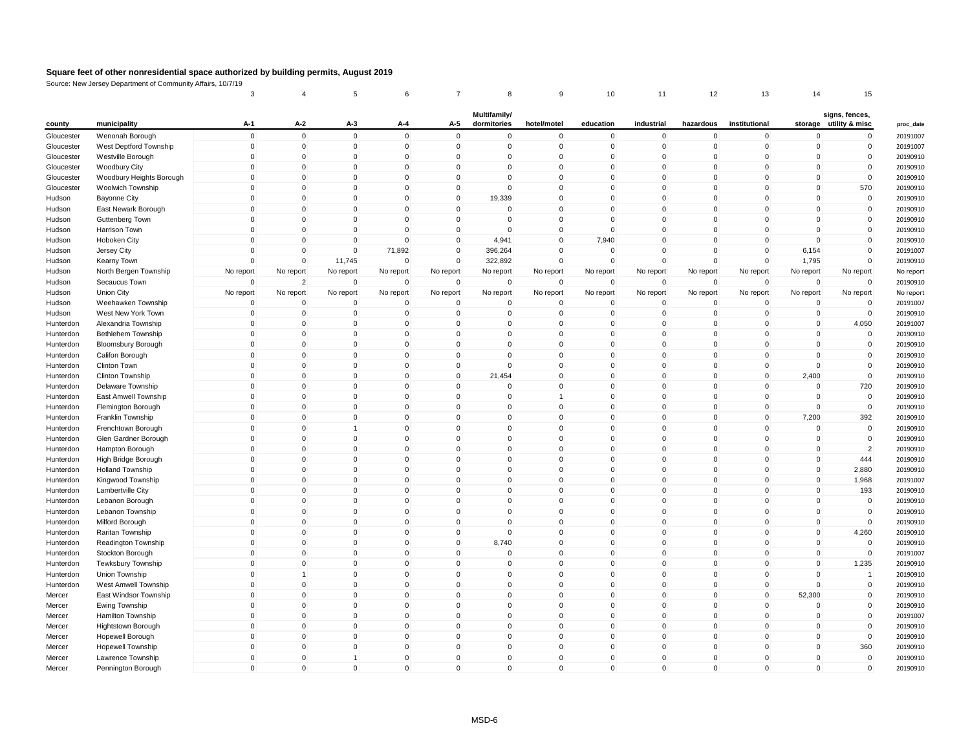|            |                                 | 3                          |                             | 5                |                                 |             | 8                           |                         | 10                      | 11                          | 12                      | 13                   | 14                      | 15                                       |
|------------|---------------------------------|----------------------------|-----------------------------|------------------|---------------------------------|-------------|-----------------------------|-------------------------|-------------------------|-----------------------------|-------------------------|----------------------|-------------------------|------------------------------------------|
| county     | municipality                    | A-1                        | A-2                         | A-3              | A-4                             | A-5         | Multifamily/<br>dormitories | hotel/motel             | education               | industrial                  | hazardous               | institutional        |                         | signs, fences,<br>storage utility & misc |
| Gloucester | Wenonah Borough                 | $\mathbf 0$                | $\Omega$                    | $\Omega$         | $\mathbf{0}$                    | $\mathbf 0$ | $\mathbf{0}$                | $\mathbf 0$             | $\mathbf 0$             | $\mathbf{0}$                | $\mathbf{0}$            | $\Omega$             | $\Omega$                | $\mathbf 0$                              |
| Gloucester | West Deptford Township          | $\overline{0}$             | $\mathbf 0$                 | $\mathbf 0$      | $\mathbf 0$                     | $\mathbf 0$ | $\mathbf 0$                 | $\mathbf{0}$            | $\mathbf 0$             | $\mathbf 0$                 | $\mathbf 0$             | 0                    | $\mathbf 0$             | $\mathbf 0$                              |
| Gloucester | Westville Borough               | $\mathbf 0$                | $\mathbf 0$                 | $\mathbf 0$      | $\mathbf 0$                     | $\mathbf 0$ | $\mathbf 0$                 | $\Omega$                | $\mathbf 0$             | $\mathbf 0$                 | $\mathbf 0$             | $\Omega$             | $\mathbf 0$             | $\mathsf{O}\xspace$                      |
| Gloucester | <b>Woodbury City</b>            | $\overline{0}$             | $\mathbf 0$                 | $\mathbf 0$      | $\Omega$                        | $\mathbf 0$ | 0                           | $\Omega$                | $\Omega$                | $\Omega$                    | $\Omega$                | $\Omega$             | $\mathbf 0$             | $\mathbf 0$                              |
| Gloucester | Woodbury Heights Borough        | $\mathbf 0$                | $\mathbf 0$                 | $\mathbf 0$      | $\Omega$                        | $\mathbf 0$ | $\mathbf 0$                 | $\Omega$                | $\mathbf 0$             | $\mathbf 0$                 | $\Omega$                | $\Omega$             | $\mathbf 0$             | $\mathbf 0$                              |
| Gloucester | Woolwich Township               | $\mathbf 0$                | $\mathbf 0$                 | 0                | $\mathbf 0$                     | $\mathbf 0$ | $\mathbf 0$                 | $\Omega$                | $\mathbf 0$             | $\mathbf 0$                 | $\mathbf 0$             | $\Omega$             | $\mathbf 0$             | 570                                      |
| Hudson     | <b>Bayonne City</b>             | $\overline{0}$             | $\mathbf 0$                 | $\mathbf 0$      | $\mathbf 0$                     | $\mathbf 0$ | 19,339                      | $\Omega$                | $\mathbf 0$             | $\mathbf 0$                 | 0                       | $\Omega$             | $\mathbf 0$             | $\mathbf 0$                              |
| Hudson     | East Newark Borough             | $\mathbf 0$                | $\mathbf 0$                 | $\mathbf 0$      | $\mathbf 0$                     | $\mathbf 0$ | 0                           | $\Omega$                | $\mathbf 0$             | $\mathbf 0$                 | $\mathbf 0$             | 0                    | $\mathbf 0$             | $\mathbf 0$                              |
| Hudson     | Guttenberg Town                 | $\mathbf 0$                | $\mathbf 0$                 | $\mathbf 0$      | $\mathbf 0$                     | $\mathbf 0$ | $\mathbf 0$                 | $\mathbf 0$             | $\mathbf 0$             | $\mathbf 0$                 | $\mathbf 0$             | 0                    | $\mathbf 0$             | $\mathsf 0$                              |
| Hudson     | Harrison Town                   | $\mathbf 0$                | $\mathbf 0$                 | $\mathbf 0$      | $\mathbf{0}$                    | $\mathbf 0$ | $\mathbf 0$                 | $\mathbf 0$             | $\Omega$                | $\mathsf 0$                 | $\Omega$                | $\Omega$             | $\mathbf 0$             | $\mathsf 0$                              |
| Hudson     | <b>Hoboken City</b>             | $\Omega$                   | $\Omega$                    | $\mathbf 0$      | $\Omega$                        | $\mathbf 0$ | 4,941                       | $\mathbf 0$             | 7,940                   | $\Omega$                    | $\Omega$                | $\Omega$             | $\mathbf 0$             | $\pmb{0}$                                |
| Hudson     | Jersey City                     | $\overline{0}$             | $\mathbf 0$                 | $\mathbf 0$      | 71,892                          | $\mathbf 0$ | 396,264                     | $\Omega$                | $\mathbf 0$             | $\mathbf 0$                 | $\mathbf 0$             | 0                    | 6,154                   | $\mathbf 0$                              |
| Hudson     | Kearny Town                     | $\overline{0}$             | $\mathbf 0$                 | 11,745           | $\mathbf 0$                     | $\mathbf 0$ | 322,892                     | $\Omega$                | $\mathbf 0$             | $\Omega$                    | $\Omega$                | $\mathbf 0$          | 1,795                   | $\mathbf 0$                              |
| Hudson     | North Bergen Township           | No report                  | No report                   | No report        | No report                       | No report   | No report                   | No report               | No report               | No report                   | No report               | No report            | No report               | No report                                |
| Hudson     | Secaucus Town                   | $\overline{0}$             | $\overline{2}$              | $\mathbf 0$      | $\Omega$                        | $\mathbf 0$ | 0                           | $\Omega$                | $\mathbf 0$             | $\mathbf 0$                 | 0                       | $\mathbf 0$          | $\mathbf 0$             | $\mathbf 0$                              |
| Hudson     | <b>Union City</b>               | No report                  | No report                   | No report        | No report                       | No report   | No report                   | No report               | No report               | No report                   | No report               | No report            | No report               | No report                                |
| Hudson     | Weehawken Township              | $\Omega$                   | $\Omega$                    | $\mathbf 0$      | $\Omega$                        | $\mathbf 0$ | $\mathbf{0}$                | $\Omega$                | $\Omega$                | $\Omega$                    | $\Omega$                | $\Omega$             | $\mathbf 0$             | $\mathbf 0$                              |
| Hudson     | West New York Town              | $\mathbf 0$                | $\mathbf 0$                 | $\mathbf 0$      | $\mathbf 0$                     | $\mathbf 0$ | 0                           | $\mathbf 0$             | $\mathbf 0$             | $\mathbf 0$                 | 0                       | 0                    | $\mathbf 0$             | $\mathbf 0$                              |
| Hunterdon  | Alexandria Township             | $\mathbf 0$                | $\mathbf 0$                 | $\mathbf 0$      | $\mathbf 0$                     | $\mathbf 0$ | $\mathbf 0$                 | $\mathbf 0$             | $\mathbf 0$             | $\mathbf 0$                 | $\mathbf 0$             | $\mathbf 0$          | $\mathbf 0$             | 4,050                                    |
| Hunterdon  | Bethlehem Township              | $\overline{0}$             | $\mathbf 0$                 | 0                | $\Omega$                        | $\mathbf 0$ | 0                           | $\Omega$                | $\mathbf 0$             | $\mathbf 0$                 | $\Omega$                | $\Omega$             | $\mathbf 0$             | $\mathbf 0$                              |
| Hunterdon  |                                 | $\mathbf 0$                | $\Omega$                    | 0                | $\mathbf 0$                     | $\mathbf 0$ | $\Omega$                    | $\Omega$                | $\Omega$                | $\mathbf 0$                 | $\Omega$                | $\Omega$             | $\Omega$                | $\mathbf 0$                              |
| Hunterdon  | <b>Bloomsbury Borough</b>       | $\mathbf 0$                | $\mathbf 0$                 | $\mathbf 0$      | $\mathsf{O}\xspace$             | $\mathbf 0$ | $\mathbf 0$                 | $\mathbf{0}$            | $\mathbf 0$             | $\mathbf 0$                 | $\mathbf 0$             | $\mathbf 0$          | $\mathbf 0$             | $\mathsf{O}\xspace$                      |
| Hunterdon  | Califon Borough<br>Clinton Town | $\overline{0}$             | $\mathbf 0$                 | 0                | 0                               | $\mathbf 0$ | $\mathbf 0$                 | $\Omega$                | $\mathbf 0$             | $\mathbf 0$                 | $\Omega$                | 0                    | $\mathbf 0$             | $\mathsf{O}\xspace$                      |
|            |                                 | $\mathbf{0}$               | $\mathbf{0}$                | $\Omega$         | $\mathbf{0}$                    | $\mathbf 0$ | 21,454                      | $\Omega$                | $\Omega$                | $\mathbf{0}$                | $\Omega$                | $\Omega$             | 2,400                   | $\mathbf 0$                              |
| Hunterdon  | Clinton Township                | $\mathbf 0$                | $\mathbf 0$                 | $\pmb{0}$        |                                 |             |                             |                         | $\mathbf 0$             | $\mathbf 0$                 | $\mathbf 0$             | $\mathbf 0$          |                         |                                          |
| Hunterdon  | Delaware Township               |                            |                             |                  | $\mathbf 0$                     | $\mathbf 0$ | $\mathbf 0$                 | $\mathbf 0$             |                         |                             |                         |                      | $\mathbf 0$             | 720                                      |
| Hunterdon  | East Amwell Township            | $\overline{0}$             | $\mathbf 0$<br>$\mathbf{0}$ | 0<br>$\mathbf 0$ | $\Omega$                        | $\mathbf 0$ | $\mathbf 0$<br>$\Omega$     | $\Omega$                | $\mathbf 0$<br>$\Omega$ | $\mathbf 0$                 | $\Omega$<br>$\Omega$    | $\Omega$<br>$\Omega$ | $\mathbf 0$<br>$\Omega$ | $\mathbf 0$                              |
| Hunterdon  | Flemington Borough              | $\mathbf 0$<br>$\mathbf 0$ | $\mathbf 0$                 | $\pmb{0}$        | $\mathbf{0}$                    | $\mathbf 0$ |                             |                         | $\mathbf 0$             | $\mathbf{0}$<br>$\mathbf 0$ | $\mathbf 0$             |                      |                         | $\mathbf 0$                              |
| Hunterdon  | Franklin Township               |                            |                             |                  | $\mathbf 0$                     | $\mathbf 0$ | $\mathbf 0$                 | $\mathbf 0$<br>$\Omega$ | $\Omega$                |                             | $\Omega$                | 0                    | 7,200                   | 392                                      |
| Hunterdon  | Frenchtown Borough              | $\overline{0}$             | $\mathbf 0$                 | 1                | $\Omega$                        | $\mathbf 0$ | $\mathbf 0$                 |                         |                         | $\mathbf 0$                 |                         | $\Omega$             | $\mathbf 0$             | $\mathbf 0$                              |
| Hunterdon  | Glen Gardner Borough            | $\mathbf 0$                | $\Omega$                    | 0<br>$\mathbf 0$ | $\mathbf{0}$                    | $\mathbf 0$ | $\mathbf 0$                 | $\Omega$                | $\mathbf 0$             | $\Omega$                    | $\Omega$                | $\Omega$             | $\mathbf 0$             | $\mathbf 0$                              |
| Hunterdon  | Hampton Borough                 | $\mathbf 0$                | $\mathbf 0$                 |                  | $\mathbf 0$                     | $\mathbf 0$ | $\mathbf 0$                 | $\mathbf 0$             | $\mathbf 0$             | $\mathbf 0$                 | $\mathbf 0$             | 0                    | $\mathbf 0$             | $\overline{2}$                           |
| Hunterdon  | High Bridge Borough             | $\mathbf 0$                | $\mathbf 0$                 | 0                | 0                               | $\mathbf 0$ | $\mathbf 0$                 | $\mathbf 0$             | $\mathbf 0$             | $\mathbf 0$                 | $\mathbf 0$<br>$\Omega$ | $\Omega$             | $\mathbf 0$             | 444                                      |
| Hunterdon  | <b>Holland Township</b>         | $\mathbf 0$                | $\mathbf 0$<br>$\Omega$     | 0                | $\mathsf{O}\xspace$<br>$\Omega$ | $\mathbf 0$ | $\mathbf 0$                 | $\Omega$<br>$\Omega$    | $\mathbf 0$             | $\mathbf 0$<br>$\Omega$     | $\Omega$                | $\Omega$             | $\mathbf 0$             | 2,880                                    |
| Hunterdon  | Kingwood Township               | $\pmb{0}$                  |                             | 0                |                                 | $\mathbf 0$ | $\mathbf{0}$                |                         | $\Omega$                |                             |                         | $\Omega$             | $\mathbf 0$             | 1,968                                    |
| Hunterdon  | Lambertville City               | $\mathbf 0$                | $\mathbf 0$                 | 0                | 0                               | $\mathbf 0$ | $\mathbf 0$                 | $\mathbf 0$             | $\mathbf 0$             | $\mathbf 0$                 | 0                       | 0                    | $\mathbf 0$             | 193                                      |
| Hunterdon  | Lebanon Borough                 | $\mathbf 0$                | $\mathbf 0$                 | 0                | $\mathsf{O}\xspace$             | $\mathbf 0$ | $\mathbf 0$                 | $\mathbf{0}$            | $\mathbf 0$             | $\mathbf 0$                 | $\Omega$                | $\Omega$             | $\mathbf 0$             | $\mathsf{O}\xspace$                      |
| Hunterdon  | Lebanon Township                | $\mathbf{0}$               | $\Omega$                    | $\Omega$         | $\Omega$                        | $\mathbf 0$ | $\mathbf{0}$                | $\Omega$                | $\Omega$                | $\Omega$                    | $\Omega$                | $\Omega$             | $\Omega$                | $\Omega$                                 |
| Hunterdon  | Milford Borough                 | $\mathbf 0$                | $\mathbf 0$                 | 0                | 0                               | $\mathbf 0$ | $\mathbf 0$                 | $\mathbf 0$             | $\mathbf 0$             | $\mathbf 0$                 | 0                       | 0                    | $\mathbf 0$             | $\mathbf 0$                              |
| Hunterdon  | Raritan Township                | $\mathbf 0$                | $\mathbf 0$                 | 0                | $\mathbf 0$                     | $\mathbf 0$ | $\mathbf 0$                 | $\Omega$                | $\mathbf 0$             | $\mathbf 0$                 | $\mathbf 0$             | $\Omega$             | $\mathbf 0$             | 4,260                                    |
| Hunterdon  | Readington Township             | $\mathbf{0}$               | $\Omega$                    | $\Omega$         | $\Omega$                        | $\mathbf 0$ | 8,740                       | $\mathbf{0}$            | $\Omega$                | $\Omega$                    | $\Omega$                | $\Omega$             | $\Omega$                | $\mathbf{0}$                             |
| Hunterdon  | Stockton Borough                | $\mathbf 0$                | $\pmb{0}$                   | $\mathbf 0$      | $\mathbf 0$                     | $\mathbf 0$ | $\mathbf 0$                 | $\mathbf 0$             | $\mathbf 0$             | $\mathbf 0$                 | 0                       | 0                    | $\mathbf 0$             | $\mathbf 0$                              |
| Hunterdon  | <b>Tewksbury Township</b>       | $\mathbf 0$                | $\mathbf 0$                 | $\mathbf 0$      | $\mathbf 0$                     | $\mathbf 0$ | $\mathbf 0$                 | $\Omega$                | $\mathbf 0$             | $\mathbf 0$                 | $\mathbf 0$             | $\Omega$             | $\mathbf 0$             | 1,235                                    |
| Hunterdon  | Union Township                  | $\Omega$                   | $\overline{1}$              | $\Omega$         | $\Omega$                        | $\mathbf 0$ | $\mathbf{0}$                | $\Omega$                | $\Omega$                | $\Omega$                    | $\Omega$                | $\Omega$             | $\Omega$                | $\mathbf{1}$                             |
| Hunterdon  | West Amwell Township            | $\mathbf 0$                | $\pmb{0}$                   | 0                | 0                               | $\mathbf 0$ | $\mathbf 0$                 | $\Omega$                | $\pmb{0}$               | $\mathbf 0$                 | 0                       | 0                    | $\Omega$                | $\mathbf 0$                              |
| Mercer     | East Windsor Township           | $\mathbf 0$                | $\mathbf 0$                 | $\overline{0}$   | $\mathbf 0$                     | $\mathbf 0$ | $\mathbf 0$                 | $\Omega$                | $\mathbf 0$             | $\mathbf 0$                 | $\mathbf 0$             | $\Omega$             | 52,300                  | $\mathbf 0$                              |
| Mercer     | Ewing Township                  | $\mathbf{0}$               | $\Omega$                    | $\Omega$         | $\Omega$                        | $\mathbf 0$ | $\mathbf{0}$                | $\Omega$                | $\Omega$                | $\Omega$                    | $\Omega$                | $\Omega$             | $\Omega$                | $\mathsf{O}\xspace$                      |
| Mercer     | Hamilton Township               | $\overline{0}$             | $\mathbf 0$                 | $\mathbf 0$      | 0                               | $\mathbf 0$ | $\mathbf 0$                 | $\mathbf 0$             | $\mathbf 0$             | $\mathbf 0$                 | $\mathbf 0$             | 0                    | $\mathbf 0$             | $\mathbf 0$                              |
| Mercer     | Hightstown Borough              | $\overline{0}$             | $\mathbf 0$                 | $\mathbf 0$      | 0                               | $\mathbf 0$ | 0                           | $\mathbf 0$             | $\mathbf 0$             | $\mathbf 0$                 | $\mathbf 0$             | 0                    | $\mathbf 0$             | $\mathbf 0$                              |
| Mercer     | Hopewell Borough                | $\Omega$                   | $\Omega$                    | $\Omega$         | $\Omega$                        | $\mathbf 0$ | $\mathbf{0}$                | $\Omega$                | $\Omega$                | $\Omega$                    | $\Omega$                | $\Omega$             | $\Omega$                | $\mathsf{O}\xspace$                      |
| Mercer     | <b>Hopewell Township</b>        | $\overline{0}$             | $\mathbf 0$                 | $\mathbf{0}$     | 0                               | $\mathbf 0$ | $\mathbf 0$                 | $\mathbf 0$             | $\mathbf 0$             | $\mathbf 0$                 | $\mathbf 0$             | $\Omega$             | $\mathbf 0$             | 360                                      |
| Mercer     | Lawrence Township               | $\mathbf 0$                | $\mathbf 0$                 | 1                | 0                               | $\mathbf 0$ | $\mathbf{0}$                | $\mathbf 0$             | $\mathbf 0$             | $\mathbf 0$                 | 0                       | 0                    | $\mathbf 0$             | $\pmb{0}$                                |
| Mercer     | Pennington Borough              | $\Omega$                   | $\Omega$                    | $\Omega$         | $\Omega$                        | $\mathbf 0$ | $\Omega$                    | $\Omega$                | $\mathbf{0}$            | $\Omega$                    | $\Omega$                | $\Omega$             | $\Omega$                | $\Omega$                                 |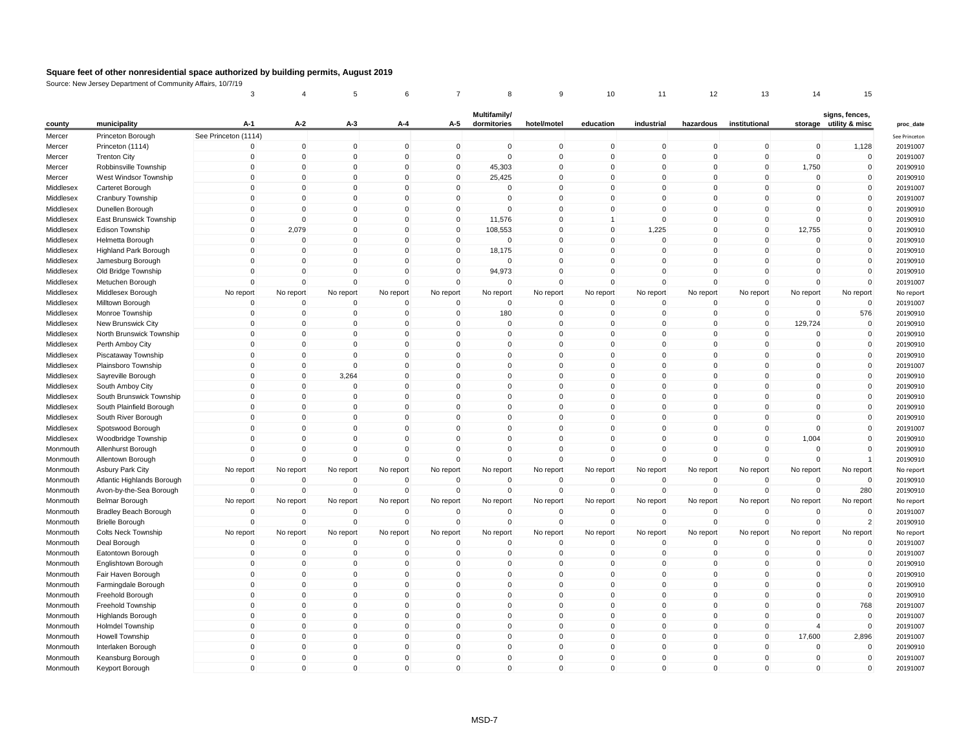|           |                            | 3                    | $\overline{4}$ | 5              | 6           | $\overline{7}$ | 8                           | 9              | 10           | 11           | 12          | 13            | 14             | 15                               |
|-----------|----------------------------|----------------------|----------------|----------------|-------------|----------------|-----------------------------|----------------|--------------|--------------|-------------|---------------|----------------|----------------------------------|
| county    | municipality               | $A-1$                | A-2            | A-3            | A-4         | A-5            | Multifamily/<br>dormitories | hotel/motel    | education    | industrial   | hazardous   | institutional | storage        | signs, fences,<br>utility & misc |
| Mercer    | Princeton Borough          | See Princeton (1114) |                |                |             |                |                             |                |              |              |             |               |                |                                  |
| Mercer    | Princeton (1114)           | $\mathbf 0$          | $\mathbf 0$    | $\mathbf 0$    | $\Omega$    | $\mathbf 0$    | $\mathbf 0$                 | $\mathbf 0$    | $\mathbf 0$  | $\mathbf 0$  | $\mathbf 0$ | $\mathbf 0$   | $\mathbf 0$    | 1,128                            |
| Mercer    | <b>Trenton City</b>        | $\mathbf 0$          | $\mathbf 0$    | $\mathbf 0$    | 0           | $\mathbf 0$    | $\mathbf 0$                 | $\mathbf 0$    | $\mathbf 0$  | $\mathbf 0$  | $\mathbf 0$ | 0             | $\pmb{0}$      | $\mathbf 0$                      |
| Mercer    | Robbinsville Township      | $\mathbf 0$          | $\mathbf 0$    | $\mathbf{0}$   | 0           | $\mathbf 0$    | 45,303                      | $\mathbf 0$    | 0            | $\mathbf 0$  | 0           | 0             | 1,750          | $\pmb{0}$                        |
| Mercer    | West Windsor Township      | $\mathbf 0$          | $\mathbf 0$    | $\mathbf 0$    | $\Omega$    | $\mathbf 0$    | 25,425                      | 0              | $\mathbf 0$  | $\mathbf 0$  | 0           | $\Omega$      | $\mathbf 0$    | $\mathbf 0$                      |
| Middlesex | Carteret Borough           | $\mathbf 0$          | $\mathbf 0$    | $\pmb{0}$      | $\Omega$    | $\mathbf 0$    | $\mathbf 0$                 | $\mathbf 0$    | $\mathbf 0$  | $\mathbf 0$  | $\mathbf 0$ | $\Omega$      | $\overline{0}$ | $\pmb{0}$                        |
|           |                            | $\mathbf 0$          | $\mathbf 0$    | $\mathbf{0}$   | $\mathbf 0$ | $\mathbf 0$    |                             |                |              | $\mathbf 0$  | $\mathbf 0$ | $\Omega$      | $\mathbf 0$    | $\mathbf 0$                      |
| Middlesex | Cranbury Township          |                      |                |                |             |                | $\mathbf 0$                 | $\mathbf 0$    | $\mathbf 0$  |              |             |               |                |                                  |
| Middlesex | Dunellen Borough           | $\mathbf 0$          | $\mathbf 0$    | $\mathbf 0$    | $\mathbf 0$ | $\mathbf 0$    | 0                           | $\mathbf 0$    | $\mathbf 0$  | $\mathbf 0$  | $\mathbf 0$ | 0             | $\mathbf 0$    | $\mathbf 0$                      |
| Middlesex | East Brunswick Township    | $\Omega$             | $\Omega$       | $\mathbf{0}$   | $\Omega$    | $\mathbf 0$    | 11,576                      | 0              | $\mathbf{1}$ | $\Omega$     | $\Omega$    | $\Omega$      | $\mathbf 0$    | $\mathbf 0$                      |
| Middlesex | Edison Township            | $\mathbf 0$          | 2,079          | $\mathsf 0$    | $\Omega$    | $\mathbf 0$    | 108,553                     | $\mathbf 0$    | $\mathbf 0$  | 1,225        | $\mathbf 0$ | $\Omega$      | 12,755         | $\mathbf 0$                      |
| Middlesex | Helmetta Borough           | $\Omega$             | $\Omega$       | $\mathbf 0$    | $\Omega$    | $\mathbf 0$    | $\mathbf 0$                 | $\mathbf{0}$   | $\mathbf 0$  | $\Omega$     | $\Omega$    | $\Omega$      | $\mathbf 0$    | $\mathbf 0$                      |
| Middlesex | Highland Park Borough      | $\mathbf 0$          | $\mathbf 0$    | $\mathbf{0}$   | 0           | $\mathbf 0$    | 18,175                      | 0              | 0            | $\mathbf 0$  | 0           | 0             | $\mathbf 0$    | $\mathbf 0$                      |
| Middlesex | Jamesburg Borough          | $\Omega$             | $\mathbf 0$    | $\mathbf 0$    | $\mathbf 0$ | $\mathbf 0$    | $\mathbf 0$                 | $\mathbf 0$    | $\mathbf 0$  | $\Omega$     | 0           | $\Omega$      | $\mathbf 0$    | $\mathbf 0$                      |
| Middlesex | Old Bridge Township        | $\mathbf 0$          | $\Omega$       | $\mathbf 0$    | $\Omega$    | $\mathbf 0$    | 94,973                      | $\mathbf 0$    | $\mathbf 0$  | $\Omega$     | $\mathbf 0$ | $\Omega$      | $\mathbf 0$    | $\mathbf 0$                      |
| Middlesex | Metuchen Borough           | $\mathbf 0$          | $\mathbf 0$    | $\mathbf 0$    | 0           | $\mathbf 0$    | $\mathbf 0$                 | $\mathbf 0$    | $\mathbf 0$  | $\mathbf 0$  | $\mathbf 0$ | $\mathbf 0$   | $\mathbf 0$    | $\mathbf 0$                      |
| Middlesex | Middlesex Borough          | No report            | No report      | No report      | No report   | No report      | No report                   | No report      | No report    | No report    | No report   | No report     | No report      | No report                        |
| Middlesex | Milltown Borough           | $\mathbf 0$          | $\mathbf 0$    | $\overline{0}$ | $\mathbf 0$ | $\mathbf 0$    | $\mathbf 0$                 | $\mathbf 0$    | $\mathbf 0$  | $\mathbf 0$  | $\mathbf 0$ | $\mathbf 0$   | $\mathbf 0$    | $\mathbf 0$                      |
| Middlesex | Monroe Township            | $\mathbf 0$          | $\mathbf 0$    | 0              | 0           | $\mathbf 0$    | 180                         | $\mathbf 0$    | 0            | $\mathbf 0$  | 0           | 0             | $\mathbf 0$    | 576                              |
| Middlesex | New Brunswick City         | $\Omega$             | $\Omega$       | $\Omega$       | $\Omega$    | $\Omega$       | $\mathbf{0}$                | $\Omega$       | $\Omega$     | $\Omega$     | $\Omega$    | $\Omega$      | 129,724        | $\Omega$                         |
| Middlesex | North Brunswick Township   | $\Omega$             | $\mathbf 0$    | $\mathbf 0$    | $\Omega$    | $\mathbf 0$    | $\mathbf 0$                 | $\mathbf 0$    | $\mathbf 0$  | $\Omega$     | $\Omega$    | $\Omega$      | $\circ$        | $\pmb{0}$                        |
| Middlesex | Perth Amboy City           | $\Omega$             | $\mathbf 0$    | $\mathbf 0$    | $\Omega$    | $\Omega$       | $\mathbf 0$                 | $\mathbf 0$    | $\mathbf 0$  | $\mathbf 0$  | $\Omega$    | $\Omega$      | $\mathbf 0$    | $\pmb{0}$                        |
| Middlesex | Piscataway Township        | $\mathbf 0$          | $\mathbf 0$    | $\mathbf 0$    | $\Omega$    | $\mathbf 0$    | $\mathbf 0$                 | $\Omega$       | $\mathbf 0$  | $\mathbf 0$  | $\mathbf 0$ | $\Omega$      | $\mathbf 0$    | $\mathbf 0$                      |
| Middlesex | Plainsboro Township        | $\mathbf 0$          | $\mathbf 0$    | 0              | 0           | $\overline{0}$ | 0                           | $\mathbf 0$    | 0            | $\mathbf 0$  | 0           | 0             | $\mathbf 0$    | $\mathbf 0$                      |
|           |                            | $\Omega$             | $\Omega$       |                | $\Omega$    | $\Omega$       | $\Omega$                    | $\Omega$       |              | $\mathbf{0}$ | $\Omega$    | $\Omega$      | $\Omega$       | $\mathbf 0$                      |
| Middlesex | Sayreville Borough         |                      |                | 3,264          |             |                |                             |                | $\mathbf{0}$ |              |             |               |                |                                  |
| Middlesex | South Amboy City           | $\mathbf 0$          | $\mathbf 0$    | $\mathbf 0$    | $\mathbf 0$ | $\mathbf 0$    | $\mathsf{O}\xspace$         | $\mathbf 0$    | $\mathbf 0$  | $\mathbf 0$  | $\mathbf 0$ | $\mathbf 0$   | $\mathbf 0$    | $\pmb{0}$                        |
| Middlesex | South Brunswick Township   | $\mathbf 0$          | $\mathbf 0$    | $\mathbf 0$    | 0           | $\mathbf 0$    | 0                           | $\mathbf 0$    | 0            | $\mathbf 0$  | 0           | 0             | $\mathbf 0$    | $\mathbf 0$                      |
| Middlesex | South Plainfield Borough   | $\Omega$             | $\Omega$       | $\mathbf{0}$   | $\Omega$    | $\Omega$       | $\Omega$                    | $\Omega$       | $\mathbf{0}$ | $\Omega$     | $\Omega$    | $\Omega$      | $\Omega$       | $\Omega$                         |
| Middlesex | South River Borough        | $\mathbf 0$          | $\mathbf 0$    | $\mathbf 0$    | $\mathbf 0$ | $\mathbf 0$    | $\mathbf 0$                 | $\mathbf 0$    | $\mathbf 0$  | $\mathbf 0$  | $\mathbf 0$ | 0             | $\mathbf 0$    | $\pmb{0}$                        |
| Middlesex | Spotswood Borough          | $\Omega$             | $\Omega$       | $\mathbf 0$    | $\Omega$    | $\Omega$       | $\Omega$                    | $\mathbf 0$    | 0            | $\Omega$     | $\Omega$    | $\Omega$      | $\Omega$       | $\mathbf 0$                      |
| Middlesex | Woodbridge Township        | $\Omega$             | $\Omega$       | $\mathbf{0}$   | $\Omega$    | $\Omega$       | $\Omega$                    | $\mathbf{0}$   | $\mathbf{0}$ | $\Omega$     | $\Omega$    | $\Omega$      | 1,004          | $\mathbf 0$                      |
| Monmouth  | Allenhurst Borough         | $\mathbf 0$          | $\mathbf 0$    | $\pmb{0}$      | 0           | $\mathbf 0$    | $\mathbf 0$                 | $\mathbf 0$    | $\mathbf 0$  | $\mathbf 0$  | 0           | 0             | 0              | $\mathbf 0$                      |
| Monmouth  | Allentown Borough          | $\Omega$             | $\Omega$       | $\mathbf 0$    | $\Omega$    | $\Omega$       | $\mathbf{0}$                | $\mathbf{0}$   | $\mathbf{0}$ | $\Omega$     | $\Omega$    | $\Omega$      | $\mathbf 0$    | $\mathbf{1}$                     |
| Monmouth  | Asbury Park City           | No report            | No report      | No report      | No report   | No report      | No report                   | No report      | No report    | No report    | No report   | No report     | No report      | No report                        |
| Monmouth  | Atlantic Highlands Borough | $\mathbf 0$          | $\mathbf 0$    | $\mathbf 0$    | 0           | $\mathbf 0$    | $\mathbf 0$                 | $\mathbf 0$    | 0            | $\mathbf 0$  | 0           | 0             | 0              | $\mathbf 0$                      |
| Monmouth  | Avon-by-the-Sea Borough    | $\Omega$             | $\mathbf 0$    | $\overline{0}$ | $\Omega$    | $\mathbf 0$    | $\mathbf 0$                 | $\mathbf 0$    | $\mathbf 0$  | $\Omega$     | $\mathbf 0$ | $\mathbf 0$   | $\mathbf 0$    | 280                              |
| Monmouth  | <b>Belmar Borough</b>      | No report            | No report      | No report      | No report   | No report      | No report                   | No report      | No report    | No report    | No report   | No report     | No report      | No report                        |
| Monmouth  | Bradley Beach Borough      | $\Omega$             | $\Omega$       | $\Omega$       | $\Omega$    | $\mathbf 0$    | $\mathbf 0$                 | $\mathbf 0$    | $\Omega$     | $\Omega$     | $\Omega$    | $\Omega$      | $\mathbf 0$    | $\Omega$                         |
| Monmouth  | <b>Brielle Borough</b>     | $\Omega$             | $\mathbf 0$    | $\mathbf 0$    | $\Omega$    | $\mathbf 0$    | $\mathbf 0$                 | $\mathbf 0$    | 0            | $\mathbf 0$  | 0           | 0             | $\Omega$       | $\overline{2}$                   |
| Monmouth  | <b>Colts Neck Township</b> | No report            | No report      | No report      | No report   | No report      | No report                   | No report      | No report    | No report    | No report   | No report     | No report      | No report                        |
| Monmouth  |                            | $\Omega$             | $\Omega$       | $\overline{0}$ | $\Omega$    | $\mathbf 0$    | $\mathbf{0}$                | $\mathbf{0}$   | $\Omega$     | $\Omega$     | $\Omega$    | $\Omega$      | $\Omega$       | $\mathbf 0$                      |
|           | Deal Borough               |                      |                |                |             |                |                             |                |              |              |             |               |                | $\mathbf 0$                      |
| Monmouth  | Eatontown Borough          | $\mathbf 0$          | $\mathbf 0$    | $\mathbf 0$    | $\Omega$    | $\mathbf 0$    | $\mathbf 0$                 | $\mathbf 0$    | 0            | $\Omega$     | 0           | $\Omega$      | $\mathbf 0$    |                                  |
| Monmouth  | Englishtown Borough        | $\Omega$             | $\Omega$       | 0              | $\Omega$    | $\Omega$       | $\Omega$                    | $\overline{0}$ | $\Omega$     | $\Omega$     | $\Omega$    | $\Omega$      | $\mathbf 0$    | $\mathbf 0$                      |
| Monmouth  | Fair Haven Borough         | $\Omega$             | $\Omega$       | $\mathbf 0$    | $\Omega$    | $\Omega$       | $\mathbf 0$                 | $\mathbf{0}$   | $\mathbf 0$  | $\Omega$     | $\Omega$    | $\Omega$      | $\overline{0}$ | $\mathbf 0$                      |
| Monmouth  | Farmingdale Borough        | $\mathbf 0$          | $\mathbf 0$    | $\mathbf{0}$   | 0           | $\mathbf 0$    | $\mathbf 0$                 | $\mathbf 0$    | $\mathbf 0$  | $\mathbf 0$  | $\mathbf 0$ | 0             | $\mathbf 0$    | $\mathbf 0$                      |
| Monmouth  | Freehold Borough           | $\Omega$             | $\Omega$       | $\Omega$       | $\Omega$    | $\Omega$       | $\Omega$                    | $\mathbf 0$    | $\Omega$     | $\Omega$     | $\Omega$    | $\Omega$      | $\mathbf 0$    | $\mathbf 0$                      |
| Monmouth  | Freehold Township          | $\Omega$             | $\Omega$       | $\mathbf 0$    | $\Omega$    | $\Omega$       | $\mathbf 0$                 | $\mathbf{0}$   | $\mathbf{0}$ | $\mathbf{0}$ | $\Omega$    | $\Omega$      | $\mathbf 0$    | 768                              |
| Monmouth  | <b>Highlands Borough</b>   | $\mathbf 0$          | $\mathbf 0$    | $\pmb{0}$      | 0           | $\mathbf 0$    | $\mathbf 0$                 | $\mathbf 0$    | $\mathbf 0$  | $\mathbf 0$  | $\mathbf 0$ | 0             | $\mathbf 0$    | $\mathbf 0$                      |
| Monmouth  | <b>Holmdel Township</b>    | $\Omega$             | $\Omega$       | $\mathbf 0$    | $\Omega$    | $\mathbf 0$    | $\Omega$                    | $\mathbf 0$    | $\mathbf 0$  | $\Omega$     | $\Omega$    | $\Omega$      | $\overline{4}$ | $\mathbf 0$                      |
| Monmouth  | Howell Township            | $\Omega$             | $\Omega$       | $\Omega$       | $\Omega$    | $\Omega$       | $\Omega$                    | $\Omega$       | $\Omega$     | $\Omega$     | $\Omega$    | $\Omega$      | 17,600         | 2,896                            |
| Monmouth  | Interlaken Borough         | $\mathbf 0$          | $\mathbf 0$    | $\mathbf 0$    | $\Omega$    | $\mathbf 0$    | $\mathbf 0$                 | $\mathbf 0$    | $\mathbf 0$  | $\Omega$     | 0           | $\Omega$      | $\mathbf 0$    | $\mathbf 0$                      |
| Monmouth  | Keansburg Borough          | $\Omega$             | $\mathbf 0$    | $\mathbf{0}$   | $\Omega$    | $\mathbf 0$    | $\mathbf 0$                 | $\Omega$       | $\mathbf 0$  | $\Omega$     | $\Omega$    | $\Omega$      | $\mathbf 0$    | $\mathbf 0$                      |
|           |                            |                      |                |                |             |                |                             |                |              |              |             |               |                |                                  |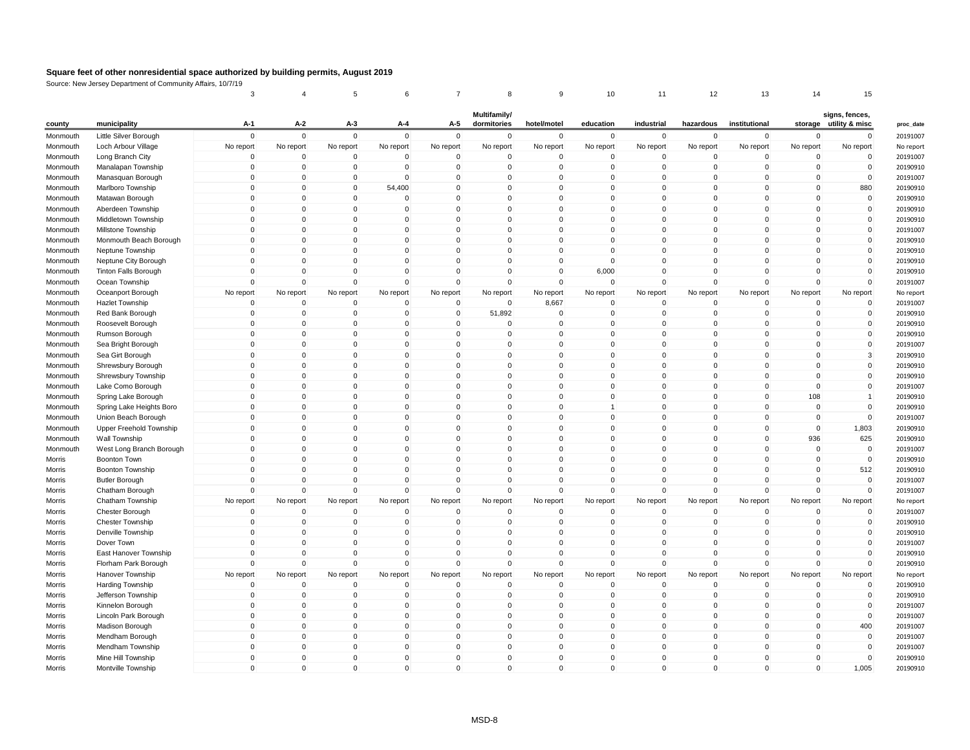|          |                                        | 3                       |                         | 5                          |                          | 7                          | 8                           | 9                       | 10                          | 11             | 12            | 13            | 14              | 15                                       |
|----------|----------------------------------------|-------------------------|-------------------------|----------------------------|--------------------------|----------------------------|-----------------------------|-------------------------|-----------------------------|----------------|---------------|---------------|-----------------|------------------------------------------|
| county   | municipality                           | A-1                     | A-2                     | $A-3$                      | A-4                      | A-5                        | Multifamily/<br>dormitories | hotel/motel             | education                   | industrial     | hazardous     | institutional |                 | signs, fences,<br>storage utility & misc |
| Monmouth | Little Silver Borough                  | $\mathbf 0$             | $\mathbf 0$             | $\mathbf 0$                | $\Omega$                 | $\mathbf 0$                | $\mathbf 0$                 | $\mathbf 0$             | 0                           | $\mathbf 0$    | 0             | $\mathbf 0$   | $\mathbf 0$     | $\Omega$                                 |
| Monmouth | Loch Arbour Village                    | No report               | No report               | No report                  | No report                | No report                  | No report                   | No report               | No report                   | No report      | No report     | No report     | No report       | No report                                |
| Monmouth | Long Branch City                       | $\mathbf 0$             | $\mathbf 0$             | $\mathbf 0$                | $\Omega$                 | $\Omega$                   | 0                           | $\mathbf 0$             | $\mathbf 0$                 | $\overline{0}$ | 0             | $\Omega$      | $\Omega$        | $\Omega$                                 |
| Monmouth | Manalapan Township                     | $\mathbf 0$             | 0                       | $\mathbf 0$                | $\Omega$                 | $\mathbf 0$                | 0                           | $\mathbf 0$             | 0                           | $\pmb{0}$      | 0             | $\mathbf 0$   | $\Omega$        | $\mathbf 0$                              |
| Monmouth | Manasquan Borough                      | $\mathbf 0$             | $\Omega$                | $\mathbf 0$                | $\Omega$                 | $\Omega$                   | $\mathbf 0$                 | $\Omega$                | $\mathbf{0}$                | $\mathbf 0$    | $\Omega$      | $\Omega$      | $\Omega$        | $\mathbf 0$                              |
| Monmouth | Marlboro Township                      | $\overline{0}$          | $\mathbf 0$             | $\mathbf 0$                | 54,400                   | $\mathbf 0$                | $\mathbf 0$                 | $\mathbf 0$             | $\mathbf 0$                 | $\mathbf 0$    | $\mathbf 0$   | $\Omega$      | $\mathbf 0$     | 880                                      |
| Monmouth | Matawan Borough                        | $\mathbf 0$             | $\Omega$                | $\mathbf 0$                | $\Omega$                 | $\Omega$                   | $\Omega$                    | $\mathbf 0$             | $\mathbf{0}$                | $\mathbf{0}$   | $\Omega$      | $\Omega$      | $\Omega$        | $\Omega$                                 |
| Monmouth | Aberdeen Township                      | $\overline{0}$          | $\mathbf 0$             | $\mathbf 0$                | $\mathbf 0$              | $\Omega$                   | $\mathbf 0$                 | $\mathbf 0$             | $\mathbf 0$                 | $\mathbf 0$    | $\mathbf{0}$  | $\Omega$      | $\mathbf 0$     | $\mathbf 0$                              |
| Monmouth | Middletown Township                    | $\overline{0}$          | $\mathbf 0$             | $\mathbf 0$                | $\mathbf 0$              | $\mathbf 0$                | $\mathbf 0$                 | $\mathbf 0$             | $\mathbf 0$                 | $\mathbf 0$    | $\mathbf 0$   | $\Omega$      | $\mathbf 0$     | $\mathbf 0$                              |
| Monmouth | Millstone Township                     | $\mathbf 0$             | $\Omega$                | $\mathbf 0$                | $\Omega$                 | $\Omega$                   | $\Omega$                    | $\mathbf 0$             | $\mathbf{0}$                | $\mathbf{0}$   | $\Omega$      | $\Omega$      | $\Omega$        | $\mathbf{0}$                             |
| Monmouth | Monmouth Beach Borough                 | $\overline{0}$          | $\mathbf 0$             | $\mathbf 0$                | $\mathbf 0$              | $\mathbf 0$                | $\mathbf 0$                 | $\mathbf 0$             | $\mathbf 0$                 | $\mathbf 0$    | 0             | $\Omega$      | $\mathbf 0$     | $\mathbf 0$                              |
| Monmouth | Neptune Township                       | $\mathbf 0$             | $\mathbf 0$             | 0                          | $\mathbf 0$              | $\mathbf 0$                | $\mathbf 0$                 | $\mathbf 0$             | $\mathbf 0$                 | $\mathbf 0$    | $\mathbf 0$   | $\Omega$      | $\mathbf 0$     | $\mathbf 0$                              |
| Monmouth | Neptune City Borough                   | $\mathbf 0$             | $\Omega$                | $\mathbf 0$                | $\Omega$                 | $\Omega$                   | $\Omega$                    | $\mathbf 0$             | $\Omega$                    | $\mathbf 0$    | $\Omega$      | $\Omega$      | $\Omega$        | $\Omega$                                 |
| Monmouth | Tinton Falls Borough                   | $\mathbf 0$             | $\mathbf 0$             | $\mathbf 0$                | $\mathbf 0$              | $\mathbf 0$                | $\mathbf 0$                 | $\mathbf 0$             | 6,000                       | $\mathbf 0$    | $\mathbf{0}$  | $\mathbf 0$   | $\mathbf 0$     | $\mathbf 0$                              |
| Monmouth | Ocean Township                         | $\Omega$                | $\Omega$                | $\Omega$                   | $\Omega$                 | $\Omega$                   | $\Omega$                    | $\Omega$                | $\mathbf 0$                 | $\Omega$       | $\Omega$      | $\Omega$      | $\Omega$        | $\Omega$                                 |
| Monmouth | Oceanport Borough                      | No report               | No report               | No report                  | No report                | No report                  | No report                   | No report               | No report                   | No report      | No report     | No report     | No report       | No report                                |
| Monmouth | Hazlet Township                        | $\mathbf 0$             | $\mathbf 0$             | $\mathbf 0$                | $\mathbf 0$              | $\mathbf 0$                | $\mathbf 0$                 | 8,667                   | $\mathbf 0$                 | $\mathbf 0$    | 0             | $\mathbf 0$   | $\mathbf 0$     | $\mathbf 0$                              |
| Monmouth | Red Bank Borough                       | $\mathbf 0$             | $\mathbf{0}$            | $\mathbf 0$                | $\mathbf{0}$             | $\mathbf 0$                | 51,892                      | $\mathbf 0$             | $\mathbf 0$                 | $\mathbf 0$    | $\mathbf 0$   | $\mathbf 0$   | $\Omega$        | $\mathbf 0$                              |
| Monmouth | Roosevelt Borough                      | $\mathbf 0$             | $\mathbf 0$             | $\mathbf 0$                | $\Omega$                 | $\mathbf 0$                | $\mathbf 0$                 | $\mathbf 0$             | $\mathbf 0$                 | $\mathbf 0$    | $\mathbf 0$   | $\mathbf{0}$  | $\Omega$        | $\mathbf{0}$                             |
| Monmouth | Rumson Borough                         | $\mathbf 0$             | $\mathbf 0$             | $\mathbf 0$                | $\mathbf 0$              | $\mathbf 0$                | $\mathbf 0$                 | $\mathbf 0$             | $\mathbf 0$                 | $\mathbf 0$    | $\mathbf{0}$  | 0             | $\mathbf 0$     | $\mathbf 0$                              |
| Monmouth | Sea Bright Borough                     | $\mathbf 0$             | $\Omega$                | 0                          | $\Omega$                 | $\Omega$                   | $\Omega$                    | $\Omega$                | $\mathbf 0$                 | $\mathbf 0$    | $\Omega$      | $\Omega$      | $\Omega$        | $\mathbf{0}$                             |
|          |                                        | $\mathbf 0$             | $\mathbf 0$             | $\mathbf 0$                | $\Omega$                 | $\mathbf 0$                | $\mathbf 0$                 | $\mathbf 0$             | $\mathsf 0$                 | $\mathbf 0$    | 0             | $\mathbf 0$   | $\mathbf 0$     | 3                                        |
| Monmouth | Sea Girt Borough<br>Shrewsbury Borough | $\mathbf 0$             | $\mathbf 0$             | 0                          | $\mathbf 0$              | $\mathbf 0$                | 0                           | $\mathbf 0$             | 0                           | $\mathbf 0$    | $\mathbf{0}$  | 0             | $\mathbf 0$     | $\mathbf 0$                              |
| Monmouth |                                        | $\mathbf 0$             | $\Omega$                | 0                          | $\Omega$                 | $\Omega$                   | $\mathbf 0$                 | $\mathbf 0$             | $\mathbf 0$                 | $\mathbf 0$    | $\Omega$      | $\Omega$      | $\Omega$        | $\mathbf 0$                              |
| Monmouth | Shrewsbury Township                    | $\mathbf 0$             | $\mathbf 0$             | $\mathbf 0$                | $\Omega$                 | $\Omega$                   | $\mathbf 0$                 | $\mathbf 0$             | $\mathsf 0$                 | $\mathbf 0$    | $\mathbf 0$   | $\mathbf 0$   | $\Omega$        | $\mathbf{0}$                             |
| Monmouth | Lake Como Borough                      |                         |                         |                            |                          |                            |                             |                         |                             |                |               |               |                 |                                          |
| Monmouth | Spring Lake Borough                    | $\mathbf 0$<br>$\Omega$ | $\mathbf 0$<br>$\Omega$ | 0<br>0                     | $\mathbf 0$<br>$\Omega$  | $\overline{0}$<br>$\Omega$ | 0<br>$\Omega$               | $\mathbf 0$<br>$\Omega$ | $\mathbf 0$<br>$\mathbf{1}$ | $\pmb{0}$      | 0<br>$\Omega$ | 0<br>$\Omega$ | 108<br>$\Omega$ | $\mathbf{1}$<br>$\mathbf{0}$             |
| Monmouth | Spring Lake Heights Boro               |                         | $\mathbf 0$             | $\mathbf 0$                | $\mathbf 0$              | $\mathbf 0$                | $\mathbf 0$                 | $\mathbf 0$             |                             | $\mathbf 0$    |               |               |                 |                                          |
| Monmouth | Union Beach Borough                    | $\mathbf 0$             |                         |                            |                          |                            |                             |                         | $\mathsf 0$                 | $\mathbf 0$    | $\mathbf 0$   | $\mathbf{0}$  | $\mathbf 0$     | $\mathbf 0$                              |
| Monmouth | Upper Freehold Township                | $\Omega$                | $\Omega$                | $\Omega$                   | $\Omega$                 | $\Omega$                   | $\Omega$                    | $\Omega$                | $\mathbf 0$                 | $\mathbf 0$    | $\Omega$      | $\mathbf 0$   | $\Omega$        | 1,803                                    |
| Monmouth | Wall Township                          | $\mathbf 0$             | $\Omega$<br>$\mathbf 0$ | $\mathbf 0$<br>$\mathbf 0$ | $\Omega$<br>$\Omega$     | $\Omega$<br>$\Omega$       | $\mathbf 0$<br>$\mathbf 0$  | $\mathbf 0$             | $\mathbf 0$                 | $\mathbf 0$    | $\mathbf{0}$  | $\Omega$      | 936             | 625<br>$\mathbf 0$                       |
| Monmouth | West Long Branch Borough               | $\mathbf 0$<br>$\Omega$ | $\Omega$                |                            |                          | $\Omega$                   |                             | $\mathbf 0$             | $\mathbf 0$                 | $\mathbf 0$    | $\mathbf 0$   | $\mathbf{0}$  | $\mathbf 0$     |                                          |
| Morris   | Boonton Town                           |                         |                         | 0                          | $\Omega$                 |                            | $\Omega$                    | $\Omega$                | $\mathbf{0}$                | $\pmb{0}$      | $\Omega$      | $\Omega$      | $\Omega$        | $\pmb{0}$                                |
| Morris   | Boonton Township                       | $\mathbf 0$             | $\mathbf 0$             | $\mathbf 0$                | $\mathbf{0}$<br>$\Omega$ | $\Omega$                   | $\mathbf 0$                 | $\mathbf 0$             | $\mathbf 0$                 | $\mathbf 0$    | $\mathbf{0}$  | $\Omega$      | $\Omega$        | 512                                      |
| Morris   | <b>Butler Borough</b>                  | $\mathbf 0$             | $\mathbf 0$             | $\mathbf 0$                |                          | $\mathbf 0$                | $\mathbf 0$                 | $\mathbf 0$             | $\mathbf 0$                 | $\mathbf 0$    | $\mathbf 0$   | $\mathbf{0}$  | $\Omega$        | $\mathbf 0$                              |
| Morris   | Chatham Borough                        | $\Omega$                | $\Omega$                | $\Omega$                   | $\Omega$                 | $\Omega$                   | $\Omega$                    | $\Omega$                | $\mathbf 0$                 | $\mathbf{0}$   | $\mathbf{0}$  | $\mathbf 0$   | $\Omega$        | $\mathbf{0}$                             |
| Morris   | Chatham Township                       | No report               | No report               | No report                  | No report                | No report                  | No report                   | No report               | No report                   | No report      | No report     | No report     | No report       | No report                                |
| Morris   | Chester Borough                        | $\mathbf 0$             | $\mathbf 0$             | $\mathbf 0$                | $\mathbf 0$              | $\mathbf 0$                | $\mathbf 0$                 | $\mathbf 0$             | $\mathbf 0$                 | $\mathbf 0$    | $\mathbf 0$   | $\mathbf 0$   | $\mathbf 0$     | $\mathbf 0$                              |
| Morris   | <b>Chester Township</b>                | $\mathbf 0$             | $\Omega$                | $\mathbf 0$                | $\Omega$                 | $\Omega$                   | $\Omega$                    | $\Omega$                | $\Omega$                    | $\mathbf 0$    | $\Omega$      | $\Omega$      | $\Omega$        | $\mathbf 0$                              |
| Morris   | Denville Township                      | $\mathbf 0$             | $\mathbf 0$             | $\mathbf 0$                | $\Omega$                 | $\mathbf 0$                | $\mathbf 0$                 | $\mathbf 0$             | $\mathbf 0$                 | $\mathbf 0$    | 0             | $\Omega$      | $\Omega$        | $\mathbf 0$                              |
| Morris   | Dover Town                             | $\mathbf 0$             | $\mathbf 0$             | $\mathbf 0$                | $\Omega$                 | $\Omega$                   | $\mathbf 0$                 | $\mathbf 0$             | $\mathbf 0$                 | $\mathbf 0$    | $\mathbf{0}$  | $\Omega$      | $\Omega$        | $\Omega$                                 |
| Morris   | East Hanover Township                  | $\mathbf 0$             | 0                       | $\mathbf 0$                | $\Omega$                 | $\Omega$                   | $\mathbf 0$                 | $\mathbf 0$             | $\mathbf 0$                 | $\mathbf 0$    | $\mathbf{0}$  | $\Omega$      | $\Omega$        | $\mathbf{0}$                             |
| Morris   | Florham Park Borough                   | $\Omega$                | $\mathbf 0$             | $\mathbf 0$                | $\Omega$                 | $\Omega$                   | $\mathbf 0$                 | $\Omega$                | $\mathbf 0$                 | $\mathbf 0$    | $\mathbf 0$   | $\mathbf{0}$  | $\Omega$        | $\mathbf{0}$                             |
| Morris   | Hanover Township                       | No report               | No report               | No report                  | No report                | No report                  | No report                   | No report               | No report                   | No report      | No report     | No report     | No report       | No report                                |
| Morris   | Harding Township                       | $\mathbf 0$             | $\Omega$                | $\mathbf 0$                | $\Omega$                 | $\Omega$                   | 0                           | $\mathbf 0$             | $\mathbf 0$                 | $\mathbf 0$    | $\Omega$      | $\Omega$      | $\Omega$        | $\Omega$                                 |
| Morris   | Jefferson Township                     | $\mathbf 0$             | $\mathbf 0$             | $\mathbf 0$                | $\mathbf 0$              | $\mathbf 0$                | $\mathbf 0$                 | $\mathbf 0$             | $\mathbf 0$                 | $\mathbf 0$    | 0             | $\mathbf 0$   | $\mathbf 0$     | $\mathbf 0$                              |
| Morris   | Kinnelon Borough                       | $\mathbf 0$             | $\mathbf 0$             | $\mathbf 0$                | $\Omega$                 | $\Omega$                   | $\mathbf 0$                 | $\mathbf 0$             | $\mathbf 0$                 | $\mathbf 0$    | $\mathbf 0$   | $\Omega$      | $\mathbf 0$     | $\mathbf 0$                              |
| Morris   | Lincoln Park Borough                   | $\mathbf 0$             | 0                       | 0                          | $\Omega$                 | $\Omega$                   | 0                           | $\mathbf 0$             | $\mathbf 0$                 | $\mathbf 0$    | 0             | $\mathbf 0$   | $\Omega$        | $\mathbf 0$                              |
| Morris   | Madison Borough                        | $\mathbf 0$             | $\mathbf 0$             | 0                          | $\mathbf 0$              | $\mathbf 0$                | $\mathbf 0$                 | $\mathbf 0$             | $\mathbf 0$                 | $\mathbf 0$    | 0             | $\Omega$      | $\mathbf 0$     | 400                                      |
| Morris   | Mendham Borough                        | $\mathbf 0$             | $\mathbf 0$             | 0                          | $\Omega$                 | $\Omega$                   | $\mathbf 0$                 | $\mathbf 0$             | $\mathbf 0$                 | $\mathbf 0$    | $\Omega$      | $\Omega$      | $\Omega$        | $\mathbf 0$                              |
| Morris   | Mendham Township                       | $\pmb{0}$               | $\mathbf 0$             | $\mathbf 0$                | $\Omega$                 | $\mathbf 0$                | $\mathbf 0$                 | $\mathbf 0$             | $\mathbf 0$                 | $\mathbf 0$    | $\mathbf 0$   | $\mathbf 0$   | $\mathbf 0$     | $\mathbf 0$                              |
| Morris   | Mine Hill Township                     | $\overline{0}$          | $\mathbf 0$             | 0                          | $\mathbf 0$              | $\mathbf 0$                | $\mathbf 0$                 | $\mathbf 0$             | $\mathbf 0$                 | $\mathbf 0$    | 0             | $\Omega$      | $\mathbf 0$     | $\mathbf 0$                              |
| Morris   | Montville Township                     | $\mathbf{0}$            | $\Omega$                | $\Omega$                   | $\Omega$                 | $\Omega$                   | $\Omega$                    | $\Omega$                | $\mathbf{0}$                | $\mathbf{0}$   | $\Omega$      | $\Omega$      | $\Omega$        | 1,005                                    |
|          |                                        |                         |                         |                            |                          |                            |                             |                         |                             |                |               |               |                 |                                          |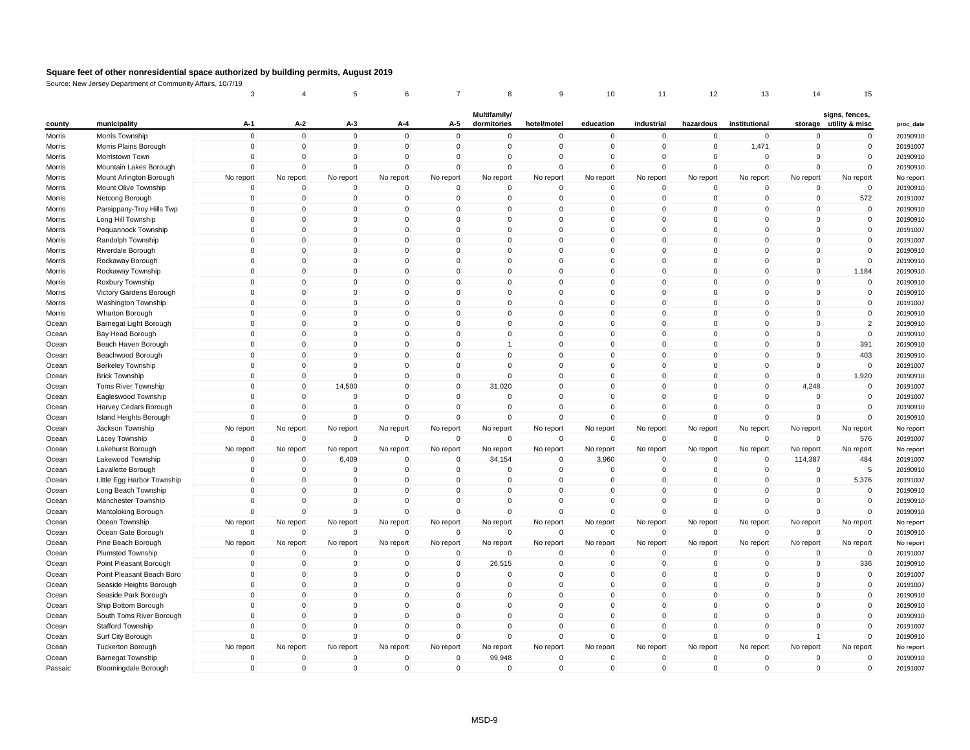|         |                            | 3            |              | 5              |              |                |                             |             | 10           | 11           | 12           | 13            | 14             | 15                                       |
|---------|----------------------------|--------------|--------------|----------------|--------------|----------------|-----------------------------|-------------|--------------|--------------|--------------|---------------|----------------|------------------------------------------|
| county  | municipality               | A-1          | A-2          | A-3            | A-4          | A-5            | Multifamily/<br>dormitories | hotel/motel | education    | industrial   | hazardous    | institutional |                | signs, fences,<br>storage utility & misc |
| Morris  | Morris Township            | $\mathbf{0}$ | $\Omega$     | $\mathbf{0}$   | $\mathbf{0}$ | $\Omega$       | $\Omega$                    | 0           | 0            | $\mathbf 0$  | $\mathbf{0}$ | $\mathbf{0}$  | $\Omega$       | $\mathbf 0$                              |
| Morris  | Morris Plains Borough      | $\Omega$     | $\mathbf 0$  | $\mathbf 0$    | $\mathbf 0$  | $\mathbf 0$    | $\mathbf 0$                 | $\mathbf 0$ | $\mathbf 0$  | $\mathbf 0$  | $\mathbf 0$  | 1,471         | $\mathbf 0$    | $\mathbf 0$                              |
| Morris  | Morristown Town            | $\Omega$     | $\Omega$     | $\mathbf 0$    | $\Omega$     | $\mathbf 0$    | $\mathbf 0$                 | $\Omega$    | $\mathbf 0$  | $\Omega$     | $\mathbf 0$  | $\Omega$      | $\Omega$       | $\mathbf 0$                              |
| Morris  | Mountain Lakes Borough     | $\Omega$     | $\Omega$     | $\mathbf 0$    | $\Omega$     | $\Omega$       | $\Omega$                    | $\Omega$    | $\mathbf 0$  | $\Omega$     | $\Omega$     | $\Omega$      | $\Omega$       | $\mathbf 0$                              |
| Morris  | Mount Arlington Borough    | No report    | No report    | No report      | No report    | No report      | No report                   | No report   | No report    | No report    | No report    | No report     | No report      | No report                                |
| Morris  | Mount Olive Township       | $\mathbf 0$  | $\Omega$     | $\mathbf 0$    | $\Omega$     | $\mathbf 0$    | $\mathbf 0$                 | $\Omega$    | $\mathbf 0$  | $\mathbf 0$  | 0            | $\Omega$      | 0              | $\mathbf 0$                              |
| Morris  | Netcong Borough            | $\Omega$     | $\mathbf 0$  | $\mathbf 0$    | $\Omega$     | $\mathbf 0$    | $\mathbf 0$                 | 0           | $\mathbf 0$  | $\mathbf 0$  | 0            | $\Omega$      | $\overline{0}$ | 572                                      |
| Morris  | Parsippany-Troy Hills Twp  | $\mathbf 0$  | $\Omega$     | 0              | $\mathbf 0$  | $\mathbf 0$    | $\mathbf 0$                 | $\mathbf 0$ | $\mathbf 0$  | $\mathbf 0$  | 0            | $\Omega$      | $\overline{0}$ | $\mathbf 0$                              |
| Morris  | Long Hill Township         | $\mathbf 0$  | $\mathbf 0$  | $\mathbf 0$    | 0            | $\mathbf 0$    | $\mathbf 0$                 | $\mathbf 0$ | $\mathbf 0$  | $\mathbf 0$  | 0            | $\Omega$      | 0              | $\mathbf 0$                              |
| Morris  | Pequannock Township        | $\Omega$     | $\Omega$     | $\mathbf 0$    | $\Omega$     | $\Omega$       | $\mathbf 0$                 | $\mathbf 0$ | $\mathbf 0$  | $\mathbf{0}$ | $\Omega$     | $\Omega$      | $\overline{0}$ | $\mathbf 0$                              |
| Morris  | Randolph Township          | $\Omega$     | $\Omega$     | $\mathbf 0$    | $\Omega$     | $\Omega$       | $\Omega$                    | $\Omega$    | $\mathbf 0$  | $\mathbf 0$  | $\Omega$     | $\Omega$      | $\Omega$       | $\mathbf 0$                              |
| Morris  | Riverdale Borough          | $\mathbf 0$  | $\mathbf 0$  | $\mathbf 0$    | 0            | $\mathbf 0$    | $\mathbf 0$                 | $\mathbf 0$ | $\mathbf 0$  | $\mathbf 0$  | 0            | $\Omega$      | 0              | $\mathbf 0$                              |
| Morris  | Rockaway Borough           | $\Omega$     | $\Omega$     | $\mathbf 0$    | $\Omega$     | $\overline{0}$ | $\mathbf 0$                 | $\mathbf 0$ | $\mathbf 0$  | $\mathbf 0$  | $\Omega$     | $\Omega$      | $\mathbf 0$    | $\mathbf 0$                              |
| Morris  | Rockaway Township          | $\Omega$     | $\Omega$     | $\mathbf 0$    | $\Omega$     | $\Omega$       | $\mathbf 0$                 | $\Omega$    | $\mathbf{0}$ | $\mathbf{0}$ | $\Omega$     | $\Omega$      | $\mathbf{0}$   | 1,184                                    |
| Morris  | Roxbury Township           | $\Omega$     | $\Omega$     | $\mathbf 0$    | $\Omega$     | $\Omega$       | $\mathbf 0$                 | $\mathbf 0$ | $\mathbf 0$  | $\mathbf 0$  | $\Omega$     | $\Omega$      | 0              | $\mathbf 0$                              |
| Morris  | Victory Gardens Borough    | $\Omega$     | $\mathbf 0$  | $\mathbf 0$    | $\Omega$     | $\mathbf 0$    | $\mathbf 0$                 | $\mathbf 0$ | $\mathbf 0$  | $\mathbf 0$  | $\Omega$     | $\mathbf{0}$  | $\mathbf 0$    | $\mathbf 0$                              |
| Morris  | Washington Township        | $\Omega$     | $\Omega$     | $\mathbf 0$    | $\Omega$     | $\Omega$       | $\mathbf 0$                 | $\Omega$    | $\mathbf 0$  | $\mathbf{0}$ | $\Omega$     | $\Omega$      | $\Omega$       | $\mathbf 0$                              |
| Morris  | Wharton Borough            | $\Omega$     | $\Omega$     | $\mathbf 0$    | $\Omega$     | $\Omega$       | $\mathbf 0$                 | $\mathbf 0$ | $\mathbf 0$  | $\mathbf 0$  | $\Omega$     | $\Omega$      | 0              | $\mathbf 0$                              |
| Ocean   | Barnegat Light Borough     | $\mathbf 0$  | $\mathbf 0$  | $\mathbf 0$    | $\mathbf 0$  | $\overline{0}$ | $\mathbf 0$                 | $\mathbf 0$ | $\mathbf 0$  | $\mathbf 0$  | 0            | $\mathbf{0}$  | $\mathbf 0$    | $\overline{2}$                           |
| Ocean   | Bay Head Borough           | $\Omega$     | $\Omega$     | $\mathbf 0$    | $\Omega$     | $\Omega$       | $\mathbf 0$                 | $\mathbf 0$ | $\mathbf 0$  | $\mathbf 0$  | $\Omega$     | $\Omega$      | $\mathbf 0$    | $\mathbf 0$                              |
| Ocean   | Beach Haven Borough        | $\Omega$     | $\Omega$     | $\Omega$       | $\Omega$     | $\Omega$       | $\overline{1}$              | $\Omega$    | $\mathbf 0$  | $\mathbf 0$  | $\Omega$     | $\Omega$      | $\Omega$       | 391                                      |
| Ocean   | Beachwood Borough          | $\mathbf 0$  | $\mathbf 0$  | $\mathbf 0$    | $\mathbf 0$  | $\mathbf 0$    | $\mathbf 0$                 | $\mathbf 0$ | $\mathbf 0$  | $\mathbf 0$  | $\mathbf 0$  | $\mathbf{0}$  | $\mathbf 0$    | 403                                      |
| Ocean   | Berkeley Township          | $\mathbf 0$  | $\Omega$     | $\mathbf 0$    | $\Omega$     | $\mathbf 0$    | $\mathbf 0$                 | $\mathbf 0$ | $\mathbf 0$  | $\mathbf 0$  | $\Omega$     | $\Omega$      | $\mathbf 0$    | $\mathbf 0$                              |
| Ocean   | <b>Brick Township</b>      | $\Omega$     | $\mathbf{0}$ | $\Omega$       | $\Omega$     | $\Omega$       | $\Omega$                    | $\Omega$    | $\mathbf{0}$ | $\mathbf{0}$ | $\Omega$     | $\Omega$      | $\Omega$       | 1,920                                    |
| Ocean   | Toms River Township        | $\mathbf 0$  | $\mathbf 0$  | 14,500         | $\mathbf 0$  | $\overline{0}$ | 31,020                      | $\mathbf 0$ | $\mathbf 0$  | $\mathbf 0$  | 0            | $\mathbf{0}$  | 4,248          | $\mathbf 0$                              |
| Ocean   | Eagleswood Township        | $\Omega$     | $\Omega$     | $\mathbf 0$    | $\Omega$     | $\Omega$       | $\mathbf 0$                 | $\mathbf 0$ | $\mathbf 0$  | $\mathbf 0$  | $\Omega$     | $\Omega$      | $\Omega$       | $\mathbf 0$                              |
| Ocean   | Harvey Cedars Borough      | $\Omega$     | $\Omega$     | 0              | $\Omega$     | $\Omega$       | $\Omega$                    | $\Omega$    | $\mathbf{0}$ | $\mathbf 0$  | $\Omega$     | $\Omega$      | $\Omega$       | $\mathbf 0$                              |
| Ocean   | Island Heights Borough     | $\mathbf 0$  | $\mathbf 0$  | $\mathbf 0$    | $\mathbf 0$  | $\mathbf 0$    | $\mathbf 0$                 | $\mathbf 0$ | $\mathbf 0$  | $\mathbf 0$  | $\mathbf{0}$ | $\mathbf 0$   | $\mathbf 0$    | $\mathbf 0$                              |
| Ocean   | Jackson Township           | No report    | No report    | No report      | No report    | No report      | No report                   | No report   | No report    | No report    | No report    | No report     | No report      | No report                                |
| Ocean   | Lacey Township             | $\Omega$     | $\Omega$     | $\mathbf 0$    | $\Omega$     | $\mathbf{0}$   | $\Omega$                    | $\Omega$    | $\mathbf 0$  | $\mathbf 0$  | $\Omega$     | $\Omega$      | $\Omega$       | 576                                      |
| Ocean   | Lakehurst Borough          | No report    | No report    | No report      | No report    | No report      | No report                   | No report   | No report    | No report    | No report    | No report     | No report      | No report                                |
| Ocean   | Lakewood Township          | $\Omega$     | $\Omega$     | 6,409          | 0            | $\mathbf 0$    | 34,154                      | $\mathbf 0$ | 3,960        | $\mathbf 0$  | $\Omega$     | $\Omega$      | 114,387        | 484                                      |
| Ocean   | Lavallette Borough         | $\Omega$     | $\Omega$     | $\mathbf 0$    | $\mathbf 0$  | $\mathbf 0$    | $\mathbf 0$                 | $\mathbf 0$ | $\mathbf 0$  | $\mathbf 0$  | $\Omega$     | $\Omega$      | $\overline{0}$ | 5                                        |
| Ocean   | Little Egg Harbor Township | $\Omega$     | $\Omega$     | $\mathbf 0$    | $\Omega$     | $\Omega$       | $\Omega$                    | $\Omega$    | $\mathbf{0}$ | $\mathbf{0}$ | $\Omega$     | $\mathbf{0}$  | $\Omega$       | 5,376                                    |
| Ocean   | Long Beach Township        | $\Omega$     | $\mathbf 0$  | $\mathbf 0$    | $\Omega$     | $\mathbf 0$    | $\mathbf 0$                 | 0           | $\mathbf 0$  | $\mathbf 0$  | $\Omega$     | $\Omega$      | $\mathbf 0$    | $\mathbf 0$                              |
| Ocean   | Manchester Township        | $\Omega$     | $\Omega$     | $\mathbf 0$    | $\Omega$     | $\Omega$       | $\Omega$                    | $\Omega$    | $\mathsf 0$  | $\mathbf{0}$ | $\Omega$     | $\Omega$      | $\Omega$       | $\mathbf 0$                              |
| Ocean   | Mantoloking Borough        | $\Omega$     | $\Omega$     | $\Omega$       | $\Omega$     | $\Omega$       | $\Omega$                    | $\Omega$    | $\mathbf 0$  | $\Omega$     | $\Omega$     | $\Omega$      | $\Omega$       | $\Omega$                                 |
| Ocean   | Ocean Township             | No report    | No report    | No report      | No report    | No report      | No report                   | No report   | No report    | No report    | No report    | No report     | No report      | No report                                |
| Ocean   | Ocean Gate Borough         | $\Omega$     | $\Omega$     | $\mathbf 0$    | $\Omega$     | $\mathbf 0$    | $\mathbf 0$                 | $\Omega$    | $\mathbf 0$  | $\mathbf 0$  | $\Omega$     | $\Omega$      | $\mathbf 0$    | $\mathbf 0$                              |
| Ocean   | Pine Beach Borough         | No report    | No report    | No report      | No report    | No report      | No report                   | No report   | No report    | No report    | No report    | No report     | No report      | No report                                |
| Ocean   | <b>Plumsted Township</b>   | $\mathbf 0$  | $\mathbf 0$  | $\mathbf 0$    | 0            | $\mathbf 0$    | $\mathbf 0$                 | $\mathbf 0$ | $\mathbf 0$  | $\mathbf 0$  | 0            | $\mathbf 0$   | $\mathbf 0$    | $\mathbf 0$                              |
| Ocean   | Point Pleasant Borough     | $\mathbf 0$  | $\mathbf 0$  | $\mathbf 0$    | 0            | $\mathbf 0$    | 26,515                      | $\mathbf 0$ | $\mathbf 0$  | $\mathbf 0$  | $\mathbf 0$  | $\Omega$      | $\overline{0}$ | 336                                      |
| Ocean   | Point Pleasant Beach Boro  | $\Omega$     | $\Omega$     | $\overline{0}$ | $\Omega$     | $\Omega$       | $\Omega$                    | $\Omega$    | $\mathbf{0}$ | $\mathbf{0}$ | $\Omega$     | $\Omega$      | $\Omega$       | $\Omega$                                 |
| Ocean   | Seaside Heights Borough    | 0            | $\Omega$     | $\mathbf 0$    | $\Omega$     | $\mathbf 0$    | $\mathbf 0$                 | 0           | $\mathbf 0$  | $\pmb{0}$    | $\Omega$     | $\Omega$      | 0              | $\mathbf 0$                              |
| Ocean   | Seaside Park Borough       | $\Omega$     | $\Omega$     | $\mathbf 0$    | $\Omega$     | $\Omega$       | $\mathbf 0$                 | $\mathbf 0$ | $\mathbf 0$  | $\mathbf 0$  | $\Omega$     | $\Omega$      | $\mathbf 0$    | $\mathbf 0$                              |
| Ocean   | Ship Bottom Borough        | $\Omega$     | $\Omega$     | $\Omega$       | $\Omega$     | $\Omega$       | $\Omega$                    | $\Omega$    | $\mathbf{0}$ | $\mathbf{0}$ | $\Omega$     | $\Omega$      | $\Omega$       | $\mathbf 0$                              |
| Ocean   | South Toms River Borough   | $\mathbf 0$  | $\mathbf 0$  | $\mathbf 0$    | $\Omega$     | $\mathbf 0$    | $\mathbf 0$                 | $\mathbf 0$ | $\mathbf 0$  | $\pmb{0}$    | $\mathbf{0}$ | $\mathbf{0}$  | $\mathbf 0$    | $\mathbf 0$                              |
| Ocean   | Stafford Township          | $\mathbf 0$  | $\mathbf 0$  | $\mathbf 0$    | 0            | $\mathbf 0$    | $\mathbf 0$                 | $\mathbf 0$ | $\mathbf 0$  | $\mathbf 0$  | 0            | $\Omega$      | 0              | $\mathbf 0$                              |
| Ocean   | Surf City Borough          | $\Omega$     | $\Omega$     | $\Omega$       | $\Omega$     | $\Omega$       | $\Omega$                    | $\Omega$    | $\mathbf 0$  | $\Omega$     | $\Omega$     | $\mathbf{0}$  | $\overline{1}$ | $\mathbf 0$                              |
| Ocean   | <b>Tuckerton Borough</b>   | No report    | No report    | No report      | No report    | No report      | No report                   | No report   | No report    | No report    | No report    | No report     | No report      | No report                                |
| Ocean   | <b>Barnegat Township</b>   | $\mathbf 0$  | $\mathbf 0$  | 0              | 0            | $\mathbf 0$    | 99,948                      | 0           | $\mathbf 0$  | $\mathbf 0$  | 0            | $\mathbf 0$   | 0              | $\mathbf 0$                              |
| Passaic | Bloomingdale Borough       | $\Omega$     | $\Omega$     | $\Omega$       | $\Omega$     | $\Omega$       | $\Omega$                    | $\Omega$    | $\mathbf{0}$ | $\Omega$     | $\Omega$     | $\mathbf{0}$  | $\Omega$       | $\mathbf 0$                              |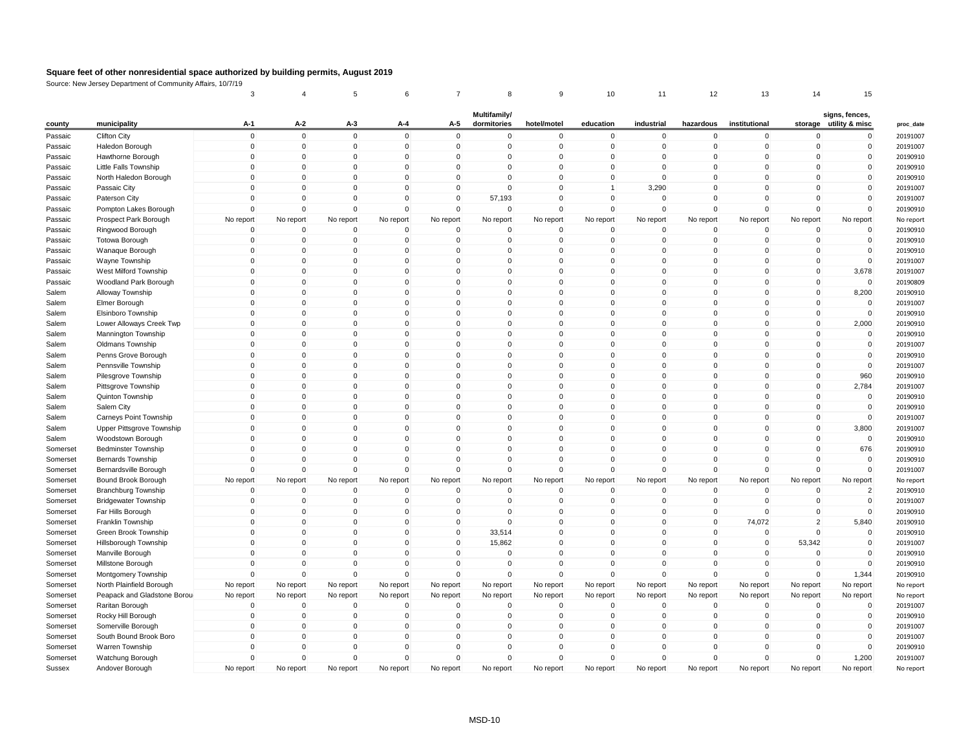|          |                             | 3                       |              | 5              | 6             | $\overline{7}$ | 8            | 9                    | 10                      | 11                      | 12                      | 13                 | 14                      | 15                   |
|----------|-----------------------------|-------------------------|--------------|----------------|---------------|----------------|--------------|----------------------|-------------------------|-------------------------|-------------------------|--------------------|-------------------------|----------------------|
|          |                             |                         |              |                |               |                | Multifamily/ |                      |                         |                         |                         |                    |                         | signs, fences,       |
| county   | municipality                | A-1                     | A-2          | $A-3$          | A-4           | A-5            | dormitories  | hotel/motel          | education               | industrial              | hazardous               | institutional      | storage                 | utility & misc       |
| Passaic  | <b>Clifton City</b>         | $\mathbf 0$             | $\mathbf 0$  | $\mathbf 0$    | $\mathbf 0$   | $\mathbf 0$    | $\mathbf 0$  | $\mathbf 0$          | $\mathbf 0$             | $\mathbf 0$             | $\mathbf 0$             | $\mathbf 0$        | $\mathbf 0$             | $\mathbf 0$          |
| Passaic  | Haledon Borough             | $\overline{0}$          | $\mathbf 0$  | $\mathbf 0$    | 0             | $\mathbf 0$    | 0            | $\mathbf 0$          | $\mathbf 0$             | $\mathbf 0$             | $\mathbf 0$             | 0                  | $\mathbf 0$             | $\mathbf 0$          |
| Passaic  | Hawthorne Borough           | $\mathbf{0}$            | $\Omega$     | $\mathbf 0$    | $\mathbf{0}$  | $\mathbf 0$    | $\Omega$     | $\Omega$             | $\Omega$                | $\Omega$                | $\Omega$                | $\Omega$           | $\Omega$                | $\mathbf 0$          |
| Passaic  | Little Falls Township       | $\mathbf 0$             | $\Omega$     | $\mathbf 0$    | $\Omega$      | $\mathbf 0$    | 0            | $\Omega$             | $\Omega$                | $\Omega$                | $\Omega$                | $\Omega$           | $\mathbf 0$             | $\mathbf 0$          |
| Passaic  | North Haledon Borough       | $\overline{0}$          | $\mathbf 0$  | 0              | 0             | $\mathbf 0$    | 0            | $\Omega$             | $\mathbf 0$             | $\mathbf 0$             | $\Omega$                | 0                  | $\mathbf 0$             | $\mathbf 0$          |
| Passaic  | Passaic City                | $\Omega$                | $\Omega$     | $\overline{0}$ | $\mathbf{0}$  | $\mathbf 0$    | $\Omega$     | $\Omega$             | $\overline{1}$          | 3,290                   | $\Omega$                | $\Omega$           | $\Omega$                | $\mathbf 0$          |
| Passaic  | Paterson City               | $\mathbf{0}$            | $\mathbf{0}$ | $\mathbf 0$    | $\Omega$      | $\mathbf 0$    | 57,193       | $\mathbf{0}$         | $\mathbf{0}$            | $\Omega$                | $\Omega$                | $\Omega$           | $\Omega$                | $\mathbf 0$          |
| Passaic  | Pompton Lakes Borough       | $\overline{0}$          | $\mathbf 0$  | $\mathbf 0$    | 0             | $\mathbf 0$    | $\mathbf 0$  | $\Omega$             | $\mathbf 0$             | $\mathbf 0$             | $\mathbf 0$             | $\mathbf 0$        | $\mathbf 0$             | $\mathbf 0$          |
| Passaic  | Prospect Park Borough       | No report               | No report    | No report      | No report     | No report      | No report    | No report            | No report               | No report               | No report               | No report          | No report               | No report            |
| Passaic  | Ringwood Borough            | $\mathbf 0$             | $\mathbf{0}$ | $\mathbf 0$    | $\mathbf{0}$  | $\mathbf 0$    | $\mathbf{0}$ | $\Omega$             | $\mathbf 0$             | $\Omega$                | $\Omega$                | $\Omega$           | $\mathbf 0$             | $\mathbf 0$          |
| Passaic  | <b>Totowa Borough</b>       | $\mathbf 0$             | $\pmb{0}$    | $\pmb{0}$      | 0             | 0              | 0            | $\mathbf 0$          | $\mathbf 0$             | $\mathbf 0$             | 0                       | 0                  | $\mathbf 0$             | $\mathbf 0$          |
| Passaic  | Wanaque Borough             | $\overline{0}$          | $\Omega$     | $\mathbf 0$    | $\Omega$      | $\mathbf 0$    | $\Omega$     | $\Omega$             | $\Omega$                | $\Omega$                | $\mathbf 0$             | $\Omega$           | $\Omega$                | $\mathbf 0$          |
| Passaic  | Wayne Township              | $\mathbf{0}$            | $\Omega$     | $\mathbf 0$    | $\Omega$      | $\mathbf 0$    | $\mathbf{0}$ | $\Omega$             | $\Omega$                | $\Omega$                | $\Omega$                | $\Omega$           | $\mathbf 0$             | $\mathsf{O}\xspace$  |
| Passaic  | West Milford Township       | $\mathbf 0$             | $\Omega$     | $\mathbf 0$    | $\Omega$      | $\mathbf 0$    | 0            | $\Omega$             | $\Omega$                | $\Omega$                | $\Omega$                | $\Omega$           | $\mathbf 0$             | 3,678                |
| Passaic  | Woodland Park Borough       | $\mathbf 0$             | $\mathbf 0$  | $\overline{0}$ | $\mathbf 0$   | $\mathbf 0$    | $\mathbf 0$  | $\Omega$             | $\mathbf 0$             | $\mathbf 0$             | $\mathbf 0$             | $\Omega$           | $\mathbf 0$             | $\mathbf 0$          |
| Salem    | Alloway Township            | $\mathbf 0$             | $\Omega$     | $\mathbf 0$    | $\Omega$      | $\mathbf 0$    | $\mathbf{0}$ | $\Omega$             | $\Omega$                | $\Omega$                | $\Omega$                | $\Omega$           | $\mathbf 0$             | 8,200                |
| Salem    | Elmer Borough               | $\overline{0}$          | $\mathbf 0$  | 0              | $\Omega$      | $\mathbf 0$    | 0            | $\Omega$             | $\Omega$                | $\mathbf 0$             | $\Omega$                | $\Omega$           | $\mathbf 0$             | 0                    |
| Salem    | Elsinboro Township          | $\mathbf 0$             | $\mathbf 0$  | 0              | $\mathbf 0$   | $\mathbf 0$    | $\mathbf 0$  | $\Omega$             | $\mathbf 0$             | $\mathbf 0$             | $\mathbf 0$             | 0                  | $\mathbf 0$             | $\mathbf 0$          |
| Salem    | Lower Alloways Creek Twp    | $\mathbf{0}$            | $\Omega$     | $\Omega$       | $\Omega$      | $\mathbf 0$    | $\mathbf{0}$ | $\mathbf{0}$         | $\Omega$                | $\Omega$                | $\Omega$                | $\Omega$           | $\Omega$                | 2,000                |
| Salem    | Mannington Township         | $\mathbf 0$             | 0            | $\mathbf 0$    | $\Omega$      | $\mathbf 0$    | 0            | $\Omega$             | $\mathbf 0$             | $\mathbf 0$             | 0                       | $\Omega$           | $\mathbf 0$             | $\mathbf 0$          |
| Salem    | <b>Oldmans Township</b>     | $\mathbf 0$             | $\mathbf 0$  | 0              | $\mathbf 0$   | $\mathbf 0$    | $\mathbf 0$  | $\Omega$             | $\mathbf 0$             | $\mathbf 0$             | $\mathbf 0$             | 0                  | $\mathbf 0$             | $\mathbf 0$          |
| Salem    | Penns Grove Borough         | $\mathbf{0}$            | $\Omega$     | $\Omega$       | $\Omega$      | $\mathbf 0$    | $\mathbf{0}$ | $\Omega$             | $\Omega$                | $\Omega$                | $\Omega$                | $\Omega$           | $\Omega$                | $\mathbf{0}$         |
| Salem    | Pennsville Township         | $\mathbf 0$             | 0            | 0              | $\Omega$      | $\mathbf 0$    | 0            | $\Omega$             | $\Omega$                | $\mathsf 0$             | 0                       | $\Omega$           | $\mathbf 0$             | $\mathsf 0$          |
| Salem    | Pilesgrove Township         | $\mathbf 0$             | $\mathbf 0$  | 0              | $\mathbf 0$   | $\mathbf 0$    | 0            | $\Omega$             | $\mathbf 0$             | $\mathbf 0$             | $\mathbf 0$             | 0                  | $\mathbf 0$             | 960                  |
| Salem    | Pittsgrove Township         | $\Omega$                | $\Omega$     | 0              | $\Omega$      | $\mathbf 0$    | $\mathbf{0}$ | $\Omega$             | $\Omega$                | $\Omega$                | $\Omega$                | $\Omega$           | $\Omega$                | 2,784                |
| Salem    | Quinton Township            | $\mathbf 0$             | $\mathbf 0$  | $\mathbf 0$    | $\mathbf 0$   | $\mathbf 0$    | $\mathbf 0$  | $\mathbf{0}$         | $\mathbf 0$             | $\mathbf 0$             | $\mathbf 0$             | $\mathbf 0$        | $\mathbf 0$             | $\mathsf 0$          |
| Salem    | Salem City                  | $\Omega$                | $\Omega$     | $\mathbf 0$    | $\Omega$      | $\mathbf 0$    | $\mathbf{0}$ | $\Omega$             | $\Omega$                | $\Omega$                | $\Omega$                | $\Omega$           | $\mathbf 0$             | $\mathbf 0$          |
| Salem    | Carneys Point Township      | $\mathbf{0}$            | $\Omega$     | $\Omega$       | $\Omega$      | $\mathbf 0$    | $\mathbf{0}$ | $\Omega$             | $\Omega$                | $\Omega$                | $\Omega$                | $\Omega$           | $\Omega$                | $\mathbf 0$          |
| Salem    | Upper Pittsgrove Township   | $\overline{0}$          | $\mathbf 0$  | $\pmb{0}$      | $\mathbf 0$   | $\mathbf 0$    | $\mathbf 0$  | $\mathbf{0}$         | $\mathbf 0$             | $\mathbf 0$             | $\mathbf 0$             | $\mathbf 0$        | $\mathbf 0$             | 3,800                |
| Salem    | Woodstown Borough           | $\Omega$                | $\Omega$     | $\Omega$       | $\Omega$      | $\Omega$       | $\mathbf{0}$ | $\Omega$             | $\Omega$                | $\Omega$                | $\Omega$                | $\Omega$           | $\Omega$                | $\mathbf 0$          |
| Somerset | <b>Bedminster Township</b>  | $\Omega$                | $\Omega$     | 0              | $\Omega$      | $\mathbf 0$    | $\mathbf{0}$ | $\Omega$             | $\Omega$                | $\Omega$                | $\Omega$                | $\Omega$           | $\Omega$                | 676                  |
| Somerset | <b>Bernards Township</b>    | $\overline{0}$          | $\mathbf 0$  | $\mathbf 0$    | $\mathbf 0$   | $\mathbf 0$    | $\mathbf 0$  | $\Omega$             | $\mathbf 0$             | $\mathbf 0$             | $\mathbf 0$             | $\mathbf 0$        | $\mathbf 0$             | $\mathbf 0$          |
| Somerset | Bernardsville Borough       | $\Omega$                | $\Omega$     | $\Omega$       | $\Omega$      | $\mathbf 0$    | $\mathbf{0}$ | $\Omega$             | $\Omega$                | $\Omega$                | $\Omega$                | $\Omega$           | $\Omega$                | $\mathbf 0$          |
| Somerset | Bound Brook Borough         | No report               | No report    | No report      | No report     | No report      | No report    | No report            | No report               | No report               | No report               | No report          | No report               | No report            |
| Somerset | <b>Branchburg Township</b>  | $\overline{0}$          | $\mathbf 0$  | $\mathbf 0$    | $\mathbf 0$   | $\mathbf 0$    | $\mathbf 0$  | $\Omega$             | $\mathbf 0$             | $\mathbf 0$             | $\mathbf 0$             | $\mathbf 0$        | $\mathbf 0$             | $\overline{2}$       |
| Somerset | <b>Bridgewater Township</b> | $\overline{0}$          | $\mathbf 0$  | $\mathbf 0$    | $\mathbf 0$   | $\mathbf 0$    | $\mathbf{0}$ | $\Omega$             | $\mathbf 0$             | $\mathbf 0$             | $\mathbf 0$             | $\Omega$           | $\mathbf 0$             | $\mathbf 0$          |
|          |                             | $\Omega$                | $\Omega$     | $\Omega$       | $\Omega$      | $\mathbf 0$    | $\mathbf 0$  | $\Omega$             | $\Omega$                | $\Omega$                | $\Omega$                | $\Omega$           | $\mathbf 0$             |                      |
| Somerset | Far Hills Borough           | $\overline{0}$          | $\mathbf 0$  | $\pmb{0}$      | $\mathbf 0$   | $\mathbf 0$    | $\mathbf 0$  | $\mathbf 0$          | $\mathbf 0$             | $\mathbf 0$             | $\mathbf 0$             |                    | $\overline{2}$          | $\mathbf 0$<br>5,840 |
| Somerset | Franklin Township           | $\Omega$                | $\Omega$     | $\mathbf 0$    | $\Omega$      | $\mathbf 0$    |              | $\Omega$             | $\Omega$                | $\Omega$                | $\Omega$                | 74,072<br>$\Omega$ | $\Omega$                |                      |
| Somerset | Green Brook Township        | $\Omega$                | $\Omega$     | $\Omega$       | $\Omega$      | $\Omega$       | 33,514       | $\Omega$             |                         | $\Omega$                | $\Omega$                | $\Omega$           |                         | $\mathbf 0$          |
| Somerset | Hillsborough Township       |                         |              |                |               |                | 15,862       |                      | $\mathbf{0}$            |                         |                         |                    | 53,342                  | $\mathbf 0$          |
| Somerset | Manville Borough            | $\mathbf 0$<br>$\Omega$ | $\mathbf 0$  | 0              | 0<br>$\Omega$ | $\mathbf 0$    | 0            | $\Omega$<br>$\Omega$ | $\mathbf 0$<br>$\Omega$ | $\mathbf 0$<br>$\Omega$ | $\mathbf 0$<br>$\Omega$ | $\Omega$           | $\mathbf 0$<br>$\Omega$ | $\mathbf 0$          |
| Somerset | Millstone Borough           |                         | $\mathbf 0$  | $\mathbf 0$    |               | $\mathbf 0$    | $\mathbf 0$  |                      |                         |                         |                         | $\Omega$           |                         | $\mathbf 0$          |
| Somerset | Montgomery Township         | $\Omega$                | $\Omega$     | $\mathbf 0$    | $\Omega$      | $\mathbf 0$    | $\mathbf 0$  | $\Omega$             | $\mathbf 0$             | $\Omega$                | $\Omega$                | $\Omega$           | $\mathbf 0$             | 1,344                |
| Somerset | North Plainfield Borough    | No report               | No report    | No report      | No report     | No report      | No report    | No report            | No report               | No report               | No report               | No report          | No report               | No report            |
| Somerset | Peapack and Gladstone Borou | No report               | No report    | No report      | No report     | No report      | No report    | No report            | No report               | No report               | No report               | No report          | No report               | No report            |
| Somerset | Raritan Borough             | $\mathbf 0$             | $\mathbf 0$  | $\mathbf 0$    | $\mathbf 0$   | $\mathbf 0$    | $\mathbf 0$  | $\mathbf{0}$         | $\Omega$                | $\mathbf 0$             | $\mathbf{0}$            | $\mathbf{0}$       | $\mathbf 0$             | $\mathsf{O}\xspace$  |
| Somerset | Rocky Hill Borough          | $\mathbf 0$             | $\mathbf 0$  | $\mathbf 0$    | 0             | $\mathbf 0$    | 0            | $\mathbf 0$          | $\mathbf 0$             | $\mathbf 0$             | 0                       | 0                  | $\mathbf 0$             | $\mathbf 0$          |
| Somerset | Somerville Borough          | $\overline{0}$          | $\mathbf 0$  | $\mathbf 0$    | $\mathbf 0$   | $\mathbf 0$    | $\mathbf 0$  | $\Omega$             | $\mathbf 0$             | $\mathbf 0$             | $\mathbf 0$             | $\Omega$           | $\mathbf 0$             | $\mathbf 0$          |
| Somerset | South Bound Brook Boro      | $\Omega$                | $\Omega$     | $\mathbf 0$    | $\Omega$      | $\mathbf 0$    | $\mathbf 0$  | $\Omega$             | $\Omega$                | $\Omega$                | $\Omega$                | $\Omega$           | $\Omega$                | $\mathbf 0$          |
| Somerset | Warren Township             | $\Omega$                | $\Omega$     | $\Omega$       | $\Omega$      | $\Omega$       | $\Omega$     | $\Omega$             | $\Omega$                | $\Omega$                | $\Omega$                | $\Omega$           | $\Omega$                | $\Omega$             |
| Somerset | Watchung Borough            | $\overline{0}$          | $\mathbf 0$  | $\mathbf 0$    | $\Omega$      | $\mathbf 0$    | $\mathbf 0$  | $\Omega$             | $\mathbf 0$             | $\mathbf 0$             | $\mathbf 0$             | $\mathbf 0$        | $\mathbf 0$             | 1,200                |
| Sussex   | Andover Borough             | No report               | No report    | No report      | No report     | No report      | No report    | No report            | No report               | No report               | No report               | No report          | No report               | No report            |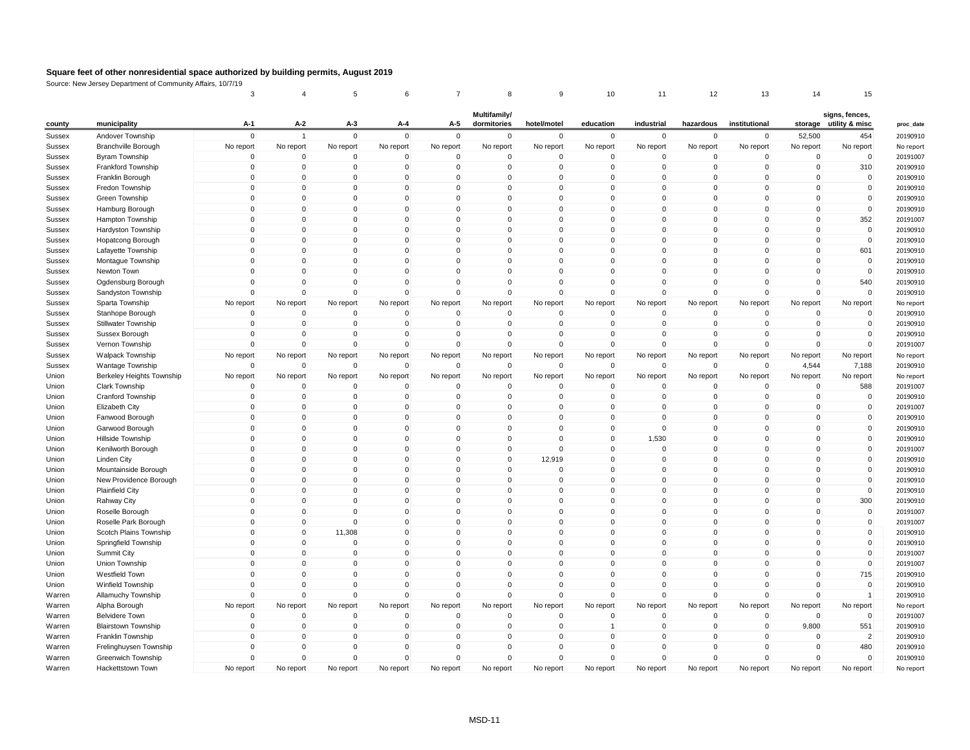|        |                            | 3                          |                          | 5                          |                         |                            | 8                           | 9                          | 10                    | 11                         | 12                   | 13                      | 14                               | 15                                       |
|--------|----------------------------|----------------------------|--------------------------|----------------------------|-------------------------|----------------------------|-----------------------------|----------------------------|-----------------------|----------------------------|----------------------|-------------------------|----------------------------------|------------------------------------------|
| county | municipality               | A-1                        | A-2                      | A-3                        | A-4                     | A-5                        | Multifamily/<br>dormitories | hotel/motel                | education             | industrial                 | hazardous            | institutional           |                                  | signs, fences,<br>storage utility & misc |
| Sussex | Andover Township           | $\mathbf{0}$               | $\overline{1}$           | $\overline{0}$             | $\Omega$                | $\Omega$                   | $\mathbf{0}$                | $\mathbf{0}$               | $\mathbf 0$           | $\mathbf 0$                | $\mathbf{0}$         | $\mathbf{0}$            | 52,500                           | 454                                      |
| Sussex | <b>Branchville Borough</b> | No report                  | No report                | No report                  | No report               | No report                  | No report                   | No report                  | No report             | No report                  | No report            | No report               | No report                        | No report                                |
| Sussex | Byram Township             | $\overline{0}$             | 0                        | $\mathbf 0$                | $\mathbf 0$             | $\overline{0}$             | 0                           | $\mathbf 0$                | 0                     | $\mathbf 0$                | 0                    | $\mathbf 0$             | $\mathbf 0$                      | $\mathbf 0$                              |
| Sussex | Frankford Township         | $\mathbf 0$                | $\mathbf 0$              | $\pmb{0}$                  | $\mathbf 0$             | $\mathbf 0$                | $\mathbf 0$                 | $\mathbf 0$                | $\mathbf 0$           | $\mathbf 0$                | $\mathbf 0$          | $\mathbf 0$             | $\mathbf 0$                      | 310                                      |
| Sussex | Franklin Borough           | $\Omega$                   | $\Omega$                 | $\mathbf 0$                | $\Omega$                | $\Omega$                   | 0                           | $\Omega$                   | $\mathbf{0}$          | $\Omega$                   | $\Omega$             | $\Omega$                | $\Omega$                         | $\mathbf 0$                              |
| Sussex | Fredon Township            | $\Omega$                   | $\Omega$                 | $\Omega$                   | $\Omega$                | $\Omega$                   | $\Omega$                    | $\Omega$                   | 0                     | $\Omega$                   | $\Omega$             | $\Omega$                | $\Omega$                         | $\pmb{0}$                                |
| Sussex | Green Township             | $\mathbf 0$                | $\mathbf 0$              | $\pmb{0}$                  | $\mathbf 0$             | $\mathbf 0$                | $\mathbf 0$                 | $\mathbf 0$                | $\mathbf 0$           | $\mathbf 0$                | $\mathbf 0$          | $\mathbf 0$             | $\mathbf 0$                      | $\mathbf 0$                              |
| Sussex | Hamburg Borough            | $\mathbf 0$                | $\mathbf 0$              | $\mathbf 0$                | $\Omega$                | $\mathbf 0$                | $\mathbf 0$                 | $\mathbf 0$                | $\mathbf 0$           | $\Omega$                   | $\Omega$             | $\Omega$                | $\overline{0}$                   | $\mathbf 0$                              |
| Sussex | Hampton Township           | $\Omega$                   | $\Omega$                 | $\Omega$                   | $\Omega$                | $\Omega$                   | $\Omega$                    | $\Omega$                   | $\mathbf{0}$          | $\mathbf 0$                | $\Omega$             | $\Omega$                | $\Omega$                         | 352                                      |
| Sussex | Hardyston Township         | $\mathbf 0$                | $\pmb{0}$                | $\mathbf 0$                | $\Omega$                | $\Omega$                   | $\Omega$                    | $\mathbf 0$                | $\mathbf 0$           | $\mathbf 0$                | $\Omega$             | $\Omega$                | $\mathbf 0$                      | $\pmb{0}$                                |
| Sussex | <b>Hopatcong Borough</b>   | $\mathbf 0$                | $\mathbf 0$              | $\mathbf 0$                | $\mathbf 0$             | $\overline{0}$             | $\mathbf 0$                 | $\mathbf 0$                | $\mathbf 0$           | $\mathbf 0$                | $\Omega$             | $\Omega$                | $\mathbf 0$                      | $\mathbf 0$                              |
| Sussex | Lafayette Township         | $\Omega$                   | $\Omega$                 | $\Omega$                   | $\Omega$                | $\Omega$                   | $\Omega$                    | $\Omega$                   | $\mathbf{0}$          | $\Omega$                   | $\Omega$             | $\Omega$                | $\Omega$                         | 601                                      |
| Sussex | Montague Township          | $\mathbf 0$                | $\mathbf 0$              | $\mathbf 0$                | $\Omega$                | $\Omega$                   | $\mathbf 0$                 | $\mathbf 0$                | $\mathbf 0$           | $\Omega$                   | $\Omega$             | $\Omega$                | $\mathbf 0$                      | $\mathbf 0$                              |
| Sussex | Newton Town                | $\Omega$                   | $\Omega$                 | $\Omega$                   | $\Omega$                | $\Omega$                   | $\Omega$                    | $\Omega$                   | 0                     | $\Omega$                   | $\Omega$             | $\Omega$                | $\Omega$                         | $\mathbf 0$                              |
| Sussex | Ogdensburg Borough         | $\mathbf 0$                | $\mathbf 0$              | $\mathbf 0$                | $\Omega$                | $\mathbf 0$                | $\mathbf 0$                 | $\mathbf 0$                | $\mathbf 0$           | $\Omega$                   | $\Omega$             | $\Omega$                | $\overline{0}$                   | 540                                      |
| Sussex | Sandyston Township         | $\Omega$                   | $\mathbf 0$              | $\mathbf 0$                | $\Omega$                | $\Omega$                   | $\Omega$                    | $\Omega$                   | $\mathbf 0$           | $\Omega$                   | $\Omega$             | $\Omega$                | $\Omega$                         | $\mathbf 0$                              |
| Sussex | Sparta Township            | No report                  | No report                | No report                  | No report               | No report                  | No report                   | No report                  | No report             | No report                  | No report            | No report               | No report                        | No report                                |
| Sussex | Stanhope Borough           | $\mathbf 0$                | 0                        | $\mathbf 0$                | $\mathbf 0$             | $\mathbf 0$                | $\mathbf 0$                 | $\mathbf 0$                | 0                     | $\mathbf 0$                | $\mathbf 0$          | $\mathbf 0$             | $\mathbf 0$                      | 0                                        |
| Sussex | <b>Stillwater Township</b> | $\mathbf 0$                | $\mathbf 0$              | $\mathbf 0$                | $\mathbf 0$             | $\mathbf 0$                | $\mathbf 0$                 | $\mathbf 0$                | 0                     | $\mathbf 0$                | $\mathbf 0$          | $\mathbf{0}$            | $\mathbf 0$                      | $\mathbf 0$                              |
| Sussex | Sussex Borough             | $\overline{0}$             | $\mathbf 0$              | $\mathbf 0$                | $\Omega$                | $\mathbf 0$                | $\mathbf 0$                 | $\mathbf 0$                | $\mathbf 0$           | $\mathbf 0$                | $\Omega$             | $\Omega$                | $\overline{0}$                   | $\mathbf 0$                              |
| Sussex | Vernon Township            | $\Omega$                   | $\Omega$                 | $\Omega$                   | $\Omega$                | $\Omega$                   | $\mathbf{0}$                | $\mathbf 0$                | $\mathbf 0$           | $\Omega$                   | $\Omega$             | $\Omega$                | $\Omega$                         | $\mathbf 0$                              |
| Sussex | <b>Walpack Township</b>    | No report                  | No report                | No report                  | No report               | No report                  | No report                   | No report                  | No report             | No report                  | No report            | No report               | No report                        | No report                                |
| Sussex | Wantage Township           | $\mathbf 0$                | 0                        | $\mathbf 0$                | $\Omega$                | $\mathbf 0$                | $\mathbf 0$                 | $\mathbf 0$                | $\mathbf 0$           | $\mathbf 0$                | $\mathbf 0$          | $\Omega$                | 4,544                            | 7,188                                    |
| Union  | Berkeley Heights Township  | No report                  | No report                | No report                  | No report               | No report                  | No report                   | No report                  |                       | No report                  | No report            | No report               | No report                        | No report                                |
| Union  | Clark Township             | $\Omega$                   | $\Omega$                 | $\Omega$                   | $\Omega$                | $\Omega$                   | $\mathbf{0}$                | $\mathbf 0$                | No report<br>$\Omega$ | $\Omega$                   | $\Omega$             | $\Omega$                | $\mathbf 0$                      | 588                                      |
|        |                            |                            |                          |                            |                         |                            |                             |                            |                       |                            |                      |                         |                                  |                                          |
| Union  | Cranford Township          | $\mathbf 0$<br>$\mathbf 0$ | $\pmb{0}$<br>$\mathbf 0$ | $\pmb{0}$<br>$\mathbf 0$   | 0<br>$\mathbf 0$        | $\mathbf 0$<br>$\mathbf 0$ | 0<br>$\mathbf 0$            | 0                          | 0                     | $\mathbf 0$<br>$\mathbf 0$ | 0<br>0               | $\mathbf 0$<br>$\Omega$ | $\overline{0}$<br>$\overline{0}$ | $\pmb{0}$<br>$\mathbf 0$                 |
| Union  | <b>Elizabeth City</b>      | $\Omega$                   | $\Omega$                 | $\Omega$                   | $\Omega$                | $\Omega$                   | $\Omega$                    | $\mathbf 0$<br>$\Omega$    | 0<br>$\mathbf{0}$     | $\Omega$                   | $\Omega$             | $\Omega$                | $\Omega$                         | $\mathbf 0$                              |
| Union  | Fanwood Borough            | $\mathbf 0$                | $\mathbf 0$              |                            |                         | $\mathbf 0$                |                             |                            |                       |                            |                      |                         |                                  | $\mathbf 0$                              |
| Union  | Garwood Borough            |                            |                          | $\mathbf 0$                | $\mathbf 0$             |                            | $\mathbf 0$                 | $\mathbf 0$                | $\mathbf 0$           | $\mathbf 0$                | 0                    | $\mathbf 0$             | $\overline{0}$                   | $\mathbf 0$                              |
| Union  | Hillside Township          | $\mathbf 0$<br>$\Omega$    | $\mathbf 0$<br>$\Omega$  | $\mathbf 0$<br>$\mathbf 0$ | $\mathbf 0$<br>$\Omega$ | $\overline{0}$<br>$\Omega$ | 0<br>$\mathbf 0$            | $\overline{0}$<br>$\Omega$ | 0<br>$\mathbf{0}$     | 1,530<br>$\Omega$          | 0<br>$\Omega$        | $\Omega$<br>$\Omega$    | 0<br>$\Omega$                    |                                          |
| Union  | Kenilworth Borough         | $\mathbf 0$                | $\mathbf 0$              |                            |                         | $\mathbf 0$                | $\mathbf 0$                 |                            |                       | $\overline{0}$             |                      |                         |                                  | $\mathbf 0$                              |
| Union  | <b>Linden City</b>         |                            |                          | $\mathbf 0$                | $\mathbf 0$             |                            |                             | 12,919                     | $\mathbf 0$           |                            | 0                    | $\mathbf 0$             | $\mathbf 0$                      | $\mathbf 0$                              |
| Union  | Mountainside Borough       | $\Omega$<br>$\Omega$       | $\Omega$<br>$\Omega$     | $\mathbf 0$                | $\Omega$<br>$\Omega$    | $\Omega$<br>$\Omega$       | $\Omega$                    | $\overline{0}$<br>$\Omega$ | $\mathbf{0}$          | $\Omega$<br>$\Omega$       | $\Omega$<br>$\Omega$ | $\Omega$<br>$\Omega$    | 0                                | $\mathbf 0$                              |
| Union  | New Providence Borough     |                            |                          | $\mathbf 0$                |                         |                            | 0                           |                            | $\mathbf{0}$          |                            |                      |                         | 0                                | $\mathbf 0$                              |
| Union  | <b>Plainfield City</b>     | $\mathbf 0$                | $\mathbf 0$              | $\mathbf 0$                | $\mathbf 0$             | $\mathbf 0$                | $\mathbf 0$                 | $\mathbf 0$                | $\mathbf 0$           | $\overline{0}$             | 0                    | $\mathbf 0$             | $\overline{0}$                   | $\mathbf 0$                              |
| Union  | Rahway City                | $\mathbf 0$                | $\mathbf 0$              | $\mathbf 0$                | $\Omega$<br>$\Omega$    | $\mathbf 0$                | $\mathbf 0$                 | $\mathbf 0$                | $\mathbf 0$           | $\Omega$                   | $\Omega$<br>$\Omega$ | $\Omega$                | $\overline{0}$                   | 300                                      |
| Union  | Roselle Borough            | $\Omega$                   | $\Omega$                 | $\Omega$<br>$\mathbf 0$    |                         | $\Omega$                   | $\Omega$                    | $\Omega$                   | $\mathbf{0}$          | $\mathbf{0}$               |                      | $\Omega$                | $\Omega$                         | $\mathbf 0$                              |
| Union  | Roselle Park Borough       | $\mathbf 0$                | $\pmb{0}$                |                            | $\mathbf 0$             | $\mathbf 0$                | $\mathbf 0$                 | $\mathbf 0$                | $\mathsf 0$           | $\mathbf 0$                | 0                    | $\mathbf 0$             | $\mathbf 0$                      | $\mathbf 0$                              |
| Union  | Scotch Plains Township     | $\mathbf 0$                | $\mathbf 0$              | 11,308                     | $\Omega$                | $\overline{0}$             | $\mathbf 0$                 | $\mathbf 0$                | $\mathbf 0$           | $\mathbf 0$                | $\Omega$             | $\Omega$                | $\overline{0}$                   | $\mathbf 0$                              |
| Union  | Springfield Township       | $\mathbf 0$                | $\mathbf 0$              | $\overline{0}$             | $\Omega$                | $\Omega$                   | $\mathbf 0$                 | $\mathbf 0$                | $\mathbf 0$           | $\mathbf{0}$               | $\Omega$             | $\Omega$                | $\overline{0}$                   | $\mathbf 0$                              |
| Union  | Summit City                | $\Omega$                   | $\Omega$                 | $\Omega$                   | $\Omega$                | $\Omega$                   | $\Omega$                    | $\Omega$                   | $\mathbf{0}$          | $\Omega$                   | $\Omega$             | $\Omega$                | $\Omega$                         | $\mathbf 0$                              |
| Union  | Union Township             | $\mathbf 0$                | $\mathbf 0$              | $\pmb{0}$                  | $\mathbf 0$             | $\mathbf 0$                | $\mathbf 0$                 | $\mathbf 0$                | $\mathbf 0$           | $\mathbf 0$                | $\Omega$             | $\Omega$                | 0                                | $\mathbf 0$                              |
| Union  | Westfield Town             | $\mathbf 0$                | $\mathbf 0$              | $\overline{0}$             | $\mathbf 0$             | $\mathbf 0$                | $\mathbf 0$                 | $\mathbf 0$                | $\mathbf 0$           | $\mathbf{0}$               | $\Omega$             | $\Omega$                | $\mathbf 0$                      | 715                                      |
| Union  | Winfield Township          | $\Omega$                   | $\Omega$                 | $\Omega$                   | $\Omega$                | $\Omega$                   | $\Omega$                    | $\Omega$                   | $\Omega$              | $\Omega$                   | $\Omega$             | $\Omega$                | $\Omega$                         | $\mathbf 0$                              |
| Warren | Allamuchy Township         | $\Omega$                   | $\Omega$                 | $\mathbf 0$                | $\Omega$                | $\Omega$                   | $\Omega$                    | $\Omega$                   | 0                     | $\Omega$                   | $\Omega$             | $\Omega$                | $\Omega$                         | $\mathbf{1}$                             |
| Warren | Alpha Borough              | No report                  | No report                | No report                  | No report               | No report                  | No report                   | No report                  | No report             | No report                  | No report            | No report               | No report                        | No report                                |
| Warren | Belvidere Town             | $\mathbf 0$                | 0                        | $\mathbf 0$                | $\Omega$                | $\mathbf 0$                | $\mathbf 0$                 | $\mathbf 0$                | 0                     | $\mathbf 0$                | $\Omega$             | $\Omega$                | $\overline{0}$                   | $\mathbf 0$                              |
| Warren | <b>Blairstown Township</b> | $\mathbf 0$                | $\mathbf 0$              | $\overline{0}$             | $\mathbf 0$             | $\mathbf 0$                | $\mathbf 0$                 | $\mathbf 0$                | $\mathbf{1}$          | $\overline{0}$             | $\mathbf 0$          | $\mathbf 0$             | 9,800                            | 551                                      |
| Warren | Franklin Township          | $\Omega$                   | $\Omega$                 | $\mathbf 0$                | $\Omega$                | $\mathbf 0$                | $\mathbf 0$                 | $\mathbf 0$                | 0                     | $\Omega$                   | $\Omega$             | $\Omega$                | $\Omega$                         | $\overline{2}$                           |
| Warren | Frelinghuysen Township     | $\Omega$                   | $\Omega$                 | $\Omega$                   | $\Omega$                | $\Omega$                   | $\mathbf 0$                 | $\Omega$                   | 0                     | $\Omega$                   | $\Omega$             | $\Omega$                | $\Omega$                         | 480                                      |
| Warren | Greenwich Township         | $\Omega$                   | $\mathbf 0$              | $\mathbf 0$                | $\Omega$                | $\mathbf 0$                | $\mathbf 0$                 | $\Omega$                   | $\mathbf 0$           | $\Omega$                   | 0                    | $\Omega$                | $\Omega$                         | $\mathbf 0$                              |
| Warren | Hackettstown Town          | No report                  | No report                | No report                  | No report               | No report                  | No report                   | No report                  | No report             | No report                  | No report            | No report               | No report                        | No report                                |